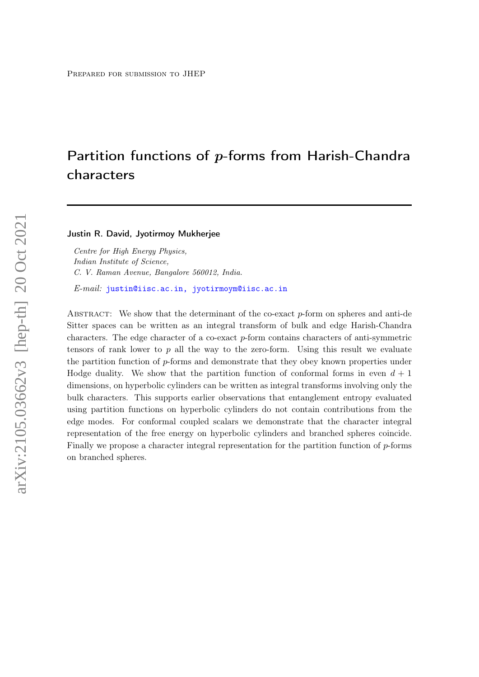# <span id="page-0-0"></span>Partition functions of p-forms from Harish-Chandra characters

Justin R. David, Jyotirmoy Mukherjee

Centre for High Energy Physics, Indian Institute of Science, C. V. Raman Avenue, Bangalore 560012, India.

E-mail: [justin@iisc.ac.in, jyotirmoym@iisc.ac.in](mailto:justin@iisc.ac.in, jyotirmoym@iisc.ac.in)

ABSTRACT: We show that the determinant of the co-exact  $p$ -form on spheres and anti-de Sitter spaces can be written as an integral transform of bulk and edge Harish-Chandra characters. The edge character of a co-exact p-form contains characters of anti-symmetric tensors of rank lower to  $p$  all the way to the zero-form. Using this result we evaluate the partition function of p-forms and demonstrate that they obey known properties under Hodge duality. We show that the partition function of conformal forms in even  $d + 1$ dimensions, on hyperbolic cylinders can be written as integral transforms involving only the bulk characters. This supports earlier observations that entanglement entropy evaluated using partition functions on hyperbolic cylinders do not contain contributions from the edge modes. For conformal coupled scalars we demonstrate that the character integral representation of the free energy on hyperbolic cylinders and branched spheres coincide. Finally we propose a character integral representation for the partition function of p-forms on branched spheres.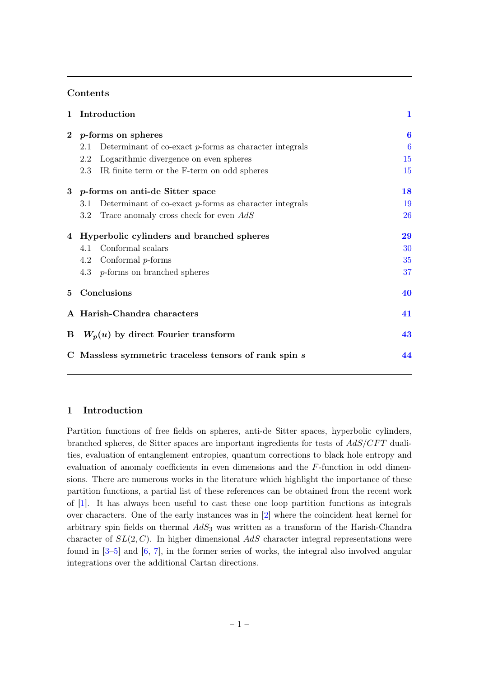# Contents

| 1 | Introduction                                                     | 1        |  |
|---|------------------------------------------------------------------|----------|--|
|   | 2 p-forms on spheres                                             | $\bf{6}$ |  |
|   | Determinant of co-exact $p$ -forms as character integrals<br>2.1 | 6        |  |
|   | Logarithmic divergence on even spheres<br>2.2                    | 15       |  |
|   | 2.3 IR finite term or the F-term on odd spheres                  | 15       |  |
|   | 3 p-forms on anti-de Sitter space                                | 18       |  |
|   | Determinant of co-exact $p$ -forms as character integrals<br>3.1 | 19       |  |
|   | Trace anomaly cross check for even AdS<br>3.2                    | 26       |  |
|   | 4 Hyperbolic cylinders and branched spheres                      | 29       |  |
|   | Conformal scalars<br>4.1                                         | 30       |  |
|   | Conformal $p$ -forms<br>4.2                                      | 35       |  |
|   | 4.3 p-forms on branched spheres                                  | 37       |  |
| 5 | Conclusions                                                      | 40       |  |
|   | A Harish-Chandra characters                                      | 41       |  |
| B | $W_p(u)$ by direct Fourier transform                             | 43       |  |
| C | Massless symmetric traceless tensors of rank spin s<br>44        |          |  |

# <span id="page-1-0"></span>1 Introduction

Partition functions of free fields on spheres, anti-de Sitter spaces, hyperbolic cylinders, branched spheres, de Sitter spaces are important ingredients for tests of  $AdS/CFT$  dualities, evaluation of entanglement entropies, quantum corrections to black hole entropy and evaluation of anomaly coefficients in even dimensions and the  $F$ -function in odd dimensions. There are numerous works in the literature which highlight the importance of these partition functions, a partial list of these references can be obtained from the recent work of [\[1\]](#page-46-0). It has always been useful to cast these one loop partition functions as integrals over characters. One of the early instances was in [\[2\]](#page-46-1) where the coincident heat kernel for arbitrary spin fields on thermal  $AdS_3$  was written as a transform of the Harish-Chandra character of  $SL(2, C)$ . In higher dimensional AdS character integral representations were found in [\[3](#page-46-2)[–5\]](#page-46-3) and [\[6,](#page-46-4) [7\]](#page-46-5), in the former series of works, the integral also involved angular integrations over the additional Cartan directions.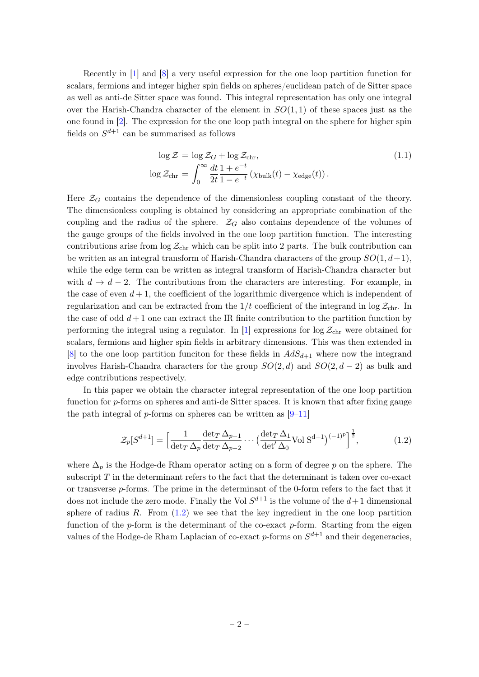Recently in [\[1\]](#page-46-0) and [\[8\]](#page-46-6) a very useful expression for the one loop partition function for scalars, fermions and integer higher spin fields on spheres/euclidean patch of de Sitter space as well as anti-de Sitter space was found. This integral representation has only one integral over the Harish-Chandra character of the element in  $SO(1,1)$  of these spaces just as the one found in [\[2\]](#page-46-1). The expression for the one loop path integral on the sphere for higher spin fields on  $S^{d+1}$  can be summarised as follows

$$
\log \mathcal{Z} = \log \mathcal{Z}_G + \log \mathcal{Z}_{\text{chr}},
$$
  
\n
$$
\log \mathcal{Z}_{\text{chr}} = \int_0^\infty \frac{dt}{2t} \frac{1 + e^{-t}}{1 - e^{-t}} \left( \chi_{\text{bulk}}(t) - \chi_{\text{edge}}(t) \right).
$$
\n(1.1)

Here  $\mathcal{Z}_G$  contains the dependence of the dimensionless coupling constant of the theory. The dimensionless coupling is obtained by considering an appropriate combination of the coupling and the radius of the sphere.  $\mathcal{Z}_G$  also contains dependence of the volumes of the gauge groups of the fields involved in the one loop partition function. The interesting contributions arise from  $\log \mathcal{Z}_{\text{chr}}$  which can be split into 2 parts. The bulk contribution can be written as an integral transform of Harish-Chandra characters of the group  $SO(1, d+1)$ , while the edge term can be written as integral transform of Harish-Chandra character but with  $d \to d - 2$ . The contributions from the characters are interesting. For example, in the case of even  $d+1$ , the coefficient of the logarithmic divergence which is independent of regularization and can be extracted from the  $1/t$  coefficient of the integrand in log  $\mathcal{Z}_{chr}$ . In the case of odd  $d+1$  one can extract the IR finite contribution to the partition function by performing the integral using a regulator. In [\[1\]](#page-46-0) expressions for  $\log Z_{\rm chr}$  were obtained for scalars, fermions and higher spin fields in arbitrary dimensions. This was then extended in [\[8\]](#page-46-6) to the one loop partition funciton for these fields in  $AdS_{d+1}$  where now the integrand involves Harish-Chandra characters for the group  $SO(2, d)$  and  $SO(2, d - 2)$  as bulk and edge contributions respectively.

In this paper we obtain the character integral representation of the one loop partition function for p-forms on spheres and anti-de Sitter spaces. It is known that after fixing gauge the path integral of  $p$ -forms on spheres can be written as  $[9-11]$  $[9-11]$ 

<span id="page-2-0"></span>
$$
\mathcal{Z}_p[S^{d+1}] = \left[\frac{1}{\det_T \Delta_p} \frac{\det_T \Delta_{p-1}}{\det_T \Delta_{p-2}} \cdots \left(\frac{\det_T \Delta_1}{\det' \Delta_0} \text{Vol } S^{d+1}\right)^{(-1)^p}\right]^{\frac{1}{2}},\tag{1.2}
$$

where  $\Delta_p$  is the Hodge-de Rham operator acting on a form of degree p on the sphere. The subscript  $T$  in the determinant refers to the fact that the determinant is taken over co-exact or transverse p-forms. The prime in the determinant of the 0-form refers to the fact that it does not include the zero mode. Finally the Vol  $S^{d+1}$  is the volume of the  $d+1$  dimensional sphere of radius  $R$ . From  $(1.2)$  we see that the key ingredient in the one loop partition function of the  $p$ -form is the determinant of the co-exact  $p$ -form. Starting from the eigen values of the Hodge-de Rham Laplacian of co-exact p-forms on  $S^{d+1}$  and their degeneracies,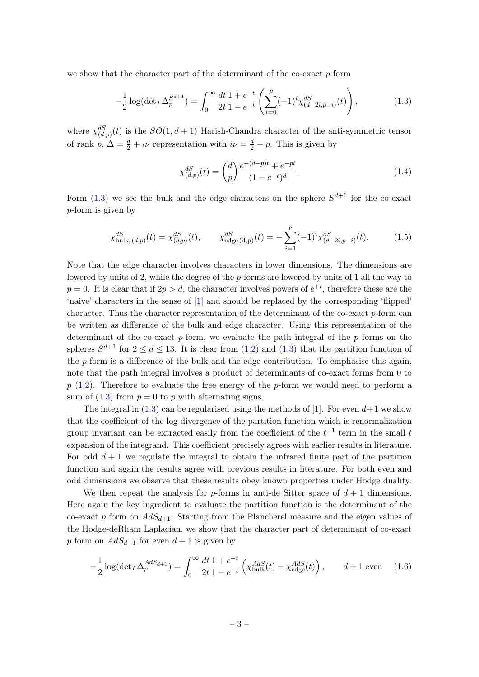we show that the character part of the determinant of the co-exact  $p$  form

<span id="page-3-0"></span>
$$
-\frac{1}{2}\log(\det T \Delta_p^{S^{d+1}}) = \int_0^\infty \frac{dt}{2t} \frac{1+e^{-t}}{1-e^{-t}} \left(\sum_{i=0}^p (-1)^i \chi_{(d-2i,p-i)}^{dS}(t)\right),\tag{1.3}
$$

where  $\chi_{(d,p)}^{dS}(t)$  is the  $SO(1, d+1)$  Harish-Chandra character of the anti-symmetric tensor of rank  $p, \Delta = \frac{d}{2} + i\nu$  representation with  $i\nu = \frac{d}{2} - p$ . This is given by

<span id="page-3-1"></span>
$$
\chi_{(d,p)}^{dS}(t) = \binom{d}{p} \frac{e^{-(d-p)t} + e^{-pt}}{(1 - e^{-t})^d}.
$$
\n(1.4)

Form  $(1.3)$  we see the bulk and the edge characters on the sphere  $S^{d+1}$  for the co-exact p-form is given by

$$
\chi_{\text{bulk},(d,p)}^{dS}(t) = \chi_{(d,p)}^{dS}(t), \qquad \chi_{\text{edge}(d,p)}^{dS}(t) = -\sum_{i=1}^{p} (-1)^i \chi_{(d-2i,p-i)}^{dS}(t). \tag{1.5}
$$

Note that the edge character involves characters in lower dimensions. The dimensions are lowered by units of 2, while the degree of the p-forms are lowered by units of 1 all the way to  $p = 0$ . It is clear that if  $2p > d$ , the character involves powers of  $e^{+t}$ , therefore these are the 'naive' characters in the sense of [\[1\]](#page-46-0) and should be replaced by the corresponding 'flipped' character. Thus the character representation of the determinant of the co-exact  $p$ -form can be written as difference of the bulk and edge character. Using this representation of the determinant of the co-exact  $p$ -form, we evaluate the path integral of the  $p$  forms on the spheres  $S^{d+1}$  for  $2 \le d \le 13$ . It is clear from  $(1.2)$  and  $(1.3)$  that the partition function of the p-form is a difference of the bulk and the edge contribution. To emphasise this again, note that the path integral involves a product of determinants of co-exact forms from 0 to  $p(1.2)$  $p(1.2)$ . Therefore to evaluate the free energy of the p-form we would need to perform a sum of  $(1.3)$  from  $p = 0$  to p with alternating signs.

The integral in [\(1.3\)](#page-3-0) can be regularised using the methods of [\[1\]](#page-46-0). For even  $d+1$  we show that the coefficient of the log divergence of the partition function which is renormalization group invariant can be extracted easily from the coefficient of the  $t^{-1}$  term in the small  $t$ expansion of the integrand. This coefficient precisely agrees with earlier results in literature. For odd  $d + 1$  we regulate the integral to obtain the infrared finite part of the partition function and again the results agree with previous results in literature. For both even and odd dimensions we observe that these results obey known properties under Hodge duality.

We then repeat the analysis for p-forms in anti-de Sitter space of  $d+1$  dimensions. Here again the key ingredient to evaluate the partition function is the determinant of the co-exact p form on  $AdS_{d+1}$ . Starting from the Plancherel measure and the eigen values of the Hodge-deRham Laplacian, we show that the character part of determinant of co-exact p form on  $AdS_{d+1}$  for even  $d+1$  is given by

$$
-\frac{1}{2}\log(\det T \Delta_p^{AdS_{d+1}}) = \int_0^\infty \frac{dt}{2t} \frac{1+e^{-t}}{1-e^{-t}} \left(\chi_{\text{bulk}}^{AdS}(t) - \chi_{\text{edge}}^{AdS}(t)\right), \qquad d+1 \text{ even} \tag{1.6}
$$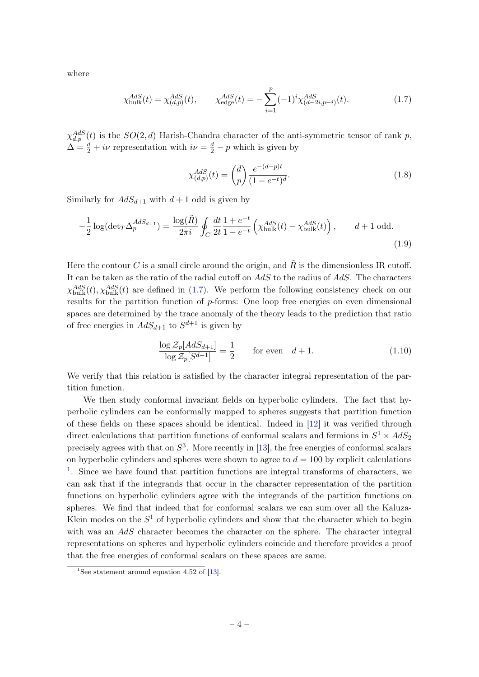where

<span id="page-4-0"></span>
$$
\chi_{\text{bulk}}^{AdS}(t) = \chi_{(d,p)}^{AdS}(t), \qquad \chi_{\text{edge}}^{AdS}(t) = -\sum_{i=1}^{p} (-1)^i \chi_{(d-2i,p-i)}^{AdS}(t). \tag{1.7}
$$

 $\chi_{d,p}^{AdS}(t)$  is the  $SO(2,d)$  Harish-Chandra character of the anti-symmetric tensor of rank p,  $\Delta = \frac{d}{2} + i\nu$  representation with  $i\nu = \frac{d}{2} - p$  which is given by

$$
\chi_{(d,p)}^{AdS}(t) = \binom{d}{p} \frac{e^{-(d-p)t}}{(1 - e^{-t})^d}.
$$
\n(1.8)

Similarly for  $AdS_{d+1}$  with  $d+1$  odd is given by

$$
-\frac{1}{2}\log(\det T \Delta_p^{AdS_{d+1}}) = \frac{\log(\tilde{R})}{2\pi i} \oint_C \frac{dt}{2t} \frac{1+e^{-t}}{1-e^{-t}} \left(\chi_{\text{bulk}}^{AdS}(t) - \chi_{\text{bulk}}^{AdS}(t)\right), \qquad d+1 \text{ odd.}
$$
\n(1.9)

Here the contour C is a small circle around the origin, and  $\tilde{R}$  is the dimensionless IR cutoff. It can be taken as the ratio of the radial cutoff on  $AdS$  to the radius of  $AdS$ . The characters  $\chi_{\text{bulk}}^{AdS}(t), \chi_{\text{bulk}}^{AdS}(t)$  are defined in [\(1.7\)](#page-4-0). We perform the following consistency check on our results for the partition function of p-forms: One loop free energies on even dimensional spaces are determined by the trace anomaly of the theory leads to the prediction that ratio of free energies in  $AdS_{d+1}$  to  $S^{d+1}$  is given by

<span id="page-4-1"></span>
$$
\frac{\log \mathcal{Z}_p[AdS_{d+1}]}{\log \mathcal{Z}_p[S^{d+1}]} = \frac{1}{2} \qquad \text{for even} \quad d+1. \tag{1.10}
$$

We verify that this relation is satisfied by the character integral representation of the partition function.

We then study conformal invariant fields on hyperbolic cylinders. The fact that hyperbolic cylinders can be conformally mapped to spheres suggests that partition function of these fields on these spaces should be identical. Indeed in [\[12\]](#page-46-9) it was verified through direct calculations that partition functions of conformal scalars and fermions in  $S^1 \times AdS_2$ precisely agrees with that on  $S^3$ . More recently in [\[13\]](#page-46-10), the free energies of conformal scalars on hyperbolic cylinders and spheres were shown to agree to  $d = 100$  by explicit calculations <sup>[1](#page-0-0)</sup>. Since we have found that partition functions are integral transforms of characters, we can ask that if the integrands that occur in the character representation of the partition functions on hyperbolic cylinders agree with the integrands of the partition functions on spheres. We find that indeed that for conformal scalars we can sum over all the Kaluza-Klein modes on the  $S^1$  of hyperbolic cylinders and show that the character which to begin with was an AdS character becomes the character on the sphere. The character integral representations on spheres and hyperbolic cylinders coincide and therefore provides a proof that the free energies of conformal scalars on these spaces are same.

<sup>&</sup>lt;sup>1</sup>See statement around equation 4.52 of [\[13\]](#page-46-10).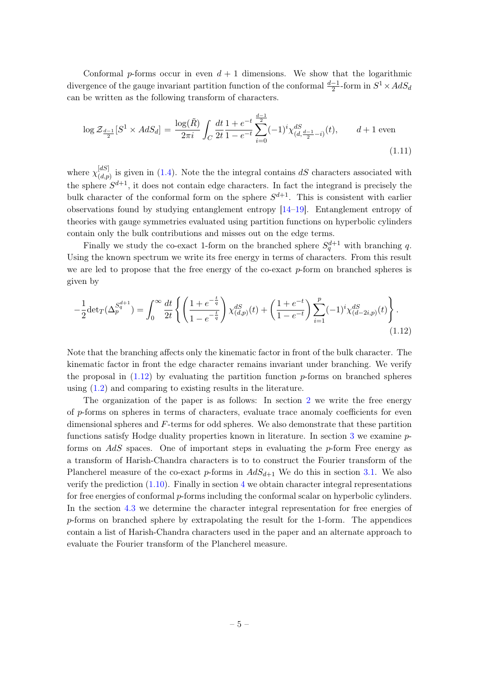Conformal p-forms occur in even  $d + 1$  dimensions. We show that the logarithmic divergence of the gauge invariant partition function of the conformal  $\frac{d-1}{2}$ -form in  $S^1 \times AdS_d$ can be written as the following transform of characters.

$$
\log \mathcal{Z}_{\frac{d-1}{2}}[S^1 \times AdS_d] = \frac{\log(\tilde{R})}{2\pi i} \int_C \frac{dt}{2t} \frac{1+e^{-t}}{1-e^{-t}} \sum_{i=0}^{\frac{d-1}{2}} (-1)^i \chi_{(d,\frac{d-1}{2}-i)}^{dS}(t), \qquad d+1 \text{ even}
$$
\n(1.11)

where  $\chi_{(d,n)}^{[dS]}$  $\binom{[a]}{(d,p)}$  is given in [\(1.4\)](#page-3-1). Note the the integral contains dS characters associated with the sphere  $S^{d+1}$ , it does not contain edge characters. In fact the integrand is precisely the bulk character of the conformal form on the sphere  $S^{d+1}$ . This is consistent with earlier observations found by studying entanglement entropy [\[14–](#page-47-0)[19\]](#page-47-1). Entanglement entropy of theories with gauge symmetries evaluated using partition functions on hyperbolic cylinders contain only the bulk contributions and misses out on the edge terms.

Finally we study the co-exact 1-form on the branched sphere  $S_q^{d+1}$  with branching q. Using the known spectrum we write its free energy in terms of characters. From this result we are led to propose that the free energy of the co-exact  $p$ -form on branched spheres is given by

<span id="page-5-0"></span>
$$
-\frac{1}{2}\det_T(\Delta_p^{S_q^{d+1}}) = \int_0^\infty \frac{dt}{2t} \left\{ \left( \frac{1 + e^{-\frac{t}{q}}}{1 - e^{-\frac{t}{q}}} \right) \chi_{(d,p)}^{dS}(t) + \left( \frac{1 + e^{-t}}{1 - e^{-t}} \right) \sum_{i=1}^p (-1)^i \chi_{(d-2i,p)}^{dS}(t) \right\}.
$$
\n(1.12)

Note that the branching affects only the kinematic factor in front of the bulk character. The kinematic factor in front the edge character remains invariant under branching. We verify the proposal in  $(1.12)$  by evaluating the partition function p-forms on branched spheres using [\(1.2\)](#page-2-0) and comparing to existing results in the literature.

The organization of the paper is as follows: In section [2](#page-6-0) we write the free energy of p-forms on spheres in terms of characters, evaluate trace anomaly coefficients for even dimensional spheres and F-terms for odd spheres. We also demonstrate that these partition functions satisfy Hodge duality properties known in literature. In section [3](#page-18-0) we examine pforms on  $AdS$  spaces. One of important steps in evaluating the p-form Free energy as a transform of Harish-Chandra characters is to to construct the Fourier transform of the Plancherel measure of the co-exact p-forms in  $AdS_{d+1}$  We do this in section [3.1.](#page-19-0) We also verify the prediction  $(1.10)$ . Finally in section [4](#page-29-0) we obtain character integral representations for free energies of conformal p-forms including the conformal scalar on hyperbolic cylinders. In the section [4.3](#page-37-0) we determine the character integral representation for free energies of p-forms on branched sphere by extrapolating the result for the 1-form. The appendices contain a list of Harish-Chandra characters used in the paper and an alternate approach to evaluate the Fourier transform of the Plancherel measure.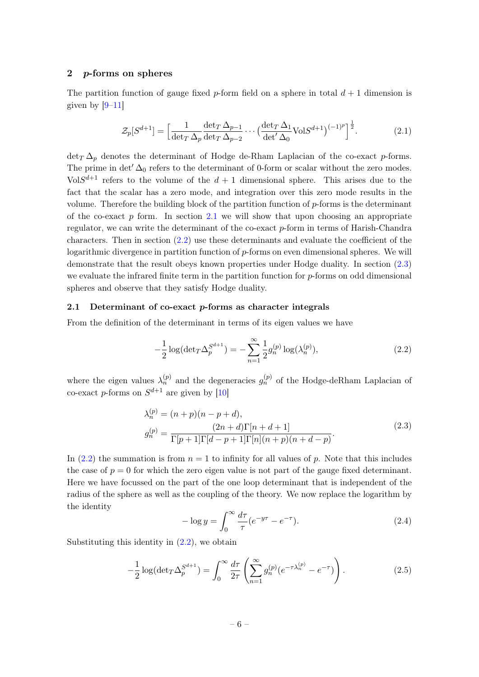#### <span id="page-6-0"></span>2 p-forms on spheres

The partition function of gauge fixed p-form field on a sphere in total  $d+1$  dimension is given by  $[9-11]$  $[9-11]$ 

<span id="page-6-6"></span>
$$
\mathcal{Z}_p[S^{d+1}] = \left[\frac{1}{\det_T \Delta_p} \frac{\det_T \Delta_{p-1}}{\det_T \Delta_{p-2}} \cdots \left(\frac{\det_T \Delta_1}{\det' \Delta_0} \text{Vol} S^{d+1}\right)^{(-1)^p}\right]^{\frac{1}{2}}.
$$
(2.1)

 $\det_T \Delta_p$  denotes the determinant of Hodge de-Rham Laplacian of the co-exact p-forms. The prime in det<sup> $\Delta_0$ </sup> refers to the determinant of 0-form or scalar without the zero modes.  $VolS^{d+1}$  refers to the volume of the  $d+1$  dimensional sphere. This arises due to the fact that the scalar has a zero mode, and integration over this zero mode results in the volume. Therefore the building block of the partition function of  $p$ -forms is the determinant of the co-exact  $p$  form. In section [2.1](#page-6-1) we will show that upon choosing an appropriate regulator, we can write the determinant of the co-exact p-form in terms of Harish-Chandra characters. Then in section  $(2.2)$  use these determinants and evaluate the coefficient of the logarithmic divergence in partition function of  $p$ -forms on even dimensional spheres. We will demonstrate that the result obeys known properties under Hodge duality. In section [\(2.3\)](#page-15-1) we evaluate the infrared finite term in the partition function for  $p$ -forms on odd dimensional spheres and observe that they satisfy Hodge duality.

#### <span id="page-6-1"></span>2.1 Determinant of co-exact  $p$ -forms as character integrals

From the definition of the determinant in terms of its eigen values we have

<span id="page-6-2"></span>
$$
-\frac{1}{2}\log(\det T \Delta_p^{S^{d+1}}) = -\sum_{n=1}^{\infty} \frac{1}{2} g_n^{(p)} \log(\lambda_n^{(p)}),\tag{2.2}
$$

where the eigen values  $\lambda_n^{(p)}$  and the degeneracies  $g_n^{(p)}$  of the Hodge-deRham Laplacian of co-exact *p*-forms on  $S^{d+1}$  are given by [\[10\]](#page-46-11)

$$
\lambda_n^{(p)} = (n+p)(n-p+d), \ng_n^{(p)} = \frac{(2n+d)\Gamma[n+d+1]}{\Gamma[p+1]\Gamma[d-p+1]\Gamma[n](n+p)(n+d-p)}.
$$
\n(2.3)

<span id="page-6-5"></span>In [\(2.2\)](#page-6-2) the summation is from  $n = 1$  to infinity for all values of p. Note that this includes the case of  $p = 0$  for which the zero eigen value is not part of the gauge fixed determinant. Here we have focussed on the part of the one loop determinant that is independent of the radius of the sphere as well as the coupling of the theory. We now replace the logarithm by the identity

<span id="page-6-3"></span>
$$
-\log y = \int_0^\infty \frac{d\tau}{\tau} (e^{-y\tau} - e^{-\tau}).\tag{2.4}
$$

Substituting this identity in  $(2.2)$ , we obtain

<span id="page-6-4"></span>
$$
-\frac{1}{2}\log(\det T \Delta_p^{S^{d+1}}) = \int_0^\infty \frac{d\tau}{2\tau} \left( \sum_{n=1}^\infty g_n^{(p)} (e^{-\tau \lambda_n^{(p)}} - e^{-\tau}) \right). \tag{2.5}
$$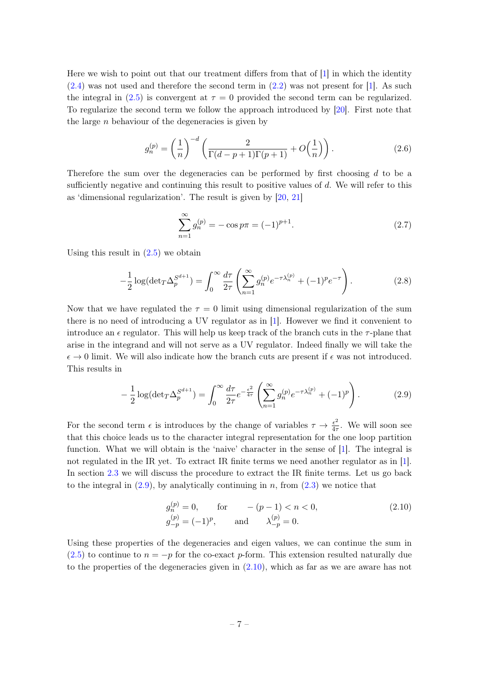Here we wish to point out that our treatment differs from that of [\[1\]](#page-46-0) in which the identity [\(2.4\)](#page-6-3) was not used and therefore the second term in [\(2.2\)](#page-6-2) was not present for [\[1\]](#page-46-0). As such the integral in [\(2.5\)](#page-6-4) is convergent at  $\tau = 0$  provided the second term can be regularized. To regularize the second term we follow the approach introduced by [\[20\]](#page-47-2). First note that the large  $n$  behaviour of the degeneracies is given by

$$
g_n^{(p)} = \left(\frac{1}{n}\right)^{-d} \left(\frac{2}{\Gamma(d-p+1)\Gamma(p+1)} + O\left(\frac{1}{n}\right)\right). \tag{2.6}
$$

Therefore the sum over the degeneracies can be performed by first choosing d to be a sufficiently negative and continuing this result to positive values of d. We will refer to this as 'dimensional regularization'. The result is given by [\[20,](#page-47-2) [21\]](#page-47-3)

<span id="page-7-2"></span>
$$
\sum_{n=1}^{\infty} g_n^{(p)} = -\cos p\pi = (-1)^{p+1}.
$$
\n(2.7)

Using this result in  $(2.5)$  we obtain

$$
-\frac{1}{2}\log(\det T \Delta_p^{S^{d+1}}) = \int_0^\infty \frac{d\tau}{2\tau} \left( \sum_{n=1}^\infty g_n^{(p)} e^{-\tau \lambda_n^{(p)}} + (-1)^p e^{-\tau} \right). \tag{2.8}
$$

Now that we have regulated the  $\tau = 0$  limit using dimensional regularization of the sum there is no need of introducing a UV regulator as in [\[1\]](#page-46-0). However we find it convenient to introduce an  $\epsilon$  regulator. This will help us keep track of the branch cuts in the  $\tau$ -plane that arise in the integrand and will not serve as a UV regulator. Indeed finally we will take the  $\epsilon \to 0$  limit. We will also indicate how the branch cuts are present if  $\epsilon$  was not introduced. This results in

<span id="page-7-0"></span>
$$
-\frac{1}{2}\log(\det(\Gamma \Delta_p^{S^{d+1}})) = \int_0^\infty \frac{d\tau}{2\tau} e^{-\frac{\epsilon^2}{4\tau}} \left( \sum_{n=1}^\infty g_n^{(p)} e^{-\tau \lambda_n^{(p)}} + (-1)^p \right). \tag{2.9}
$$

For the second term  $\epsilon$  is introduces by the change of variables  $\tau \to \frac{\epsilon^2}{4\tau}$  $rac{\epsilon^2}{4\tau}$ . We will soon see that this choice leads us to the character integral representation for the one loop partition function. What we will obtain is the 'naive' character in the sense of [\[1\]](#page-46-0). The integral is not regulated in the IR yet. To extract IR finite terms we need another regulator as in [\[1\]](#page-46-0). In section [2.3](#page-15-1) we will discuss the procedure to extract the IR finite terms. Let us go back to the integral in  $(2.9)$ , by analytically continuing in n, from  $(2.3)$  we notice that

<span id="page-7-1"></span>
$$
g_n^{(p)} = 0
$$
, for  $-(p-1) < n < 0$ ,  
\n $g_{-p}^{(p)} = (-1)^p$ , and  $\lambda_{-p}^{(p)} = 0$ . (2.10)

Using these properties of the degeneracies and eigen values, we can continue the sum in [\(2.5\)](#page-6-4) to continue to  $n = -p$  for the co-exact p-form. This extension resulted naturally due to the properties of the degeneracies given in [\(2.10\)](#page-7-1), which as far as we are aware has not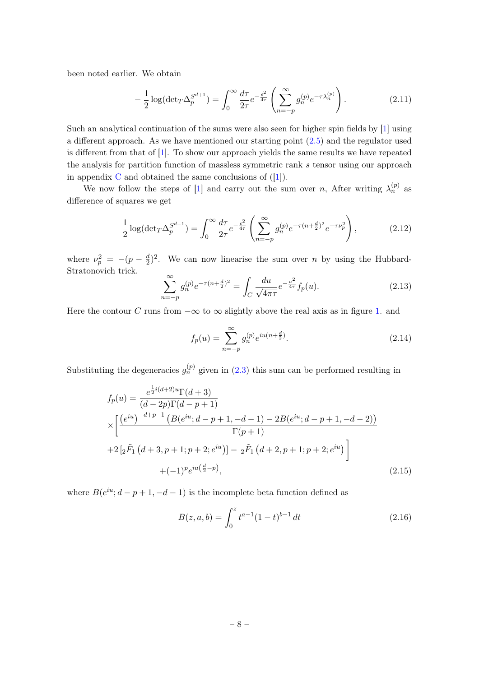been noted earlier. We obtain

<span id="page-8-2"></span>
$$
-\frac{1}{2}\log(\det(\Gamma \Delta_p^{S^{d+1}})) = \int_0^\infty \frac{d\tau}{2\tau} e^{-\frac{\epsilon^2}{4\tau}} \left(\sum_{n=-p}^\infty g_n^{(p)} e^{-\tau \lambda_n^{(p)}}\right). \tag{2.11}
$$

Such an analytical continuation of the sums were also seen for higher spin fields by [\[1\]](#page-46-0) using a different approach. As we have mentioned our starting point [\(2.5\)](#page-6-4) and the regulator used is different from that of [\[1\]](#page-46-0). To show our approach yields the same results we have repeated the analysis for partition function of massless symmetric rank s tensor using our approach in appendix [C](#page-44-0) and obtained the same conclusions of  $([1])$  $([1])$  $([1])$ .

We now follow the steps of [\[1\]](#page-46-0) and carry out the sum over n, After writing  $\lambda_n^{(p)}$  as difference of squares we get

$$
\frac{1}{2}\log(\det T \Delta_p^{S^{d+1}}) = \int_0^\infty \frac{d\tau}{2\tau} e^{-\frac{\epsilon^2}{4\tau}} \left( \sum_{n=-p}^\infty g_n^{(p)} e^{-\tau (n + \frac{d}{2})^2} e^{-\tau \nu_p^2} \right),\tag{2.12}
$$

where  $\nu_p^2 = -(p - \frac{d}{2})$  $\frac{d}{2}$ <sup>2</sup>. We can now linearise the sum over *n* by using the Hubbard-Stratonovich trick.

<span id="page-8-1"></span>
$$
\sum_{n=-p}^{\infty} g_n^{(p)} e^{-\tau (n + \frac{d}{2})^2} = \int_C \frac{du}{\sqrt{4\pi\tau}} e^{-\frac{u^2}{4\tau}} f_p(u). \tag{2.13}
$$

Here the contour C runs from  $-\infty$  to  $\infty$  slightly above the real axis as in figure [1.](#page-11-0) and

$$
f_p(u) = \sum_{n=-p}^{\infty} g_n^{(p)} e^{iu(n + \frac{d}{2})}.
$$
 (2.14)

Substituting the degeneracies  $g_n^{(p)}$  given in [\(2.3\)](#page-6-5) this sum can be performed resulting in

<span id="page-8-0"></span>
$$
f_p(u) = \frac{e^{\frac{1}{2}i(d+2)u}\Gamma(d+3)}{(d-2p)\Gamma(d-p+1)}
$$
  
\n
$$
\times \left[ \frac{(e^{iu})^{-d+p-1} \left( B(e^{iu}; d-p+1, -d-1) - 2B(e^{iu}; d-p+1, -d-2) \right)}{\Gamma(p+1)} + 2 \left[ 2\tilde{F}_1 \left( d+3, p+1; p+2; e^{iu} \right) \right] - 2\tilde{F}_1 \left( d+2, p+1; p+2; e^{iu} \right) \right] + (-1)^p e^{iu\left(\frac{d}{2} - p\right)},
$$
\n(2.15)

where  $B(e^{iu}; d-p+1, -d-1)$  is the incomplete beta function defined as

$$
B(z, a, b) = \int_0^z t^{a-1} (1-t)^{b-1} dt
$$
 (2.16)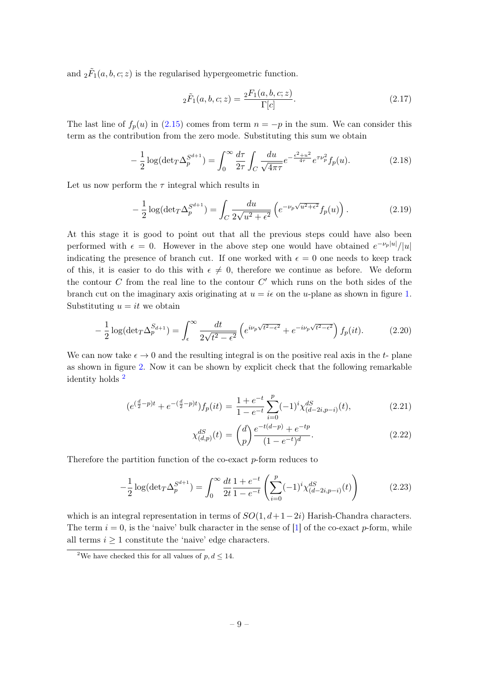and  ${}_2\tilde{F}_1(a, b, c; z)$  is the regularised hypergeometric function.

<span id="page-9-2"></span>
$$
{}_{2}\tilde{F}_{1}(a,b,c;z) = \frac{{}_{2}F_{1}(a,b,c;z)}{\Gamma[c]}.
$$
\n(2.17)

The last line of  $f_p(u)$  in [\(2.15\)](#page-8-0) comes from term  $n = -p$  in the sum. We can consider this term as the contribution from the zero mode. Substituting this sum we obtain

$$
-\frac{1}{2}\log(\det(\Gamma \Delta_p^{S^{d+1}})) = \int_0^\infty \frac{d\tau}{2\tau} \int_C \frac{du}{\sqrt{4\pi\tau}} e^{-\frac{e^2 + u^2}{4\tau}} e^{\tau \nu_p^2} f_p(u). \tag{2.18}
$$

Let us now perform the  $\tau$  integral which results in

$$
-\frac{1}{2}\log(\det T \Delta_p^{S^{d+1}}) = \int_C \frac{du}{2\sqrt{u^2 + \epsilon^2}} \left( e^{-\nu_p \sqrt{u^2 + \epsilon^2}} f_p(u) \right). \tag{2.19}
$$

At this stage it is good to point out that all the previous steps could have also been performed with  $\epsilon = 0$ . However in the above step one would have obtained  $e^{-\nu_p|u|}/|u|$ indicating the presence of branch cut. If one worked with  $\epsilon = 0$  one needs to keep track of this, it is easier to do this with  $\epsilon \neq 0$ , therefore we continue as before. We deform the contour  $C$  from the real line to the contour  $C'$  which runs on the both sides of the branch cut on the imaginary axis originating at  $u = i\epsilon$  on the u-plane as shown in figure [1.](#page-11-0) Substituting  $u = it$  we obtain

<span id="page-9-3"></span>
$$
-\frac{1}{2}\log(\det(\Gamma \Delta_p^{S_{d+1}})) = \int_{\epsilon}^{\infty} \frac{dt}{2\sqrt{t^2 - \epsilon^2}} \left( e^{i\nu_p\sqrt{t^2 - \epsilon^2}} + e^{-i\nu_p\sqrt{t^2 - \epsilon^2}} \right) f_p(it). \tag{2.20}
$$

We can now take  $\epsilon \to 0$  and the resulting integral is on the positive real axis in the t- plane as shown in figure [2.](#page-11-0) Now it can be shown by explicit check that the following remarkable identity holds [2](#page-0-0)

<span id="page-9-1"></span>
$$
(e^{(\frac{d}{2}-p)t} + e^{-(\frac{d}{2}-p)t})f_p(it) = \frac{1+e^{-t}}{1-e^{-t}}\sum_{i=0}^p (-1)^i \chi_{(d-2i,p-i)}^{dS}(t),
$$
\n(2.21)

<span id="page-9-0"></span>
$$
\chi_{(d,p)}^{dS}(t) = {d \choose p} \frac{e^{-t(d-p)} + e^{-tp}}{(1 - e^{-t})^d}.
$$
\n(2.22)

Therefore the partition function of the co-exact p-form reduces to

$$
-\frac{1}{2}\log(\det T \Delta_p^{S^{d+1}}) = \int_0^\infty \frac{dt}{2t} \frac{1+e^{-t}}{1-e^{-t}} \left(\sum_{i=0}^p (-1)^i \chi_{(d-2i,p-i)}^{dS}(t)\right) \tag{2.23}
$$

which is an integral representation in terms of  $SO(1, d+1-2i)$  Harish-Chandra characters. The term  $i = 0$ , is the 'naive' bulk character in the sense of [\[1\]](#page-46-0) of the co-exact p-form, while all terms  $i \geq 1$  constitute the 'naive' edge characters.

<sup>&</sup>lt;sup>2</sup>We have checked this for all values of  $p, d \leq 14$ .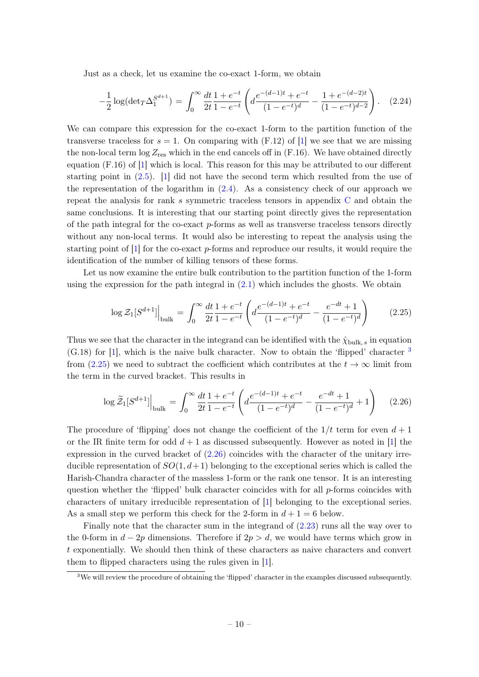Just as a check, let us examine the co-exact 1-form, we obtain

$$
-\frac{1}{2}\log(\det T \Delta_1^{S^{d+1}}) = \int_0^\infty \frac{dt}{2t} \frac{1+e^{-t}}{1-e^{-t}} \left( d \frac{e^{-(d-1)t}+e^{-t}}{(1-e^{-t})^d} - \frac{1+e^{-(d-2)t}}{(1-e^{-t})^{d-2}} \right). \tag{2.24}
$$

We can compare this expression for the co-exact 1-form to the partition function of the transverse traceless for  $s = 1$ . On comparing with (F.12) of [\[1\]](#page-46-0) we see that we are missing the non-local term  $\log Z_{\text{res}}$  which in the end cancels off in (F.16). We have obtained directly equation (F.16) of [\[1\]](#page-46-0) which is local. This reason for this may be attributed to our different starting point in [\(2.5\)](#page-6-4). [\[1\]](#page-46-0) did not have the second term which resulted from the use of the representation of the logarithm in  $(2.4)$ . As a consistency check of our approach we repeat the analysis for rank s symmetric traceless tensors in appendix [C](#page-44-0) and obtain the same conclusions. It is interesting that our starting point directly gives the representation of the path integral for the co-exact p-forms as well as transverse traceless tensors directly without any non-local terms. It would also be interesting to repeat the analysis using the starting point of  $[1]$  for the co-exact p-forms and reproduce our results, it would require the identification of the number of killing tensors of these forms.

Let us now examine the entire bulk contribution to the partition function of the 1-form using the expression for the path integral in  $(2.1)$  which includes the ghosts. We obtain

<span id="page-10-0"></span>
$$
\log \mathcal{Z}_1[S^{d+1}]\Big|_{\text{bulk}} = \int_0^\infty \frac{dt}{2t} \frac{1+e^{-t}}{1-e^{-t}} \left( d \frac{e^{-(d-1)t}+e^{-t}}{(1-e^{-t})^d} - \frac{e^{-dt}+1}{(1-e^{-t})^d} \right) \tag{2.25}
$$

Thus we see that the character in the integrand can be identified with the  $\hat{\chi}_{\text{bulk}, s}$  in equation  $(G.18)$  for [\[1\]](#page-46-0), which is the naive bulk character. Now to obtain the 'flipped' character  $^3$  $^3$ from [\(2.25\)](#page-10-0) we need to subtract the coefficient which contributes at the  $t \to \infty$  limit from the term in the curved bracket. This results in

<span id="page-10-1"></span>
$$
\log \widetilde{\mathcal{Z}}_1[S^{d+1}]\Big|_{\text{bulk}} = \int_0^\infty \frac{dt}{2t} \frac{1+e^{-t}}{1-e^{-t}} \left( d \frac{e^{-(d-1)t}+e^{-t}}{(1-e^{-t})^d} - \frac{e^{-dt}+1}{(1-e^{-t})^d} + 1 \right) \tag{2.26}
$$

The procedure of 'flipping' does not change the coefficient of the  $1/t$  term for even  $d+1$ or the IR finite term for odd  $d+1$  as discussed subsequently. However as noted in [\[1\]](#page-46-0) the expression in the curved bracket of [\(2.26\)](#page-10-1) coincides with the character of the unitary irreducible representation of  $SO(1, d+1)$  belonging to the exceptional series which is called the Harish-Chandra character of the massless 1-form or the rank one tensor. It is an interesting question whether the 'flipped' bulk character coincides with for all p-forms coincides with characters of unitary irreducible representation of [\[1\]](#page-46-0) belonging to the exceptional series. As a small step we perform this check for the 2-form in  $d+1=6$  below.

Finally note that the character sum in the integrand of [\(2.23\)](#page-9-0) runs all the way over to the 0-form in  $d-2p$  dimensions. Therefore if  $2p > d$ , we would have terms which grow in t exponentially. We should then think of these characters as naive characters and convert them to flipped characters using the rules given in [\[1\]](#page-46-0).

<sup>&</sup>lt;sup>3</sup>We will review the procedure of obtaining the 'flipped' character in the examples discussed subsequently.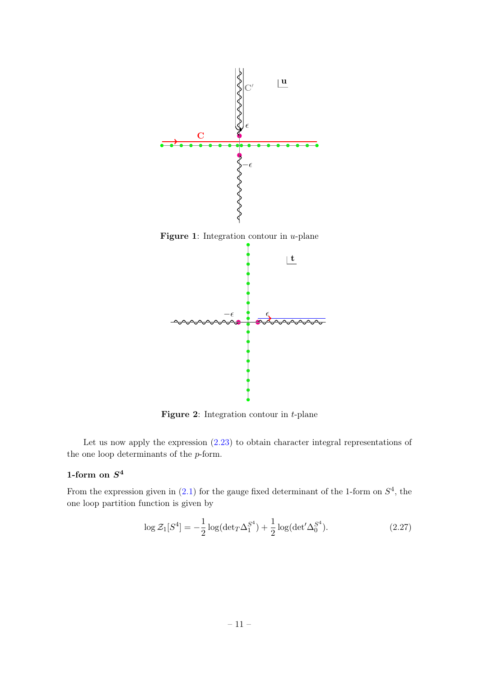<span id="page-11-0"></span>

Figure 2: Integration contour in  $t$ -plane

Let us now apply the expression [\(2.23\)](#page-9-0) to obtain character integral representations of the one loop determinants of the p-form.

# 1-form on  $S^4$

From the expression given in  $(2.1)$  for the gauge fixed determinant of the 1-form on  $S<sup>4</sup>$ , the one loop partition function is given by

$$
\log \mathcal{Z}_1[S^4] = -\frac{1}{2}\log(\det T \Delta_1^{S^4}) + \frac{1}{2}\log(\det' \Delta_0^{S^4}).
$$
\n(2.27)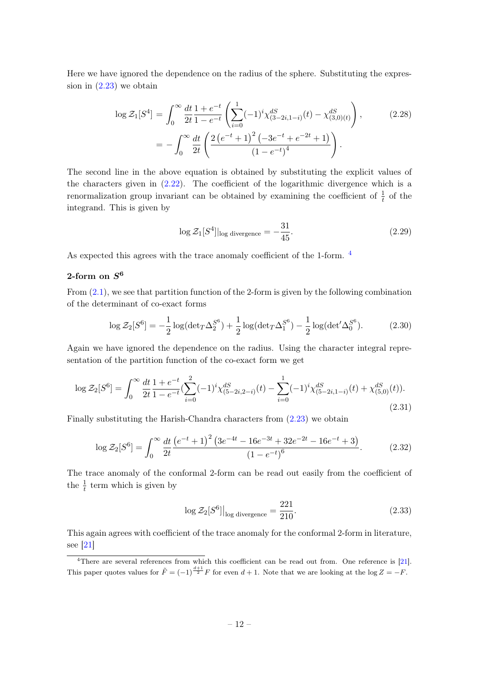Here we have ignored the dependence on the radius of the sphere. Substituting the expression in  $(2.23)$  we obtain

$$
\log \mathcal{Z}_1[S^4] = \int_0^\infty \frac{dt}{2t} \frac{1 + e^{-t}}{1 - e^{-t}} \left( \sum_{i=0}^1 (-1)^i \chi_{(3-2i,1-i)}^{dS}(t) - \chi_{(3,0)(t)}^{dS} \right),\tag{2.28}
$$

$$
= -\int_0^\infty \frac{dt}{2t} \left( \frac{2\left(e^{-t} + 1\right)^2 \left(-3e^{-t} + e^{-2t} + 1\right)}{\left(1 - e^{-t}\right)^4} \right).
$$

The second line in the above equation is obtained by substituting the explicit values of the characters given in  $(2.22)$ . The coefficient of the logarithmic divergence which is a renormalization group invariant can be obtained by examining the coefficient of  $\frac{1}{t}$  of the integrand. This is given by

$$
\log \mathcal{Z}_1[S^4]|_{\log \text{divergence}} = -\frac{31}{45}.\tag{2.29}
$$

As expected this agrees with the trace anomaly coefficient of the 1-form. [4](#page-0-0)

# 2-form on  $S^6$

From [\(2.1\)](#page-6-6), we see that partition function of the 2-form is given by the following combination of the determinant of co-exact forms

<span id="page-12-0"></span>
$$
\log \mathcal{Z}_2[S^6] = -\frac{1}{2}\log(\det T \Delta_2^{S^6}) + \frac{1}{2}\log(\det T \Delta_1^{S^6}) - \frac{1}{2}\log(\det' \Delta_0^{S^6}).\tag{2.30}
$$

Again we have ignored the dependence on the radius. Using the character integral representation of the partition function of the co-exact form we get

$$
\log \mathcal{Z}_2[S^6] = \int_0^\infty \frac{dt}{2t} \frac{1+e^{-t}}{1-e^{-t}} \left(\sum_{i=0}^2 (-1)^i \chi_{(5-2i,2-i)}^{dS}(t) - \sum_{i=0}^1 (-1)^i \chi_{(5-2i,1-i)}^{dS}(t) + \chi_{(5,0)}^{dS}(t)\right).
$$
\n(2.31)

Finally substituting the Harish-Chandra characters from [\(2.23\)](#page-9-0) we obtain

$$
\log \mathcal{Z}_2[S^6] = \int_0^\infty \frac{dt}{2t} \frac{\left(e^{-t} + 1\right)^2 \left(3e^{-4t} - 16e^{-3t} + 32e^{-2t} - 16e^{-t} + 3\right)}{\left(1 - e^{-t}\right)^6}.
$$
 (2.32)

The trace anomaly of the conformal 2-form can be read out easily from the coefficient of the  $\frac{1}{t}$  term which is given by

$$
\log \mathcal{Z}_2[S^6]|_{\log \text{divergence}} = \frac{221}{210}.\tag{2.33}
$$

This again agrees with coefficient of the trace anomaly for the conformal 2-form in literature, see [\[21\]](#page-47-3)

<sup>&</sup>lt;sup>4</sup>There are several references from which this coefficient can be read out from. One reference is [\[21\]](#page-47-3). This paper quotes values for  $\tilde{F} = (-1)^{\frac{d+1}{2}} F$  for even  $d+1$ . Note that we are looking at the log  $Z = -F$ .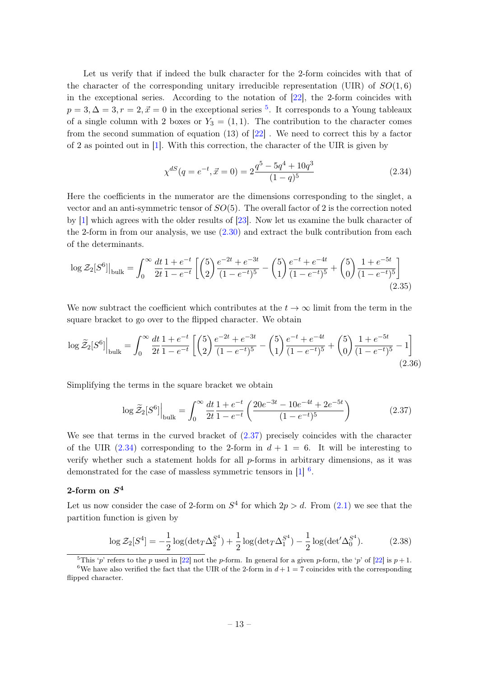Let us verify that if indeed the bulk character for the 2-form coincides with that of the character of the corresponding unitary irreducible representation (UIR) of  $SO(1,6)$ in the exceptional series. According to the notation of  $[22]$ , the 2-form coincides with  $p = 3, \Delta = 3, r = 2, \vec{x} = 0$  in the exceptional series <sup>[5](#page-0-0)</sup>. It corresponds to a Young tableaux of a single column with 2 boxes or  $Y_3 = (1, 1)$ . The contribution to the character comes from the second summation of equation (13) of [\[22\]](#page-47-4) . We need to correct this by a factor of 2 as pointed out in [\[1\]](#page-46-0). With this correction, the character of the UIR is given by

<span id="page-13-1"></span>
$$
\chi^{dS}(q = e^{-t}, \vec{x} = 0) = 2\frac{q^5 - 5q^4 + 10q^3}{(1-q)^5}
$$
\n(2.34)

Here the coefficients in the numerator are the dimensions corresponding to the singlet, a vector and an anti-symmetric tensor of  $SO(5)$ . The overall factor of 2 is the correction noted by [\[1\]](#page-46-0) which agrees with the older results of [\[23\]](#page-47-5). Now let us examine the bulk character of the 2-form in from our analysis, we use  $(2.30)$  and extract the bulk contribution from each of the determinants.

$$
\log \mathcal{Z}_{2}[S^{6}]|_{\text{bulk}} = \int_{0}^{\infty} \frac{dt}{2t} \frac{1+e^{-t}}{1-e^{-t}} \left[ \binom{5}{2} \frac{e^{-2t}+e^{-3t}}{(1-e^{-t})^5} - \binom{5}{1} \frac{e^{-t}+e^{-4t}}{(1-e^{-t})^5} + \binom{5}{0} \frac{1+e^{-5t}}{(1-e^{-t})^5} \right] \tag{2.35}
$$

We now subtract the coefficient which contributes at the  $t \to \infty$  limit from the term in the square bracket to go over to the flipped character. We obtain

$$
\log \widetilde{\mathcal{Z}}_2[S^6] \Big|_{\text{bulk}} = \int_0^\infty \frac{dt}{2t} \frac{1+e^{-t}}{1-e^{-t}} \left[ \binom{5}{2} \frac{e^{-2t}+e^{-3t}}{(1-e^{-t})^5} - \binom{5}{1} \frac{e^{-t}+e^{-4t}}{(1-e^{-t})^5} + \binom{5}{0} \frac{1+e^{-5t}}{(1-e^{-t})^5} - 1 \right] \tag{2.36}
$$

Simplifying the terms in the square bracket we obtain

<span id="page-13-0"></span>
$$
\log \tilde{\mathcal{Z}}_2[S^6]\Big|_{\text{bulk}} = \int_0^\infty \frac{dt}{2t} \frac{1+e^{-t}}{1-e^{-t}} \left( \frac{20e^{-3t} - 10e^{-4t} + 2e^{-5t}}{(1-e^{-t})^5} \right) \tag{2.37}
$$

We see that terms in the curved bracket of [\(2.37\)](#page-13-0) precisely coincides with the character of the UIR [\(2.34\)](#page-13-1) corresponding to the 2-form in  $d+1=6$ . It will be interesting to verify whether such a statement holds for all  $p$ -forms in arbitrary dimensions, as it was demonstrated for the case of massless symmetric tensors in  $[1]$ <sup>[6](#page-0-0)</sup>.

# 2-form on  $S^4$

Let us now consider the case of 2-form on  $S^4$  for which  $2p > d$ . From  $(2.1)$  we see that the partition function is given by

$$
\log \mathcal{Z}_2[S^4] = -\frac{1}{2} \log(\det T \Delta_2^{S^4}) + \frac{1}{2} \log(\det T \Delta_1^{S^4}) - \frac{1}{2} \log(\det \Delta_0^{S^4}).
$$
 (2.38)

<sup>&</sup>lt;sup>5</sup>This 'p' refers to the p used in [\[22\]](#page-47-4) not the p-form. In general for a given p-form, the 'p' of [22] is  $p+1$ . <sup>6</sup>We have also verified the fact that the UIR of the 2-form in  $d+1=7$  coincides with the corresponding flipped character.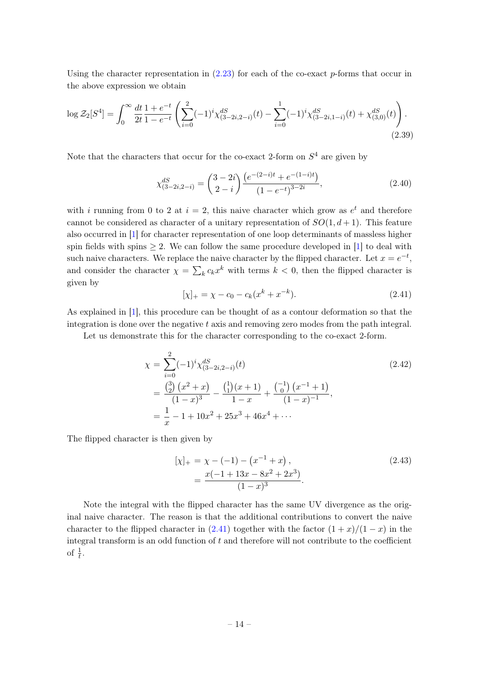Using the character representation in  $(2.23)$  for each of the co-exact p-forms that occur in the above expression we obtain

<span id="page-14-1"></span>
$$
\log \mathcal{Z}_2[S^4] = \int_0^\infty \frac{dt}{2t} \frac{1+e^{-t}}{1-e^{-t}} \left( \sum_{i=0}^2 (-1)^i \chi_{(3-2i,2-i)}^{dS}(t) - \sum_{i=0}^1 (-1)^i \chi_{(3-2i,1-i)}^{dS}(t) + \chi_{(3,0)}^{dS}(t) \right). \tag{2.39}
$$

Note that the characters that occur for the co-exact 2-form on  $S<sup>4</sup>$  are given by

$$
\chi_{(3-2i,2-i)}^{dS} = \binom{3-2i}{2-i} \frac{\left(e^{-(2-i)t} + e^{-(1-i)t}\right)}{\left(1 - e^{-t}\right)^{3-2i}},\tag{2.40}
$$

with i running from 0 to 2 at  $i = 2$ , this naive character which grow as  $e^t$  and therefore cannot be considered as character of a unitary representation of  $SO(1, d+1)$ . This feature also occurred in [\[1\]](#page-46-0) for character representation of one loop determinants of massless higher spin fields with spins  $\geq 2$ . We can follow the same procedure developed in [\[1\]](#page-46-0) to deal with such naive characters. We replace the naive character by the flipped character. Let  $x = e^{-t}$ , and consider the character  $\chi = \sum_{k} c_k x^k$  with terms  $k < 0$ , then the flipped character is given by

<span id="page-14-0"></span>
$$
[\chi]_{+} = \chi - c_0 - c_k (x^k + x^{-k}). \tag{2.41}
$$

As explained in [\[1\]](#page-46-0), this procedure can be thought of as a contour deformation so that the integration is done over the negative  $t$  axis and removing zero modes from the path integral.

Let us demonstrate this for the character corresponding to the co-exact 2-form.

$$
\chi = \sum_{i=0}^{2} (-1)^{i} \chi_{(3-2i,2-i)}^{dS}(t)
$$
\n
$$
= \frac{\binom{3}{2} (x^{2} + x)}{(1-x)^{3}} - \frac{\binom{1}{1} (x+1)}{1-x} + \frac{\binom{-1}{0} (x^{-1} + 1)}{(1-x)^{-1}},
$$
\n
$$
= \frac{1}{x} - 1 + 10x^{2} + 25x^{3} + 46x^{4} + \cdots
$$
\n(2.42)

The flipped character is then given by

$$
[\chi]_{+} = \chi - (-1) - (x^{-1} + x),
$$
  
= 
$$
\frac{x(-1+13x - 8x^{2} + 2x^{3})}{(1-x)^{3}}.
$$
 (2.43)

Note the integral with the flipped character has the same UV divergence as the original naive character. The reason is that the additional contributions to convert the naive character to the flipped character in  $(2.41)$  together with the factor  $(1+x)/(1-x)$  in the integral transform is an odd function of  $t$  and therefore will not contribute to the coefficient of  $\frac{1}{t}$ .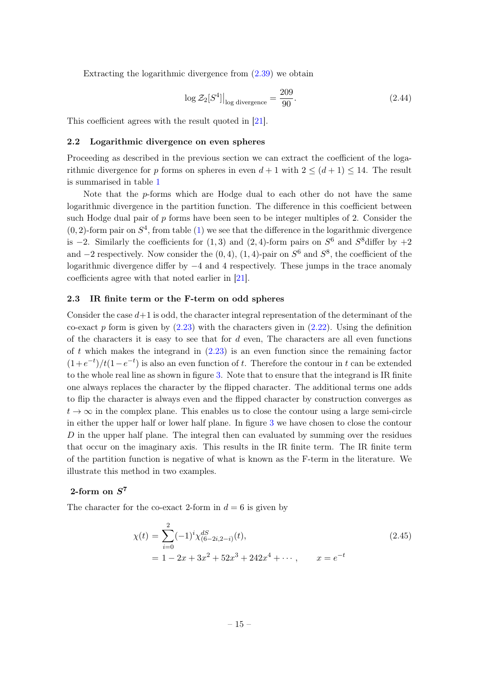Extracting the logarithmic divergence from [\(2.39\)](#page-14-1) we obtain

$$
\log \mathcal{Z}_2[S^4]\big|_{\log \text{divergence}} = \frac{209}{90}.\tag{2.44}
$$

This coefficient agrees with the result quoted in [\[21\]](#page-47-3).

#### <span id="page-15-0"></span>2.2 Logarithmic divergence on even spheres

Proceeding as described in the previous section we can extract the coefficient of the logarithmic divergence for p forms on spheres in even  $d+1$  with  $2 \leq (d+1) \leq 14$ . The result is summarised in table [1](#page-16-0)

Note that the p-forms which are Hodge dual to each other do not have the same logarithmic divergence in the partition function. The difference in this coefficient between such Hodge dual pair of  $p$  forms have been seen to be integer multiples of 2. Consider the  $(0, 2)$ -form pair on  $S<sup>4</sup>$ , from table [\(1\)](#page-16-0) we see that the difference in the logarithmic divergence is  $-2$ . Similarly the coefficients for  $(1,3)$  and  $(2,4)$ -form pairs on  $S^6$  and  $S^8$  differ by  $+2$ and  $-2$  respectively. Now consider the  $(0, 4)$ ,  $(1, 4)$ -pair on  $S^6$  and  $S^8$ , the coefficient of the logarithmic divergence differ by −4 and 4 respectively. These jumps in the trace anomaly coefficients agree with that noted earlier in [\[21\]](#page-47-3).

#### <span id="page-15-1"></span>2.3 IR finite term or the F-term on odd spheres

Consider the case  $d+1$  is odd, the character integral representation of the determinant of the co-exact p form is given by  $(2.23)$  with the characters given in  $(2.22)$ . Using the definition of the characters it is easy to see that for  $d$  even, The characters are all even functions of t which makes the integrand in  $(2.23)$  is an even function since the remaining factor  $(1+e^{-t})/t(1-e^{-t})$  is also an even function of t. Therefore the contour in t can be extended to the whole real line as shown in figure [3.](#page-17-0) Note that to ensure that the integrand is IR finite one always replaces the character by the flipped character. The additional terms one adds to flip the character is always even and the flipped character by construction converges as  $t \to \infty$  in the complex plane. This enables us to close the contour using a large semi-circle in either the upper half or lower half plane. In figure [3](#page-17-0) we have chosen to close the contour  $D$  in the upper half plane. The integral then can evaluated by summing over the residues that occur on the imaginary axis. This results in the IR finite term. The IR finite term of the partition function is negative of what is known as the F-term in the literature. We illustrate this method in two examples.

# 2-form on  $S^7$

The character for the co-exact 2-form in  $d = 6$  is given by

$$
\chi(t) = \sum_{i=0}^{2} (-1)^{i} \chi_{(6-2i,2-i)}^{dS}(t),
$$
\n
$$
= 1 - 2x + 3x^{2} + 52x^{3} + 242x^{4} + \cdots, \qquad x = e^{-t}
$$
\n(2.45)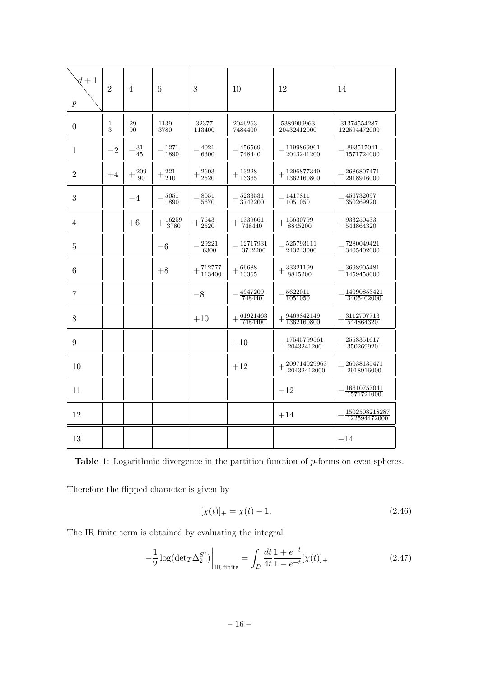<span id="page-16-0"></span>

| $d+1$<br>$\boldsymbol{p}$ | $\overline{2}$ | $\overline{4}$    | 6                     | 8                        | 10                               | 12                                              | 14                                       |
|---------------------------|----------------|-------------------|-----------------------|--------------------------|----------------------------------|-------------------------------------------------|------------------------------------------|
| $\overline{0}$            | $\frac{1}{3}$  | $\frac{29}{90}$   | $\frac{1139}{3780}$   | $\frac{32377}{113400}$   | 2046263<br>7484400               | $\frac{5389909963}{20432412000}$                | $\frac{31374554287}{122594472000}$       |
| $\mathbf{1}$              | $-2$           | $\frac{31}{45}$   | $\frac{1271}{1890}$   | $\frac{4021}{6300}$      | 456569<br>748440                 | 1199869961<br>2043241200                        | 893517041<br>1571724000                  |
| $\overline{2}$            | $+4$           | $+\frac{209}{90}$ | $+\frac{221}{210}$    | $+\frac{2603}{2520}$     | $+\frac{13228}{13365}$           | $\frac{1296877349}{1362160800}$                 | $+\frac{2686807471}{2918916000}$         |
| 3                         |                | $-4$              | 5051<br>1890          | 8051<br>5670             | 5233531<br>3742200               | 1417811<br>1051050                              | 456732097<br>350269920                   |
| $\overline{4}$            |                | $+6$              | $+\frac{16259}{3780}$ | $+\frac{7643}{2520}$     | $+\frac{1339661}{740}$<br>748440 | 15630799<br>8845200                             | $+\tfrac{933250433}{544864320}$          |
| $\overline{5}$            |                |                   | $-6$                  | $\frac{29221}{6300}$     | 12717931<br>3742200              | $\frac{525793111}{243243000}$                   | 7280049421<br>3405402000                 |
| 6                         |                |                   | $+8$                  | $+\frac{712777}{113400}$ | $+\frac{66688}{13365}$           | $+\frac{33321199}{8845200}$                     | $+\frac{3698905481}{1450}$<br>1459458000 |
| $\overline{7}$            |                |                   |                       | $-8$                     | 4947209<br>748440                | $\frac{5622011}{1051050}$                       | 14090853421<br>3405402000                |
| 8                         |                |                   |                       | $+10$                    | $+\frac{61921463}{7484400}$      | $+\frac{9469842149}{1362160800}$                | $+\frac{3112707713}{544864320}$          |
| 9                         |                |                   |                       |                          | $-10$                            | 17545799561<br>2043241200                       | 2558351617<br>350269920                  |
| 10                        |                |                   |                       |                          | $+12$                            | $+\frac{209714029963}{20420445}$<br>20432412000 | 26038135471<br>2918916000                |
| 11                        |                |                   |                       |                          |                                  | $-12$                                           | 16610757041<br>1571724000                |
| 12                        |                |                   |                       |                          |                                  | $+14$                                           | 1502508218287<br>122594472000            |
| 13                        |                |                   |                       |                          |                                  |                                                 | $-14$                                    |

Table 1: Logarithmic divergence in the partition function of p-forms on even spheres.

Therefore the flipped character is given by

$$
[\chi(t)]_+ = \chi(t) - 1.
$$
\n(2.46)

The IR finite term is obtained by evaluating the integral

$$
-\frac{1}{2}\log(\det T \Delta_2^{S^7})\Big|_{\text{IR finite}} = \int_D \frac{dt}{4t} \frac{1+e^{-t}}{1-e^{-t}} [\chi(t)]_+\tag{2.47}
$$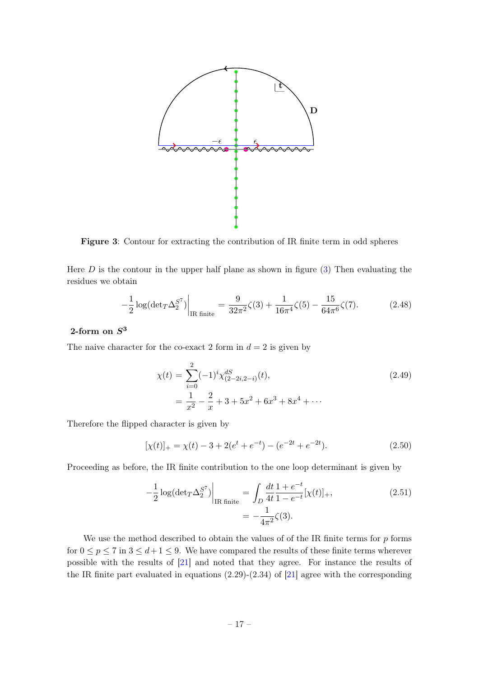<span id="page-17-0"></span>

Figure 3: Contour for extracting the contribution of IR finite term in odd spheres

Here  $D$  is the contour in the upper half plane as shown in figure  $(3)$  Then evaluating the residues we obtain

$$
-\frac{1}{2}\log(\det T \Delta_2^{S^7})\Big|_{\text{IR finite}} = \frac{9}{32\pi^2}\zeta(3) + \frac{1}{16\pi^4}\zeta(5) - \frac{15}{64\pi^6}\zeta(7). \tag{2.48}
$$

# 2-form on  $S^3$

The naive character for the co-exact 2 form in  $d = 2$  is given by

$$
\chi(t) = \sum_{i=0}^{2} (-1)^{i} \chi_{(2-2i,2-i)}^{dS}(t),
$$
  
= 
$$
\frac{1}{x^{2}} - \frac{2}{x} + 3 + 5x^{2} + 6x^{3} + 8x^{4} + \cdots
$$
 (2.49)

Therefore the flipped character is given by

$$
[\chi(t)]_{+} = \chi(t) - 3 + 2(e^{t} + e^{-t}) - (e^{-2t} + e^{-2t}). \tag{2.50}
$$

Proceeding as before, the IR finite contribution to the one loop determinant is given by

$$
-\frac{1}{2}\log(\det T \Delta_2^{S^7})\Big|_{\text{IR finite}} = \int_D \frac{dt}{4t} \frac{1+e^{-t}}{1-e^{-t}} [\chi(t)]_+,
$$
\n
$$
= -\frac{1}{4\pi^2} \zeta(3).
$$
\n(2.51)

We use the method described to obtain the values of of the IR finite terms for  $p$  forms for  $0 \le p \le 7$  in  $3 \le d+1 \le 9$ . We have compared the results of these finite terms wherever possible with the results of [\[21\]](#page-47-3) and noted that they agree. For instance the results of the IR finite part evaluated in equations  $(2.29)-(2.34)$  of  $[21]$  agree with the corresponding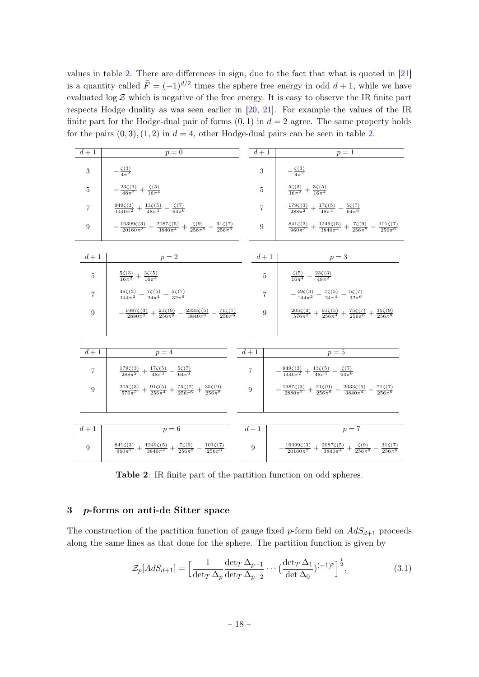values in table [2.](#page-18-1) There are differences in sign, due to the fact that what is quoted in [\[21\]](#page-47-3) is a quantity called  $\tilde{F} = (-1)^{d/2}$  times the sphere free energy in odd  $d+1$ , while we have evaluated  $\log \mathcal{Z}$  which is negative of the free energy. It is easy to observe the IR finite part respects Hodge duality as was seen earlier in [\[20,](#page-47-2) [21\]](#page-47-3). For example the values of the IR finite part for the Hodge-dual pair of forms  $(0, 1)$  in  $d = 2$  agree. The same property holds for the pairs  $(0, 3)$ ,  $(1, 2)$  in  $d = 4$ , other Hodge-dual pairs can be seen in table [2.](#page-18-1)

<span id="page-18-1"></span>

| $\overline{d+1}$ | $p=0$                                                                                                                    |                | $d+1$          | $p=1$                                                                                                                       |  |
|------------------|--------------------------------------------------------------------------------------------------------------------------|----------------|----------------|-----------------------------------------------------------------------------------------------------------------------------|--|
| 3                | $-\frac{\zeta(3)}{4\pi^2}$                                                                                               |                | 3              | $-\frac{\zeta(3)}{4\pi^2}$                                                                                                  |  |
| $\overline{5}$   | $-\frac{23\zeta(3)}{48\pi^2}+\frac{\zeta(5)}{16\pi^4}$                                                                   |                | 5              | $\frac{5\zeta(3)}{16\pi^2}+\frac{3\zeta(5)}{16\pi^4}$                                                                       |  |
| $\overline{7}$   | $\frac{949\zeta(3)}{1440\pi^2} + \frac{13\zeta(5)}{48\pi^4} - \frac{\zeta(7)}{64\pi^6}$                                  |                | $\overline{7}$ | $\frac{179\zeta(3)}{288\pi^2}+\frac{17\zeta(5)}{48\pi^4}-\frac{5\zeta(7)}{64\pi^6}$                                         |  |
| 9                | $-\frac{16399\zeta(3)}{20160\pi^2}+\frac{2087\zeta(5)}{3840\pi^4}+\frac{\zeta(9)}{256\pi^8}-\frac{31\zeta(7)}{256\pi^6}$ |                | 9              | $\frac{841\zeta(3)}{960\pi^2} + \frac{1249\zeta(5)}{3840\pi^4} + \frac{7\zeta(9)}{256\pi^8} - \frac{101\zeta(7)}{256\pi^6}$ |  |
|                  |                                                                                                                          |                |                |                                                                                                                             |  |
| $d+1$            | $p=2$                                                                                                                    |                | $d+1$          | $p=3$                                                                                                                       |  |
| 5                | $\frac{5\zeta(3)}{16\pi^2}+\frac{3\zeta(5)}{16\pi^4}$                                                                    |                | $\bf 5$        | $\frac{\zeta(5)}{16\pi^4} - \frac{23\zeta(3)}{48\pi^2}$                                                                     |  |
| $\overline{7}$   | $\frac{49\zeta(3)}{144\pi^2} - \frac{7\zeta(5)}{24\pi^4} - \frac{5\zeta(7)}{32\pi^6}$                                    |                | $\overline{7}$ | $-\frac{49\zeta(3)}{144\pi^2}-\frac{7\zeta(5)}{24\pi^4}-\frac{5\zeta(7)}{32\pi^6}$                                          |  |
| 9                | $-\frac{1987\zeta(3)}{2880\pi^2}+\frac{21\zeta(9)}{256\pi^8}-\frac{2333\zeta(5)}{3840\pi^4}-\frac{71\zeta(7)}{256\pi^6}$ |                | 9              | $\frac{205\zeta(3)}{576\pi^2}+\frac{91\zeta(5)}{256\pi^4}+\frac{75\zeta(7)}{256\pi^6}+\frac{35\zeta(9)}{256\pi^8}$          |  |
|                  |                                                                                                                          |                |                |                                                                                                                             |  |
| $d+1$            | $p=4$                                                                                                                    | $d+1$          |                | $p=5$                                                                                                                       |  |
| $\overline{7}$   | $\frac{179\zeta(3)}{288\pi^2}+\frac{17\zeta(5)}{48\pi^4}-\frac{5\zeta(7)}{64\pi^6}$                                      | $\overline{7}$ |                | $-\frac{949\zeta(3)}{1440\pi^2}+\frac{13\zeta(5)}{48\pi^4}-\frac{\zeta(7)}{64\pi^6}$                                        |  |
| 9                | $\frac{205\zeta(3)}{576\pi^2}+\frac{91\zeta(5)}{256\pi^4}+\frac{75\zeta(7)}{256\pi^6}+\frac{35\zeta(9)}{256\pi^8}$       |                | 9              | $-\frac{1987\zeta(3)}{2880\pi^2}+\frac{21\zeta(9)}{256\pi^8}-\frac{2333\zeta(5)}{3840\pi^4}-\frac{71\zeta(7)}{256\pi^6}$    |  |
|                  |                                                                                                                          |                |                |                                                                                                                             |  |
|                  |                                                                                                                          |                |                |                                                                                                                             |  |
| $d+1$            | $p=6$                                                                                                                    |                | $d+1$          | $p=7$                                                                                                                       |  |
| 9                | $\frac{841\zeta(3)}{960\pi^2}+\frac{1249\zeta(5)}{3840\pi^4}+\frac{7\zeta(9)}{256\pi^8}-\frac{101\zeta(7)}{256\pi^6}$    |                | 9              | $-\frac{16399\zeta(3)}{20160\pi^2}+\frac{2087\zeta(5)}{3840\pi^4}+\frac{\zeta(9)}{256\pi^8}-\frac{31\zeta(7)}{256\pi^6}$    |  |

Table 2: IR finite part of the partition function on odd spheres.

## <span id="page-18-0"></span>p-forms on anti-de Sitter space

The construction of the partition function of gauge fixed p-form field on  $AdS_{d+1}$  proceeds along the same lines as that done for the sphere. The partition function is given by

<span id="page-18-2"></span>
$$
\mathcal{Z}_p[AdS_{d+1}] = \left[\frac{1}{\det_T \Delta_p} \frac{\det_T \Delta_{p-1}}{\det_T \Delta_{p-2}} \cdots \left(\frac{\det_T \Delta_1}{\det \Delta_0}\right)^{(-1)^p}\right]^{\frac{1}{2}},\tag{3.1}
$$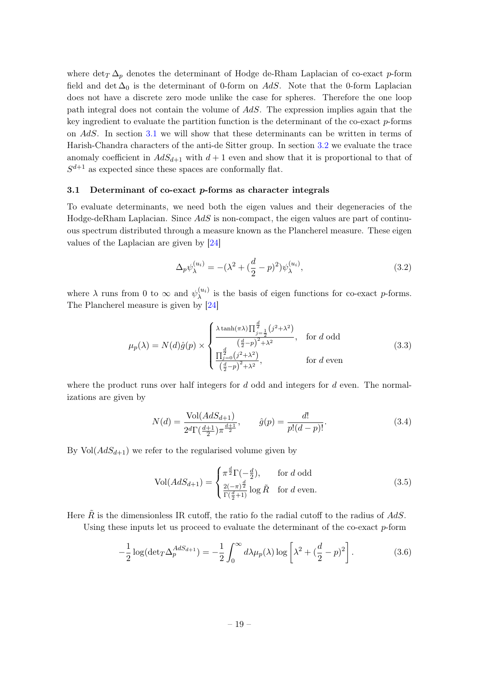where  $\det(\Sigma)$  denotes the determinant of Hodge de-Rham Laplacian of co-exact p-form field and det  $\Delta_0$  is the determinant of 0-form on AdS. Note that the 0-form Laplacian does not have a discrete zero mode unlike the case for spheres. Therefore the one loop path integral does not contain the volume of AdS. The expression implies again that the key ingredient to evaluate the partition function is the determinant of the co-exact p-forms on AdS. In section [3.1](#page-19-0) we will show that these determinants can be written in terms of Harish-Chandra characters of the anti-de Sitter group. In section [3.2](#page-26-0) we evaluate the trace anomaly coefficient in  $AdS_{d+1}$  with  $d+1$  even and show that it is proportional to that of  $S^{d+1}$  as expected since these spaces are conformally flat.

#### <span id="page-19-0"></span>3.1 Determinant of co-exact p-forms as character integrals

To evaluate determinants, we need both the eigen values and their degeneracies of the Hodge-deRham Laplacian. Since  $AdS$  is non-compact, the eigen values are part of continuous spectrum distributed through a measure known as the Plancherel measure. These eigen values of the Laplacian are given by [\[24\]](#page-47-6)

$$
\Delta_p \psi_{\lambda}^{(u_i)} = -(\lambda^2 + (\frac{d}{2} - p)^2) \psi_{\lambda}^{(u_i)}, \tag{3.2}
$$

where  $\lambda$  runs from 0 to  $\infty$  and  $\psi_{\lambda}^{(u_i)}$  $\lambda^{(u_i)}$  is the basis of eigen functions for co-exact p-forms. The Plancherel measure is given by [\[24\]](#page-47-6)

<span id="page-19-1"></span>
$$
\mu_p(\lambda) = N(d)\hat{g}(p) \times \begin{cases} \lambda \tanh(\pi\lambda) \prod_{j=\frac{1}{2}}^{\frac{d}{2}} (j^2 + \lambda^2) \\ \frac{d}{2} \left(\frac{d}{2} - p\right)^2 + \lambda^2 \\ \frac{\prod_{j=0}^{\frac{d}{2}} (j^2 + \lambda^2)}{\left(\frac{d}{2} - p\right)^2 + \lambda^2}, & \text{for } d \text{ even} \end{cases}
$$
(3.3)

where the product runs over half integers for  $d$  odd and integers for  $d$  even. The normalizations are given by

<span id="page-19-2"></span>
$$
N(d) = \frac{\text{Vol}(AdS_{d+1})}{2^d \Gamma(\frac{d+1}{2})\pi^{\frac{d+1}{2}}}, \qquad \hat{g}(p) = \frac{d!}{p!(d-p)!}.
$$
 (3.4)

By  $Vol(AdS_{d+1})$  we refer to the regularised volume given by

<span id="page-19-3"></span>
$$
\text{Vol}(AdS_{d+1}) = \begin{cases} \pi^{\frac{d}{2}} \Gamma(-\frac{d}{2}), & \text{for } d \text{ odd} \\ \frac{2(-\pi)^{\frac{d}{2}}}{\Gamma(\frac{d}{2}+1)} \log \tilde{R} & \text{for } d \text{ even.} \end{cases} \tag{3.5}
$$

Here  $\tilde{R}$  is the dimensionless IR cutoff, the ratio fo the radial cutoff to the radius of AdS.

Using these inputs let us proceed to evaluate the determinant of the co-exact  $p$ -form

$$
-\frac{1}{2}\log(\det T \Delta_p^{AdS_{d+1}}) = -\frac{1}{2}\int_0^\infty d\lambda \mu_p(\lambda) \log\left[\lambda^2 + \left(\frac{d}{2} - p\right)^2\right].\tag{3.6}
$$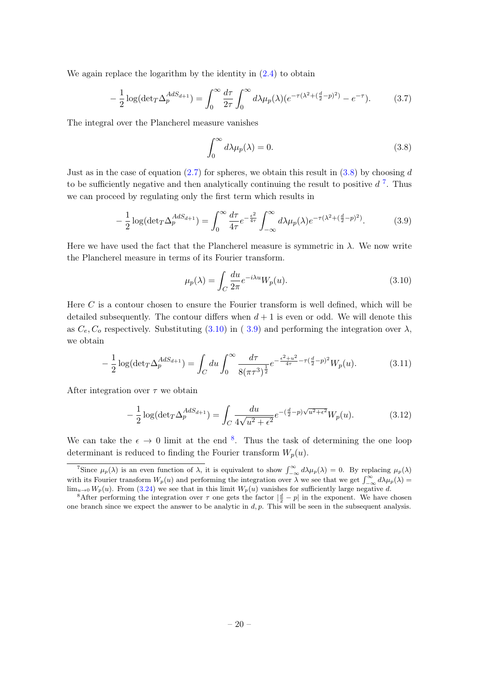We again replace the logarithm by the identity in  $(2.4)$  to obtain

$$
-\frac{1}{2}\log(\det(\Gamma \Delta_p^{AdS_{d+1}})) = \int_0^\infty \frac{d\tau}{2\tau} \int_0^\infty d\lambda \mu_p(\lambda) (e^{-\tau(\lambda^2 + (\frac{d}{2} - p)^2)} - e^{-\tau}).\tag{3.7}
$$

The integral over the Plancherel measure vanishes

<span id="page-20-0"></span>
$$
\int_0^\infty d\lambda \mu_p(\lambda) = 0. \tag{3.8}
$$

Just as in the case of equation  $(2.7)$  for spheres, we obtain this result in  $(3.8)$  by choosing d to be sufficiently negative and then analytically continuing the result to positive  $d^7$  $d^7$ . Thus we can proceed by regulating only the first term which results in

<span id="page-20-2"></span>
$$
-\frac{1}{2}\log(\det(\Gamma \Delta_p^{AdS_{d+1}})) = \int_0^\infty \frac{d\tau}{4\tau} e^{-\frac{\epsilon^2}{4\tau}} \int_{-\infty}^\infty d\lambda \mu_p(\lambda) e^{-\tau(\lambda^2 + (\frac{d}{2} - p)^2)}.
$$
 (3.9)

Here we have used the fact that the Plancherel measure is symmetric in  $\lambda$ . We now write the Plancherel measure in terms of its Fourier transform.

<span id="page-20-1"></span>
$$
\mu_p(\lambda) = \int_C \frac{du}{2\pi} e^{-i\lambda u} W_p(u). \tag{3.10}
$$

Here  $C$  is a contour chosen to ensure the Fourier transform is well defined, which will be detailed subsequently. The contour differs when  $d + 1$  is even or odd. We will denote this as  $C_e$ ,  $C_o$  respectively. Substituting [\(3.10\)](#page-20-1) in ([3.9\)](#page-20-2) and performing the integration over  $\lambda$ , we obtain

<span id="page-20-4"></span>
$$
-\frac{1}{2}\log(\det T \Delta_p^{AdS_{d+1}}) = \int_C du \int_0^\infty \frac{d\tau}{8(\pi \tau^3)^{\frac{1}{2}}} e^{-\frac{\epsilon^2 + u^2}{4\tau} - \tau(\frac{d}{2} - p)^2} W_p(u). \tag{3.11}
$$

After integration over  $\tau$  we obtain

<span id="page-20-3"></span>
$$
-\frac{1}{2}\log(\det(\Delta_p^{AdS_{d+1}})) = \int_C \frac{du}{4\sqrt{u^2 + \epsilon^2}} e^{-\left(\frac{d}{2} - p\right)\sqrt{u^2 + \epsilon^2}} W_p(u). \tag{3.12}
$$

We can take the  $\epsilon \to 0$  limit at the end <sup>[8](#page-0-0)</sup>. Thus the task of determining the one loop determinant is reduced to finding the Fourier transform  $W_p(u)$ .

<sup>&</sup>lt;sup>7</sup>Since  $\mu_p(\lambda)$  is an even function of  $\lambda$ , it is equivalent to show  $\int_{-\infty}^{\infty} d\lambda \mu_p(\lambda) = 0$ . By replacing  $\mu_p(\lambda)$ with its Fourier transform  $W_p(u)$  and performing the integration over  $\lambda$  we see that we get  $\int_{-\infty}^{\infty} d\lambda \mu_p(\lambda) =$  $\lim_{u\to 0} W_p(u)$ . From [\(3.24\)](#page-23-0) we see that in this limit  $W_p(u)$  vanishes for sufficiently large negative d.

<sup>&</sup>lt;sup>8</sup>After performing the integration over  $\tau$  one gets the factor  $|\frac{d}{2} - p|$  in the exponent. We have chosen one branch since we expect the answer to be analytic in  $d, p$ . This will be seen in the subsequent analysis.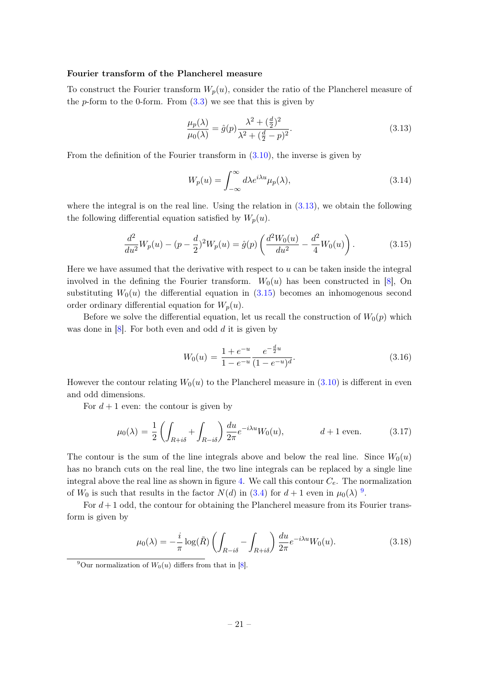#### Fourier transform of the Plancherel measure

To construct the Fourier transform  $W_p(u)$ , consider the ratio of the Plancherel measure of the p-form to the 0-form. From  $(3.3)$  we see that this is given by

<span id="page-21-0"></span>
$$
\frac{\mu_p(\lambda)}{\mu_0(\lambda)} = \hat{g}(p)\frac{\lambda^2 + (\frac{d}{2})^2}{\lambda^2 + (\frac{d}{2} - p)^2}.
$$
\n(3.13)

From the definition of the Fourier transform in [\(3.10\)](#page-20-1), the inverse is given by

<span id="page-21-4"></span>
$$
W_p(u) = \int_{-\infty}^{\infty} d\lambda e^{i\lambda u} \mu_p(\lambda), \qquad (3.14)
$$

where the integral is on the real line. Using the relation in  $(3.13)$ , we obtain the following the following differential equation satisfied by  $W_p(u)$ .

<span id="page-21-1"></span>
$$
\frac{d^2}{du^2}W_p(u) - (p - \frac{d}{2})^2 W_p(u) = \hat{g}(p) \left( \frac{d^2 W_0(u)}{du^2} - \frac{d^2}{4} W_0(u) \right). \tag{3.15}
$$

Here we have assumed that the derivative with respect to  $u$  can be taken inside the integral involved in the defining the Fourier transform.  $W_0(u)$  has been constructed in [\[8\]](#page-46-6), On substituting  $W_0(u)$  the differential equation in  $(3.15)$  becomes an inhomogenous second order ordinary differential equation for  $W_p(u)$ .

Before we solve the differential equation, let us recall the construction of  $W_0(p)$  which was done in  $[8]$ . For both even and odd  $d$  it is given by

<span id="page-21-5"></span>
$$
W_0(u) = \frac{1 + e^{-u}}{1 - e^{-u}} \frac{e^{-\frac{d}{2}u}}{(1 - e^{-u})^d}.
$$
\n(3.16)

However the contour relating  $W_0(u)$  to the Plancherel measure in [\(3.10\)](#page-20-1) is different in even and odd dimensions.

For  $d+1$  even: the contour is given by

<span id="page-21-3"></span>
$$
\mu_0(\lambda) = \frac{1}{2} \left( \int_{R+i\delta} + \int_{R-i\delta} \right) \frac{du}{2\pi} e^{-i\lambda u} W_0(u), \qquad d+1 \text{ even.}
$$
 (3.17)

The contour is the sum of the line integrals above and below the real line. Since  $W_0(u)$ has no branch cuts on the real line, the two line integrals can be replaced by a single line integral above the real line as shown in figure [4.](#page-25-0) We call this contour  $C_e$ . The normalization of  $W_0$  is such that results in the factor  $N(d)$  in [\(3.4\)](#page-19-2) for  $d+1$  even in  $\mu_0(\lambda)$  <sup>[9](#page-0-0)</sup>.

For  $d+1$  odd, the contour for obtaining the Plancherel measure from its Fourier transform is given by

<span id="page-21-2"></span>
$$
\mu_0(\lambda) = -\frac{i}{\pi} \log(\tilde{R}) \left( \int_{R - i\delta} - \int_{R + i\delta} \right) \frac{du}{2\pi} e^{-i\lambda u} W_0(u).
$$
\n(3.18)

<sup>&</sup>lt;sup>9</sup>Our normalization of  $W_0(u)$  differs from that in [\[8\]](#page-46-6).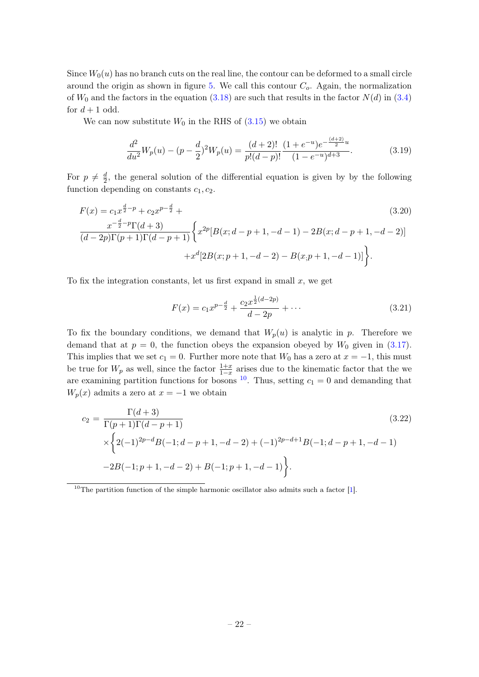Since  $W_0(u)$  has no branch cuts on the real line, the contour can be deformed to a small circle around the origin as shown in figure [5.](#page-26-1) We call this contour  $C<sub>o</sub>$ . Again, the normalization of  $W_0$  and the factors in the equation [\(3.18\)](#page-21-2) are such that results in the factor  $N(d)$  in [\(3.4\)](#page-19-2) for  $d+1$  odd.

We can now substitute  $W_0$  in the RHS of  $(3.15)$  we obtain

$$
\frac{d^2}{du^2}W_p(u) - (p - \frac{d}{2})^2 W_p(u) = \frac{(d+2)!}{p!(d-p)!} \frac{(1+e^{-u})e^{-\frac{(d+2)}{2}u}}{(1-e^{-u})^{d+3}}.
$$
(3.19)

For  $p \neq \frac{d}{2}$  $\frac{d}{2}$ , the general solution of the differential equation is given by by the following function depending on constants  $c_1, c_2$ .

$$
F(x) = c_1 x^{\frac{d}{2} - p} + c_2 x^{p - \frac{d}{2}} +
$$
\n
$$
\frac{x^{-\frac{d}{2} - p} \Gamma(d + 3)}{(d - 2p) \Gamma(p + 1) \Gamma(d - p + 1)} \left\{ x^{2p} [B(x; d - p + 1, -d - 1) - 2B(x; d - p + 1, -d - 2)] + x^d [2B(x; p + 1, -d - 2) - B(x; p + 1, -d - 1)] \right\}.
$$
\n(3.20)

To fix the integration constants, let us first expand in small  $x$ , we get

$$
F(x) = c_1 x^{p - \frac{d}{2}} + \frac{c_2 x^{\frac{1}{2}(d - 2p)}}{d - 2p} + \cdots
$$
 (3.21)

To fix the boundary conditions, we demand that  $W_p(u)$  is analytic in p. Therefore we demand that at  $p = 0$ , the function obeys the expansion obeyed by  $W_0$  given in [\(3.17\)](#page-21-3). This implies that we set  $c_1 = 0$ . Further more note that  $W_0$  has a zero at  $x = -1$ , this must be true for  $W_p$  as well, since the factor  $\frac{1+x}{1-x}$  arises due to the kinematic factor that the we are examining partition functions for bosons  $^{10}$  $^{10}$  $^{10}$ . Thus, setting  $c_1 = 0$  and demanding that  $W_p(x)$  admits a zero at  $x = -1$  we obtain

$$
c_2 = \frac{\Gamma(d+3)}{\Gamma(p+1)\Gamma(d-p+1)}
$$
(3.22)  

$$
\times \left\{ 2(-1)^{2p-d} B(-1; d-p+1, -d-2) + (-1)^{2p-d+1} B(-1; d-p+1, -d-1) -2B(-1; p+1, -d-2) + B(-1; p+1, -d-1) \right\}.
$$

 $10$ The partition function of the simple harmonic oscillator also admits such a factor [\[1\]](#page-46-0).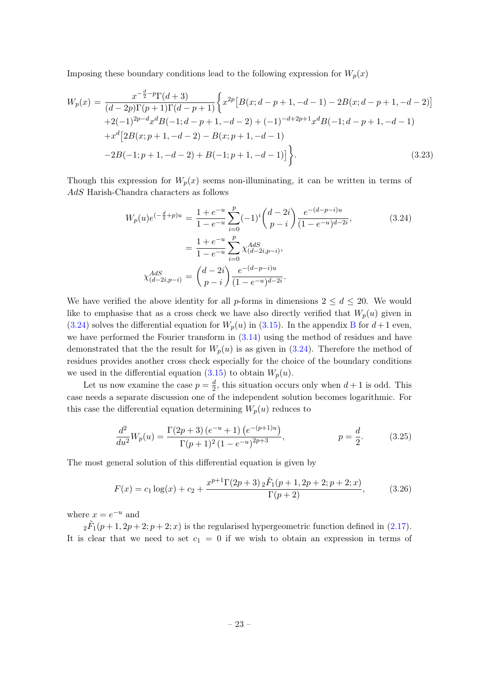Imposing these boundary conditions lead to the following expression for  $W_p(x)$ 

$$
W_p(x) = \frac{x^{-\frac{d}{2}-p} \Gamma(d+3)}{(d-2p)\Gamma(p+1)\Gamma(d-p+1)} \left\{ x^{2p} \left[ B(x; d-p+1, -d-1) - 2B(x; d-p+1, -d-2) \right] \right. \\
\left. + 2(-1)^{2p-d} x^d B(-1; d-p+1, -d-2) + (-1)^{-d+2p+1} x^d B(-1; d-p+1, -d-1) \right. \\
\left. + x^d \left[ 2B(x; p+1, -d-2) - B(x; p+1, -d-1) \right] \right\}.
$$
\n(3.23)

Though this expression for  $W_p(x)$  seems non-illuminating, it can be written in terms of AdS Harish-Chandra characters as follows

<span id="page-23-0"></span>
$$
W_p(u)e^{(-\frac{d}{2}+p)u} = \frac{1+e^{-u}}{1-e^{-u}}\sum_{i=0}^p (-1)^i {d-2i \choose p-i} \frac{e^{-(d-p-i)u}}{(1-e^{-u})^{d-2i}},
$$
  

$$
= \frac{1+e^{-u}}{1-e^{-u}}\sum_{i=0}^p \chi_{(d-2i,p-i)}^{AdS},
$$
  

$$
\chi_{(d-2i,p-i)}^{AdS} = {d-2i \choose p-i} \frac{e^{-(d-p-i)u}}{(1-e^{-u})^{d-2i}}.
$$
 (3.24)

We have verified the above identity for all p-forms in dimensions  $2 \leq d \leq 20$ . We would like to emphasise that as a cross check we have also directly verified that  $W_p(u)$  given in [\(3.24\)](#page-23-0) solves the differential equation for  $W_p(u)$  in [\(3.15\)](#page-21-1). In the appendix [B](#page-43-0) for  $d+1$  even, we have performed the Fourier transform in  $(3.14)$  using the method of residues and have demonstrated that the the result for  $W_p(u)$  is as given in  $(3.24)$ . Therefore the method of residues provides another cross check especially for the choice of the boundary conditions we used in the differential equation  $(3.15)$  to obtain  $W_p(u)$ .

Let us now examine the case  $p = \frac{d}{2}$  $\frac{d}{2}$ , this situation occurs only when  $d+1$  is odd. This case needs a separate discussion one of the independent solution becomes logarithmic. For this case the differential equation determining  $W_p(u)$  reduces to

<span id="page-23-1"></span>
$$
\frac{d^2}{du^2}W_p(u) = \frac{\Gamma(2p+3)(e^{-u}+1)(e^{-(p+1)u})}{\Gamma(p+1)^2(1-e^{-u})^{2p+3}}, \qquad p = \frac{d}{2}.
$$
\n(3.25)

The most general solution of this differential equation is given by

$$
F(x) = c_1 \log(x) + c_2 + \frac{x^{p+1} \Gamma(2p+3) \, 2\tilde{F}_1(p+1, 2p+2; p+2; x)}{\Gamma(p+2)},\tag{3.26}
$$

where  $x = e^{-u}$  and

 $2\tilde{F}_1(p+1, 2p+2; p+2; x)$  is the regularised hypergeometric function defined in [\(2.17\)](#page-9-2). It is clear that we need to set  $c_1 = 0$  if we wish to obtain an expression in terms of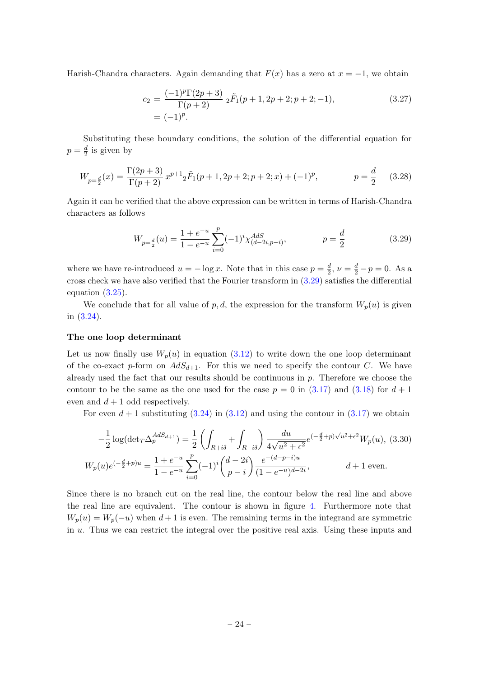Harish-Chandra characters. Again demanding that  $F(x)$  has a zero at  $x = -1$ , we obtain

$$
c_2 = \frac{(-1)^p \Gamma(2p+3)}{\Gamma(p+2)} \, _2\tilde{F}_1(p+1, 2p+2; p+2; -1),
$$
\n
$$
= (-1)^p. \tag{3.27}
$$

Substituting these boundary conditions, the solution of the differential equation for  $p=\frac{d}{2}$  $\frac{a}{2}$  is given by

$$
W_{p=\frac{d}{2}}(x) = \frac{\Gamma(2p+3)}{\Gamma(p+2)} x^{p+1} {}_2\tilde{F}_1(p+1, 2p+2; p+2; x) + (-1)^p, \qquad p = \frac{d}{2} \qquad (3.28)
$$

Again it can be verified that the above expression can be written in terms of Harish-Chandra characters as follows

<span id="page-24-0"></span>
$$
W_{p=\frac{d}{2}}(u) = \frac{1+e^{-u}}{1-e^{-u}} \sum_{i=0}^{p} (-1)^i \chi^{AdS}_{(d-2i,p-i)}, \qquad p = \frac{d}{2}
$$
(3.29)

where we have re-introduced  $u = -\log x$ . Note that in this case  $p = \frac{d}{2}$  $\frac{d}{2}$ ,  $\nu = \frac{d}{2} - p = 0$ . As a cross check we have also verified that the Fourier transform in [\(3.29\)](#page-24-0) satisfies the differential equation [\(3.25\)](#page-23-1).

We conclude that for all value of p, d, the expression for the transform  $W_p(u)$  is given in [\(3.24\)](#page-23-0).

#### The one loop determinant

Let us now finally use  $W_p(u)$  in equation [\(3.12\)](#page-20-3) to write down the one loop determinant of the co-exact p-form on  $AdS_{d+1}$ . For this we need to specify the contour C. We have already used the fact that our results should be continuous in  $p$ . Therefore we choose the contour to be the same as the one used for the case  $p = 0$  in [\(3.17\)](#page-21-3) and [\(3.18\)](#page-21-2) for  $d + 1$ even and  $d+1$  odd respectively.

For even  $d + 1$  substituting [\(3.24\)](#page-23-0) in [\(3.12\)](#page-20-3) and using the contour in [\(3.17\)](#page-21-3) we obtain

$$
-\frac{1}{2}\log(\det_{T}\Delta_{p}^{AdS_{d+1}}) = \frac{1}{2}\left(\int_{R+i\delta} + \int_{R-i\delta}\right) \frac{du}{4\sqrt{u^{2} + \epsilon^{2}}} e^{(-\frac{d}{2}+p)\sqrt{u^{2} + \epsilon^{2}}} W_{p}(u), (3.30)
$$

$$
W_{p}(u)e^{(-\frac{d}{2}+p)u} = \frac{1+e^{-u}}{1-e^{-u}} \sum_{i=0}^{p} (-1)^{i} {d-2i \choose p-i} \frac{e^{-(d-p-i)u}}{(1-e^{-u})^{d-2i}}, \qquad d+1 \text{ even.}
$$

Since there is no branch cut on the real line, the contour below the real line and above the real line are equivalent. The contour is shown in figure [4.](#page-25-0) Furthermore note that  $W_p(u) = W_p(-u)$  when  $d+1$  is even. The remaining terms in the integrand are symmetric in  $u$ . Thus we can restrict the integral over the positive real axis. Using these inputs and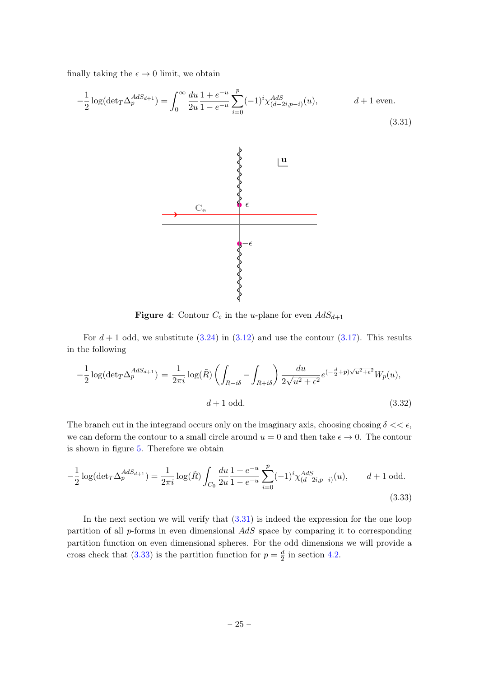finally taking the  $\epsilon \to 0$  limit, we obtain

<span id="page-25-1"></span><span id="page-25-0"></span>
$$
-\frac{1}{2}\log(\det T \Delta_p^{AdS_{d+1}}) = \int_0^\infty \frac{du}{2u} \frac{1+e^{-u}}{1-e^{-u}} \sum_{i=0}^p (-1)^i \chi_{(d-2i,p-i)}^{AdS}(u), \qquad d+1 \text{ even.}
$$
\n(3.31)



**Figure 4:** Contour  $C_e$  in the *u*-plane for even  $AdS_{d+1}$ 

For  $d + 1$  odd, we substitute  $(3.24)$  in  $(3.12)$  and use the contour  $(3.17)$ . This results in the following

$$
-\frac{1}{2}\log(\det T\Delta_p^{AdS_{d+1}}) = \frac{1}{2\pi i}\log(\tilde{R})\left(\int_{R-i\delta} - \int_{R+i\delta}\right)\frac{du}{2\sqrt{u^2 + \epsilon^2}}e^{(-\frac{d}{2}+p)\sqrt{u^2 + \epsilon^2}}W_p(u),
$$
  

$$
d+1 \text{ odd.}
$$
 (3.32)

The branch cut in the integrand occurs only on the imaginary axis, choosing chosing  $\delta \ll \epsilon$ , we can deform the contour to a small circle around  $u = 0$  and then take  $\epsilon \to 0$ . The contour is shown in figure [5.](#page-26-1) Therefore we obtain

<span id="page-25-2"></span>
$$
-\frac{1}{2}\log(\det T \Delta_p^{AdS_{d+1}}) = \frac{1}{2\pi i} \log(\tilde{R}) \int_{C_0} \frac{du}{2u} \frac{1+e^{-u}}{1-e^{-u}} \sum_{i=0}^p (-1)^i \chi_{(d-2i,p-i)}^{AdS}(u), \qquad d+1 \text{ odd.}
$$
\n(3.33)

In the next section we will verify that  $(3.31)$  is indeed the expression for the one loop partition of all  $p$ -forms in even dimensional  $AdS$  space by comparing it to corresponding partition function on even dimensional spheres. For the odd dimensions we will provide a cross check that [\(3.33\)](#page-25-2) is the partition function for  $p = \frac{d}{2}$  $\frac{d}{2}$  in section [4.2.](#page-35-0)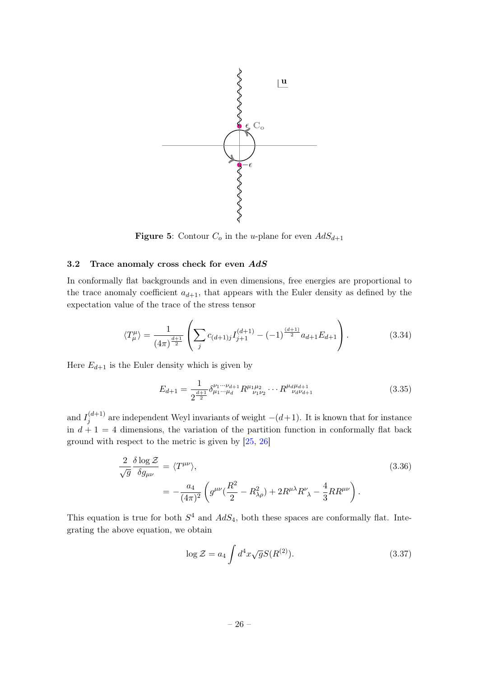<span id="page-26-1"></span>

**Figure 5:** Contour  $C_o$  in the u-plane for even  $AdS_{d+1}$ 

#### <span id="page-26-0"></span>3.2 Trace anomaly cross check for even  $AdS$

In conformally flat backgrounds and in even dimensions, free energies are proportional to the trace anomaly coefficient  $a_{d+1}$ , that appears with the Euler density as defined by the expectation value of the trace of the stress tensor

$$
\langle T_{\mu}^{\mu} \rangle = \frac{1}{(4\pi)^{\frac{d+1}{2}}} \left( \sum_{j} c_{(d+1)j} I_{j+1}^{(d+1)} - (-1)^{\frac{(d+1)}{2}} a_{d+1} E_{d+1} \right). \tag{3.34}
$$

Here  $E_{d+1}$  is the Euler density which is given by

<span id="page-26-2"></span>
$$
E_{d+1} = \frac{1}{2^{\frac{d+1}{2}}} \delta^{\nu_1 \cdots \nu_{d+1}}_{\mu_1 \cdots \mu_d} R^{\mu_1 \mu_2}_{\nu_1 \nu_2} \cdots R^{\mu_d \mu_{d+1}}_{\nu_d \nu_{d+1}}
$$
(3.35)

and  $I_i^{(d+1)}$  $j_j^{(a+1)}$  are independent Weyl invariants of weight  $-(d+1)$ . It is known that for instance in  $d + 1 = 4$  dimensions, the variation of the partition function in conformally flat back ground with respect to the metric is given by [\[25,](#page-47-7) [26\]](#page-47-8)

$$
\frac{2}{\sqrt{g}} \frac{\delta \log \mathcal{Z}}{\delta g_{\mu\nu}} = \langle T^{\mu\nu} \rangle, \tag{3.36}
$$
\n
$$
= -\frac{a_4}{(4\pi)^2} \left( g^{\mu\nu} \left( \frac{R^2}{2} - R_{\lambda\rho}^2 \right) + 2R^{\mu\lambda} R^{\nu}_{\ \lambda} - \frac{4}{3} R R^{\mu\nu} \right).
$$

This equation is true for both  $S^4$  and  $AdS_4$ , both these spaces are conformally flat. Integrating the above equation, we obtain

$$
\log \mathcal{Z} = a_4 \int d^4x \sqrt{g} S(R^{(2)}). \tag{3.37}
$$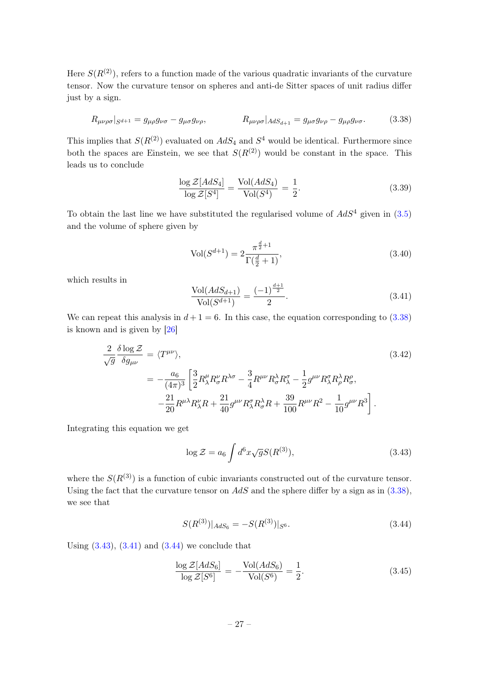Here  $S(R^{(2)})$ , refers to a function made of the various quadratic invariants of the curvature tensor. Now the curvature tensor on spheres and anti-de Sitter spaces of unit radius differ just by a sign.

<span id="page-27-0"></span>
$$
R_{\mu\nu\rho\sigma}|_{S^{d+1}} = g_{\mu\rho}g_{\nu\sigma} - g_{\mu\sigma}g_{\nu\rho}, \qquad R_{\mu\nu\rho\sigma}|_{AdS_{d+1}} = g_{\mu\sigma}g_{\nu\rho} - g_{\mu\rho}g_{\nu\sigma}.
$$
 (3.38)

This implies that  $S(R^{(2)})$  evaluated on  $AdS_4$  and  $S^4$  would be identical. Furthermore since both the spaces are Einstein, we see that  $S(R^{(2)})$  would be constant in the space. This leads us to conclude

$$
\frac{\log \mathcal{Z}[AdS_4]}{\log \mathcal{Z}[S^4]} = \frac{\text{Vol}(AdS_4)}{\text{Vol}(S^4)} = \frac{1}{2}.
$$
\n(3.39)

To obtain the last line we have substituted the regularised volume of  $AdS^4$  given in  $(3.5)$ and the volume of sphere given by

$$
Vol(S^{d+1}) = 2 \frac{\pi^{\frac{d}{2}+1}}{\Gamma(\frac{d}{2}+1)},
$$
\n(3.40)

which results in

<span id="page-27-2"></span>
$$
\frac{\text{Vol}(AdS_{d+1})}{\text{Vol}(S^{d+1})} = \frac{(-1)^{\frac{d+1}{2}}}{2}.
$$
\n(3.41)

We can repeat this analysis in  $d+1=6$ . In this case, the equation corresponding to  $(3.38)$ is known and is given by [\[26\]](#page-47-8)

$$
\frac{2}{\sqrt{g}} \frac{\delta \log \mathcal{Z}}{\delta g_{\mu\nu}} = \langle T^{\mu\nu} \rangle, \tag{3.42}
$$
\n
$$
= -\frac{a_6}{(4\pi)^3} \left[ \frac{3}{2} R^{\mu}_{\lambda} R^{\nu}_{\sigma} R^{\lambda \sigma} - \frac{3}{4} R^{\mu\nu} R^{\lambda}_{\sigma} R^{\sigma}_{\lambda} - \frac{1}{2} g^{\mu\nu} R^{\sigma}_{\lambda} R^{\lambda}_{\rho} R^{\rho}_{\sigma}, \right.
$$
\n
$$
- \frac{21}{20} R^{\mu\lambda} R^{\nu}_{\lambda} R + \frac{21}{40} g^{\mu\nu} R^{\sigma}_{\lambda} R^{\lambda}_{\sigma} R + \frac{39}{100} R^{\mu\nu} R^2 - \frac{1}{10} g^{\mu\nu} R^3 \right]. \tag{3.42}
$$

Integrating this equation we get

<span id="page-27-1"></span>
$$
\log \mathcal{Z} = a_6 \int d^6 x \sqrt{g} S(R^{(3)}), \tag{3.43}
$$

where the  $S(R^{(3)})$  is a function of cubic invariants constructed out of the curvature tensor. Using the fact that the curvature tensor on  $AdS$  and the sphere differ by a sign as in  $(3.38)$ , we see that

<span id="page-27-3"></span>
$$
S(R^{(3)})|_{AdS_6} = -S(R^{(3)})|_{S^6}.\tag{3.44}
$$

Using  $(3.43)$ ,  $(3.41)$  and  $(3.44)$  we conclude that

$$
\frac{\log \mathcal{Z}[AdS_6]}{\log \mathcal{Z}[S^6]} = -\frac{\text{Vol}(AdS_6)}{\text{Vol}(S^6)} = \frac{1}{2}.
$$
\n(3.45)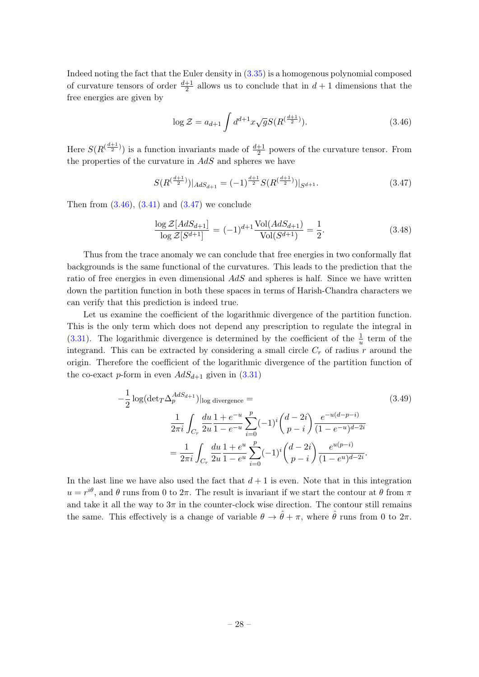Indeed noting the fact that the Euler density in [\(3.35\)](#page-26-2) is a homogenous polynomial composed of curvature tensors of order  $\frac{d+1}{2}$  allows us to conclude that in  $d+1$  dimensions that the free energies are given by

<span id="page-28-0"></span>
$$
\log \mathcal{Z} = a_{d+1} \int d^{d+1}x \sqrt{g} S(R^{(\frac{d+1}{2})}). \tag{3.46}
$$

Here  $S(R^{(\frac{d+1}{2})})$  is a function invariants made of  $\frac{d+1}{2}$  powers of the curvature tensor. From the properties of the curvature in  $AdS$  and spheres we have

<span id="page-28-1"></span>
$$
S(R^{\left(\frac{d+1}{2}\right)})|_{AdS_{d+1}} = (-1)^{\frac{d+1}{2}} S(R^{\left(\frac{d+1}{2}\right)})|_{S^{d+1}}.
$$
\n(3.47)

Then from  $(3.46)$ ,  $(3.41)$  and  $(3.47)$  we conclude

<span id="page-28-3"></span>
$$
\frac{\log \mathcal{Z}[AdS_{d+1}]}{\log \mathcal{Z}[S^{d+1}]} = (-1)^{d+1} \frac{\text{Vol}(AdS_{d+1})}{\text{Vol}(S^{d+1})} = \frac{1}{2}.
$$
\n(3.48)

Thus from the trace anomaly we can conclude that free energies in two conformally flat backgrounds is the same functional of the curvatures. This leads to the prediction that the ratio of free energies in even dimensional  $AdS$  and spheres is half. Since we have written down the partition function in both these spaces in terms of Harish-Chandra characters we can verify that this prediction is indeed true.

Let us examine the coefficient of the logarithmic divergence of the partition function. This is the only term which does not depend any prescription to regulate the integral in [\(3.31\)](#page-25-1). The logarithmic divergence is determined by the coefficient of the  $\frac{1}{u}$  term of the integrand. This can be extracted by considering a small circle  $C_r$  of radius r around the origin. Therefore the coefficient of the logarithmic divergence of the partition function of the co-exact p-form in even  $AdS_{d+1}$  given in  $(3.31)$ 

<span id="page-28-2"></span>
$$
-\frac{1}{2}\log(\det_{T}\Delta_{p}^{AdS_{d+1}})|_{\log\text{ divergence}} =
$$
\n
$$
\frac{1}{2\pi i}\int_{C_{r}}\frac{du}{2u}\frac{1+e^{-u}}{1-e^{-u}}\sum_{i=0}^{p}(-1)^{i}\binom{d-2i}{p-i}\frac{e^{-u(d-p-i)}}{(1-e^{-u})^{d-2i}}
$$
\n
$$
=\frac{1}{2\pi i}\int_{C_{r}}\frac{du}{2u}\frac{1+e^{u}}{1-e^{u}}\sum_{i=0}^{p}(-1)^{i}\binom{d-2i}{p-i}\frac{e^{u(p-i)}}{(1-e^{u})^{d-2i}}.
$$
\n(3.49)

In the last line we have also used the fact that  $d+1$  is even. Note that in this integration  $u = r^{i\theta}$ , and  $\theta$  runs from 0 to  $2\pi$ . The result is invariant if we start the contour at  $\theta$  from  $\pi$ and take it all the way to  $3\pi$  in the counter-clock wise direction. The contour still remains the same. This effectively is a change of variable  $\theta \to \hat{\theta} + \pi$ , where  $\hat{\theta}$  runs from 0 to  $2\pi$ .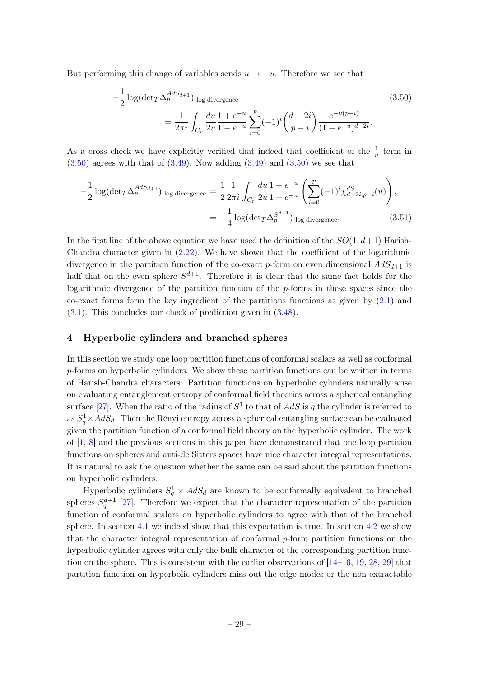But performing this change of variables sends  $u \to -u$ . Therefore we see that

<span id="page-29-1"></span>
$$
-\frac{1}{2}\log(\det T\Delta_p^{AdS_{d+1}})|_{\log\text{divergence}}
$$
\n
$$
=\frac{1}{2\pi i}\int_{C_r}\frac{du}{2u}\frac{1+e^{-u}}{1-e^{-u}}\sum_{i=0}^p(-1)^i\binom{d-2i}{p-i}\frac{e^{-u(p-i)}}{(1-e^{-u})^{d-2i}}.
$$
\n(3.50)

As a cross check we have explicitly verified that indeed that coefficient of the  $\frac{1}{u}$  term in  $(3.50)$  agrees with that of  $(3.49)$ . Now adding  $(3.49)$  and  $(3.50)$  we see that

$$
-\frac{1}{2}\log(\det T\Delta_p^{AdS_{d+1}})|_{\log\,\text{divergence}} = \frac{1}{2}\frac{1}{2\pi i}\int_{C_r} \frac{du}{2u} \frac{1+e^{-u}}{1-e^{-u}} \left(\sum_{i=0}^p (-1)^i \chi_{d-2i,p-i}^{dS}(u)\right),
$$
  
= 
$$
-\frac{1}{4}\log(\det T\Delta_p^{S^{d+1}})|_{\log\,\text{divergence}}.
$$
(3.51)

In the first line of the above equation we have used the definition of the  $SO(1, d+1)$  Harish-Chandra character given in [\(2.22\)](#page-9-1). We have shown that the coefficient of the logarithmic divergence in the partition function of the co-exact p-form on even dimensional  $AdS_{d+1}$  is half that on the even sphere  $S^{d+1}$ . Therefore it is clear that the same fact holds for the logarithmic divergence of the partition function of the p-forms in these spaces since the co-exact forms form the key ingredient of the partitions functions as given by  $(2.1)$  and [\(3.1\)](#page-18-2). This concludes our check of prediction given in [\(3.48\)](#page-28-3).

#### <span id="page-29-0"></span>4 Hyperbolic cylinders and branched spheres

In this section we study one loop partition functions of conformal scalars as well as conformal p-forms on hyperbolic cylinders. We show these partition functions can be written in terms of Harish-Chandra characters. Partition functions on hyperbolic cylinders naturally arise on evaluating entanglement entropy of conformal field theories across a spherical entangling surface [\[27\]](#page-47-9). When the ratio of the radius of  $S^1$  to that of  $AdS$  is q the cylinder is referred to as  $S_q^1 \times AdS_d$ . Then the Rényi entropy across a spherical entangling surface can be evaluated given the partition function of a conformal field theory on the hyperbolic cylinder. The work of [\[1,](#page-46-0) [8\]](#page-46-6) and the previous sections in this paper have demonstrated that one loop partition functions on spheres and anti-de Sitters spaces have nice character integral representations. It is natural to ask the question whether the same can be said about the partition functions on hyperbolic cylinders.

Hyperbolic cylinders  $S_q^1 \times AdS_d$  are known to be conformally equivalent to branched spheres  $S_q^{d+1}$  [\[27\]](#page-47-9). Therefore we expect that the character representation of the partition function of conformal scalars on hyperbolic cylinders to agree with that of the branched sphere. In section [4.1](#page-30-0) we indeed show that this expectation is true. In section [4.2](#page-35-0) we show that the character integral representation of conformal p-form partition functions on the hyperbolic cylinder agrees with only the bulk character of the corresponding partition function on the sphere. This is consistent with the earlier observations of [\[14–](#page-47-0)[16,](#page-47-10) [19,](#page-47-1) [28,](#page-47-11) [29\]](#page-47-12) that partition function on hyperbolic cylinders miss out the edge modes or the non-extractable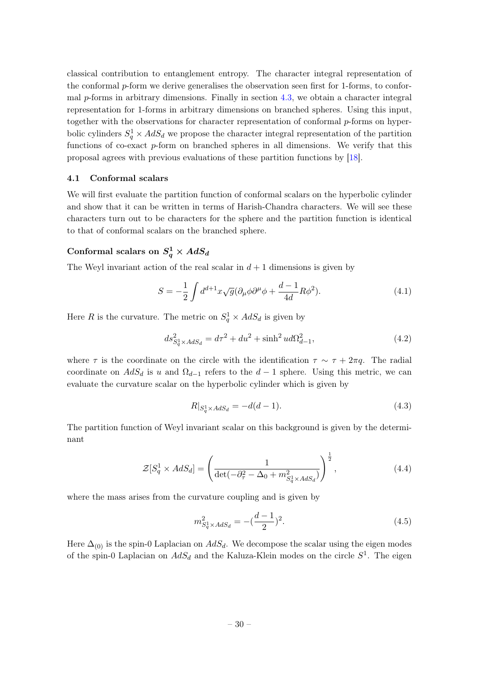classical contribution to entanglement entropy. The character integral representation of the conformal p-form we derive generalises the observation seen first for 1-forms, to conformal  $p$ -forms in arbitrary dimensions. Finally in section [4.3,](#page-37-0) we obtain a character integral representation for 1-forms in arbitrary dimensions on branched spheres. Using this input, together with the observations for character representation of conformal  $p$ -forms on hyperbolic cylinders  $S_q^1 \times AdS_d$  we propose the character integral representation of the partition functions of co-exact  $p$ -form on branched spheres in all dimensions. We verify that this proposal agrees with previous evaluations of these partition functions by [\[18\]](#page-47-13).

#### <span id="page-30-0"></span>4.1 Conformal scalars

We will first evaluate the partition function of conformal scalars on the hyperbolic cylinder and show that it can be written in terms of Harish-Chandra characters. We will see these characters turn out to be characters for the sphere and the partition function is identical to that of conformal scalars on the branched sphere.

# Conformal scalars on  $S^1_q \times AdS_d$

The Weyl invariant action of the real scalar in  $d+1$  dimensions is given by

<span id="page-30-2"></span>
$$
S = -\frac{1}{2} \int d^{d+1}x \sqrt{g} (\partial_\mu \phi \partial^\mu \phi + \frac{d-1}{4d} R \phi^2). \tag{4.1}
$$

Here R is the curvature. The metric on  $S_q^1 \times AdS_d$  is given by

$$
ds_{S_q^1 \times AdS_d}^2 = d\tau^2 + du^2 + \sinh^2 u d\Omega_{d-1}^2,
$$
\n(4.2)

where  $\tau$  is the coordinate on the circle with the identification  $\tau \sim \tau + 2\pi q$ . The radial coordinate on  $AdS_d$  is u and  $\Omega_{d-1}$  refers to the  $d-1$  sphere. Using this metric, we can evaluate the curvature scalar on the hyperbolic cylinder which is given by

$$
R|_{S_q^1 \times AdS_d} = -d(d-1). \tag{4.3}
$$

The partition function of Weyl invariant scalar on this background is given by the determinant

$$
\mathcal{Z}[S_q^1 \times AdS_d] = \left(\frac{1}{\det(-\partial_\tau^2 - \Delta_0 + m_{S_q^1 \times AdS_d}^2)}\right)^{\frac{1}{2}},\tag{4.4}
$$

where the mass arises from the curvature coupling and is given by

<span id="page-30-1"></span>
$$
m_{S_q^1 \times AdS_d}^2 = -(\frac{d-1}{2})^2. \tag{4.5}
$$

Here  $\Delta_{(0)}$  is the spin-0 Laplacian on  $AdS_d$ . We decompose the scalar using the eigen modes of the spin-0 Laplacian on  $AdS_d$  and the Kaluza-Klein modes on the circle  $S^1$ . The eigen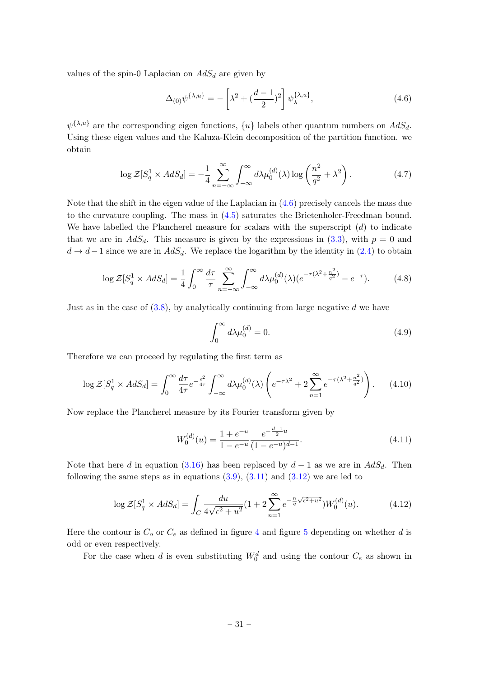values of the spin-0 Laplacian on  $AdS_d$  are given by

<span id="page-31-0"></span>
$$
\Delta_{(0)}\psi^{\{\lambda,u\}} = -\left[\lambda^2 + \left(\frac{d-1}{2}\right)^2\right]\psi^{\{\lambda,u\}}_{\lambda},\tag{4.6}
$$

 $\psi^{\{\lambda,u\}}$  are the corresponding eigen functions,  $\{u\}$  labels other quantum numbers on  $AdS_d$ . Using these eigen values and the Kaluza-Klein decomposition of the partition function. we obtain

<span id="page-31-2"></span>
$$
\log \mathcal{Z}[S_q^1 \times AdS_d] = -\frac{1}{4} \sum_{n=-\infty}^{\infty} \int_{-\infty}^{\infty} d\lambda \mu_0^{(d)}(\lambda) \log \left(\frac{n^2}{q^2} + \lambda^2\right). \tag{4.7}
$$

Note that the shift in the eigen value of the Laplacian in [\(4.6\)](#page-31-0) precisely cancels the mass due to the curvature coupling. The mass in [\(4.5\)](#page-30-1) saturates the Brietenholer-Freedman bound. We have labelled the Plancherel measure for scalars with the superscript  $(d)$  to indicate that we are in  $AdS_d$ . This measure is given by the expressions in  $(3.3)$ , with  $p = 0$  and  $d \rightarrow d-1$  since we are in  $AdS_d$ . We replace the logarithm by the identity in [\(2.4\)](#page-6-3) to obtain

$$
\log \mathcal{Z}[S_q^1 \times AdS_d] = \frac{1}{4} \int_0^\infty \frac{d\tau}{\tau} \sum_{n=-\infty}^\infty \int_{-\infty}^\infty d\lambda \mu_0^{(d)}(\lambda) (e^{-\tau(\lambda^2 + \frac{n^2}{q^2})} - e^{-\tau}). \tag{4.8}
$$

Just as in the case of  $(3.8)$ , by analytically continuing from large negative d we have

$$
\int_0^\infty d\lambda \mu_0^{(d)} = 0. \tag{4.9}
$$

Therefore we can proceed by regulating the first term as

$$
\log \mathcal{Z}[S_q^1 \times AdS_d] = \int_0^\infty \frac{d\tau}{4\tau} e^{-\frac{\epsilon^2}{4\tau}} \int_{-\infty}^\infty d\lambda \mu_0^{(d)}(\lambda) \left( e^{-\tau \lambda^2} + 2 \sum_{n=1}^\infty e^{-\tau (\lambda^2 + \frac{n^2}{q^2})} \right). \tag{4.10}
$$

Now replace the Plancherel measure by its Fourier transform given by

$$
W_0^{(d)}(u) = \frac{1 + e^{-u}}{1 - e^{-u}} \frac{e^{-\frac{d-1}{2}u}}{(1 - e^{-u})^{d-1}}.
$$
\n(4.11)

Note that here d in equation [\(3.16\)](#page-21-5) has been replaced by  $d-1$  as we are in  $AdS_d$ . Then following the same steps as in equations  $(3.9)$ ,  $(3.11)$  and  $(3.12)$  we are led to

<span id="page-31-1"></span>
$$
\log \mathcal{Z}[S_q^1 \times AdS_d] = \int_C \frac{du}{4\sqrt{\epsilon^2 + u^2}} (1 + 2 \sum_{n=1}^{\infty} e^{-\frac{n}{q} \sqrt{\epsilon^2 + u^2}}) W_0^{(d)}(u). \tag{4.12}
$$

Here the contour is  $C_0$  or  $C_e$  as defined in figure [4](#page-25-0) and figure [5](#page-26-1) depending on whether d is odd or even respectively.

For the case when d is even substituting  $W_0^d$  and using the contour  $C_e$  as shown in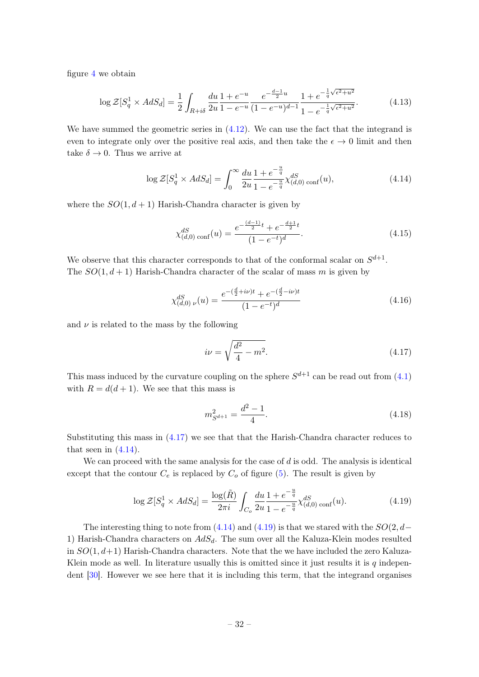figure [4](#page-25-0) we obtain

$$
\log \mathcal{Z}[S_q^1 \times AdS_d] = \frac{1}{2} \int_{R+i\delta} \frac{du}{2u} \frac{1 + e^{-u}}{1 - e^{-u}} \frac{e^{-\frac{d-1}{2}u}}{(1 - e^{-u})^{d-1}} \frac{1 + e^{-\frac{1}{q}\sqrt{\epsilon^2 + u^2}}}{1 - e^{-\frac{1}{q}\sqrt{\epsilon^2 + u^2}}}.
$$
(4.13)

We have summed the geometric series in  $(4.12)$ . We can use the fact that the integrand is even to integrate only over the positive real axis, and then take the  $\epsilon \to 0$  limit and then take  $\delta \to 0$ . Thus we arrive at

<span id="page-32-1"></span>
$$
\log \mathcal{Z}[S_q^1 \times AdS_d] = \int_0^\infty \frac{du}{2u} \frac{1 + e^{-\frac{u}{q}}}{1 - e^{-\frac{u}{q}}} \chi_{(d,0)\text{ conf}}^{dS}(u),\tag{4.14}
$$

where the  $SO(1, d+1)$  Harish-Chandra character is given by

<span id="page-32-4"></span>
$$
\chi_{(d,0)\text{ conf}}^{dS}(u) = \frac{e^{-\frac{(d-1)}{2}t} + e^{-\frac{d+1}{2}t}}{(1 - e^{-t})^d}.
$$
\n(4.15)

We observe that this character corresponds to that of the conformal scalar on  $S^{d+1}$ . The  $SO(1, d+1)$  Harish-Chandra character of the scalar of mass m is given by

$$
\chi_{(d,0)\ \nu}^{dS}(u) = \frac{e^{-(\frac{d}{2}+i\nu)t} + e^{-(\frac{d}{2}-i\nu)t}}{(1-e^{-t})^d}
$$
\n(4.16)

and  $\nu$  is related to the mass by the following

<span id="page-32-0"></span>
$$
i\nu = \sqrt{\frac{d^2}{4} - m^2}.
$$
\n(4.17)

This mass induced by the curvature coupling on the sphere  $S^{d+1}$  can be read out from  $(4.1)$ with  $R = d(d + 1)$ . We see that this mass is

<span id="page-32-3"></span>
$$
m_{S^{d+1}}^2 = \frac{d^2 - 1}{4}.\tag{4.18}
$$

Substituting this mass in [\(4.17\)](#page-32-0) we see that that the Harish-Chandra character reduces to that seen in  $(4.14)$ .

We can proceed with the same analysis for the case of  $d$  is odd. The analysis is identical except that the contour  $C_e$  is replaced by  $C_o$  of figure [\(5\)](#page-26-1). The result is given by

<span id="page-32-2"></span>
$$
\log \mathcal{Z}[S_q^1 \times AdS_d] = \frac{\log(\tilde{R})}{2\pi i} \int_{C_o} \frac{du}{2u} \frac{1 + e^{-\frac{u}{q}}}{1 - e^{-\frac{u}{q}}} \chi_{(d,0)\text{ conf}}^{dS}(u). \tag{4.19}
$$

The interesting thing to note from  $(4.14)$  and  $(4.19)$  is that we stared with the  $SO(2, d-$ 1) Harish-Chandra characters on  $AdS_d$ . The sum over all the Kaluza-Klein modes resulted in  $SO(1, d+1)$  Harish-Chandra characters. Note that the we have included the zero Kaluza-Klein mode as well. In literature usually this is omitted since it just results it is  $q$  independent [\[30\]](#page-47-14). However we see here that it is including this term, that the integrand organises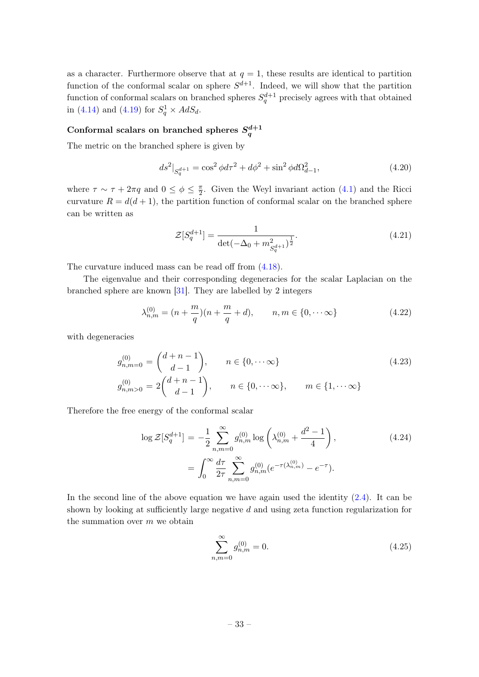as a character. Furthermore observe that at  $q = 1$ , these results are identical to partition function of the conformal scalar on sphere  $S^{d+1}$ . Indeed, we will show that the partition function of conformal scalars on branched spheres  $S_q^{d+1}$  precisely agrees with that obtained in [\(4.14\)](#page-32-1) and [\(4.19\)](#page-32-2) for  $S_q^1 \times AdS_d$ .

# <span id="page-33-0"></span>Conformal scalars on branched spheres  $S^{d+1}_q$

The metric on the branched sphere is given by

$$
ds^{2}|_{S_{q}^{d+1}} = \cos^{2}\phi d\tau^{2} + d\phi^{2} + \sin^{2}\phi d\Omega_{d-1}^{2},
$$
\n(4.20)

where  $\tau \sim \tau + 2\pi q$  and  $0 \leq \phi \leq \frac{\pi}{2}$  $\frac{\pi}{2}$ . Given the Weyl invariant action [\(4.1\)](#page-30-2) and the Ricci curvature  $R = d(d + 1)$ , the partition function of conformal scalar on the branched sphere can be written as

$$
\mathcal{Z}[S_q^{d+1}] = \frac{1}{\det(-\Delta_0 + m_{S_q^{d+1}}^2)^{\frac{1}{2}}}.
$$
\n(4.21)

The curvature induced mass can be read off from [\(4.18\)](#page-32-3).

The eigenvalue and their corresponding degeneracies for the scalar Laplacian on the branched sphere are known [\[31\]](#page-47-15). They are labelled by 2 integers

$$
\lambda_{n,m}^{(0)} = (n + \frac{m}{q})(n + \frac{m}{q} + d), \qquad n, m \in \{0, \cdots \infty\}
$$
\n(4.22)

with degeneracies

$$
g_{n,m=0}^{(0)} = {d+n-1 \choose d-1}, \qquad n \in \{0, \cdots \infty\}
$$
  
\n
$$
g_{n,m>0}^{(0)} = 2{d+n-1 \choose d-1}, \qquad n \in \{0, \cdots \infty\}, \qquad m \in \{1, \cdots \infty\}
$$
\n(4.23)

Therefore the free energy of the conformal scalar

$$
\log \mathcal{Z}[S_q^{d+1}] = -\frac{1}{2} \sum_{n,m=0}^{\infty} g_{n,m}^{(0)} \log \left( \lambda_{n,m}^{(0)} + \frac{d^2 - 1}{4} \right),
$$
\n
$$
= \int_0^{\infty} \frac{d\tau}{2\tau} \sum_{n,m=0}^{\infty} g_{n,m}^{(0)} (e^{-\tau(\lambda_{n,m}^{(0)})} - e^{-\tau}).
$$
\n(4.24)

In the second line of the above equation we have again used the identity  $(2.4)$ . It can be shown by looking at sufficiently large negative d and using zeta function regularization for the summation over  $m$  we obtain

$$
\sum_{n,m=0}^{\infty} g_{n,m}^{(0)} = 0.
$$
\n(4.25)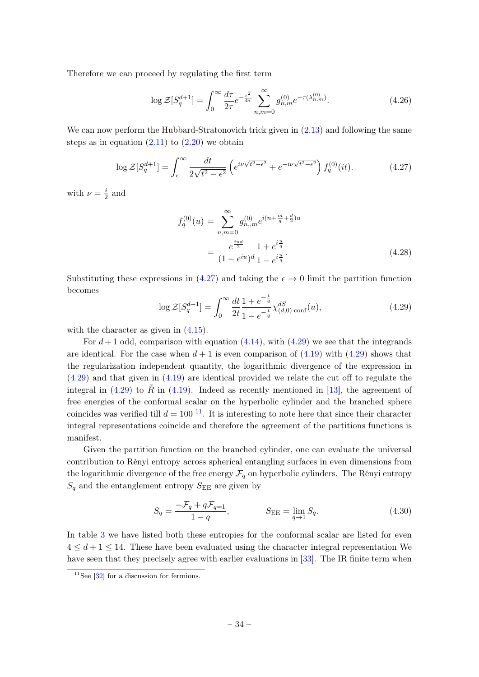Therefore we can proceed by regulating the first term

$$
\log \mathcal{Z}[S_q^{d+1}] = \int_0^\infty \frac{d\tau}{2\tau} e^{-\frac{\epsilon^2}{4\tau}} \sum_{n,m=0}^\infty g_{n,m}^{(0)} e^{-\tau(\lambda_{n,m}^{(0)})}.
$$
 (4.26)

We can now perform the Hubbard-Stratonovich trick given in  $(2.13)$  and following the same steps as in equation  $(2.11)$  to  $(2.20)$  we obtain

<span id="page-34-0"></span>
$$
\log \mathcal{Z}[S_q^{d+1}] = \int_{\epsilon}^{\infty} \frac{dt}{2\sqrt{t^2 - \epsilon^2}} \left( e^{i\nu\sqrt{t^2 - \epsilon^2}} + e^{-i\nu\sqrt{t^2 - \epsilon^2}} \right) f_q^{(0)}(it). \tag{4.27}
$$

with  $\nu = \frac{i}{2}$  $\frac{i}{2}$  and

$$
f_q^{(0)}(u) = \sum_{n,m=0}^{\infty} g_{n,m}^{(0)} e^{i(n+\frac{m}{q}+\frac{d}{2})u}
$$
  
= 
$$
\frac{e^{\frac{iu d}{2}}}{(1-e^{iu})^d} \frac{1+e^{i\frac{u}{q}}}{1-e^{i\frac{u}{q}}}.
$$
 (4.28)

Substituting these expressions in [\(4.27\)](#page-34-0) and taking the  $\epsilon \to 0$  limit the partition function becomes

<span id="page-34-1"></span>
$$
\log \mathcal{Z}[S_q^{d+1}] = \int_0^\infty \frac{dt}{2t} \frac{1 + e^{-\frac{t}{q}}}{1 - e^{-\frac{t}{q}}} \chi_{(d,0)\text{ conf}}^{dS}(u),\tag{4.29}
$$

with the character as given in  $(4.15)$ .

For  $d+1$  odd, comparison with equation  $(4.14)$ , with  $(4.29)$  we see that the integrands are identical. For the case when  $d+1$  is even comparison of  $(4.19)$  with  $(4.29)$  shows that the regularization independent quantity, the logarithmic divergence of the expression in [\(4.29\)](#page-34-1) and that given in [\(4.19\)](#page-32-2) are identical provided we relate the cut off to regulate the integral in  $(4.29)$  to R in  $(4.19)$ . Indeed as recently mentioned in [\[13\]](#page-46-10), the agreement of free energies of the conformal scalar on the hyperbolic cylinder and the branched sphere coincides was verified till  $d = 100^{-11}$  $d = 100^{-11}$  $d = 100^{-11}$ . It is interesting to note here that since their character integral representations coincide and therefore the agreement of the partitions functions is manifest.

Given the partition function on the branched cylinder, one can evaluate the universal contribution to Rényi entropy across spherical entangling surfaces in even dimensions from the logarithmic divergence of the free energy  $\mathcal{F}_q$  on hyperbolic cylinders. The Rényi entropy  $S_q$  and the entanglement entropy  $S_{EE}$  are given by

$$
S_q = \frac{-\mathcal{F}_q + q\mathcal{F}_{q=1}}{1 - q}, \qquad S_{\text{EE}} = \lim_{q \to 1} S_q. \tag{4.30}
$$

In table [3](#page-35-1) we have listed both these entropies for the conformal scalar are listed for even  $4 \leq d+1 \leq 14$ . These have been evaluated using the character integral representation We have seen that they precisely agree with earlier evaluations in [\[33\]](#page-47-16). The IR finite term when

 $11$ See [\[32\]](#page-47-17) for a discussion for fermions.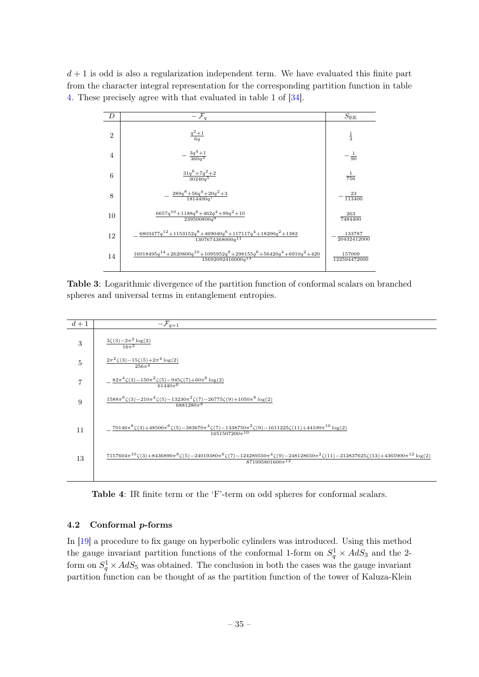<span id="page-35-1"></span> $d+1$  is odd is also a regularization independent term. We have evaluated this finite part from the character integral representation for the corresponding partition function in table [4.](#page-35-2) These precisely agree with that evaluated in table 1 of [\[34\]](#page-48-0).

| D              | $-\mathcal{F}_a$                                                                                                       | $S_{\rm EE}$           |
|----------------|------------------------------------------------------------------------------------------------------------------------|------------------------|
| $\overline{2}$ | $\frac{q^2+1}{6q}$                                                                                                     | $\frac{1}{3}$          |
| 4              | $-\frac{3q^4+1}{360q^3}$                                                                                               | $-\frac{1}{90}$        |
| 6              | $\frac{31q^{6}+7q^{2}+2}{30240q^{5}}$                                                                                  | $\frac{1}{756}$        |
| 8              | $-\frac{289q^8+56q^4+20q^2+3}{1814400q^7}$                                                                             | $\frac{23}{113400}$    |
| 10             | $\frac{6657q^{10} + 1188q^6 + 462q^4 + 99q^2 + 10}{239500800q^9}$                                                      | 263<br>7484400         |
| 12             | $\frac{6803477 q^{12} + 1153152 q^{8} + 469040 q^{6} + 117117 q^{4} + 18200 q^{2} + 1382}{1307674368000 q^{11}}$       | 133787<br>20432412000  |
| 14             | $16018495q^{14} + 2620800q^{10} + 1095952q^{8} + 298155q^{6} + 56420q^{4} + 6910q^{2} + 420$<br>$15692092416000q^{13}$ | 157009<br>122594472000 |
|                |                                                                                                                        |                        |

Table 3: Logarithmic divergence of the partition function of conformal scalars on branched spheres and universal terms in entanglement entropies.

<span id="page-35-2"></span>

Table 4: IR finite term or the 'F'-term on odd spheres for conformal scalars.

# <span id="page-35-0"></span>4.2 Conformal p-forms

In [\[19\]](#page-47-1) a procedure to fix gauge on hyperbolic cylinders was introduced. Using this method the gauge invariant partition functions of the conformal 1-form on  $S_q^1 \times AdS_3$  and the 2form on  $S_q^1 \times AdS_5$  was obtained. The conclusion in both the cases was the gauge invariant partition function can be thought of as the partition function of the tower of Kaluza-Klein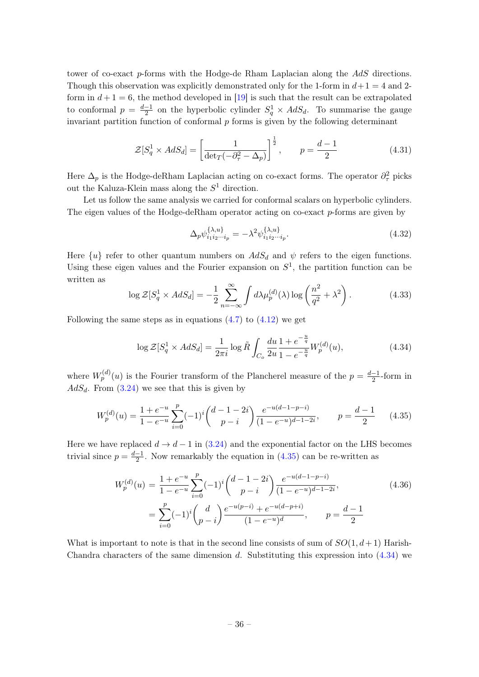tower of co-exact p-forms with the Hodge-de Rham Laplacian along the AdS directions. Though this observation was explicitly demonstrated only for the 1-form in  $d+1=4$  and 2form in  $d+1=6$ , the method developed in [\[19\]](#page-47-1) is such that the result can be extrapolated to conformal  $p = \frac{d-1}{2}$  $\frac{-1}{2}$  on the hyperbolic cylinder  $S_q^1 \times AdS_d$ . To summarise the gauge invariant partition function of conformal  $p$  forms is given by the following determinant

$$
\mathcal{Z}[S_q^1 \times AdS_d] = \left[\frac{1}{\det_T(-\partial_\tau^2 - \Delta_p)}\right]^{\frac{1}{2}}, \qquad p = \frac{d-1}{2}
$$
(4.31)

Here  $\Delta_p$  is the Hodge-deRham Laplacian acting on co-exact forms. The operator  $\partial_{\tau}^2$  picks out the Kaluza-Klein mass along the  $S<sup>1</sup>$  direction.

Let us follow the same analysis we carried for conformal scalars on hyperbolic cylinders. The eigen values of the Hodge-deRham operator acting on co-exact p-forms are given by

$$
\Delta_p \psi_{i_1 i_2 \cdots i_p}^{\{\lambda, u\}} = -\lambda^2 \psi_{i_1 i_2 \cdots i_p}^{\{\lambda, u\}}.
$$
\n(4.32)

Here  $\{u\}$  refer to other quantum numbers on  $AdS_d$  and  $\psi$  refers to the eigen functions. Using these eigen values and the Fourier expansion on  $S<sup>1</sup>$ , the partition function can be written as

$$
\log \mathcal{Z}[S_q^1 \times AdS_d] = -\frac{1}{2} \sum_{n=-\infty}^{\infty} \int d\lambda \mu_p^{(d)}(\lambda) \log \left(\frac{n^2}{q^2} + \lambda^2\right). \tag{4.33}
$$

Following the same steps as in equations  $(4.7)$  to  $(4.12)$  we get

<span id="page-36-1"></span>
$$
\log \mathcal{Z}[S_q^1 \times AdS_d] = \frac{1}{2\pi i} \log \tilde{R} \int_{C_o} \frac{du}{2u} \frac{1 + e^{-\frac{u}{q}}}{1 - e^{-\frac{u}{q}}} W_p^{(d)}(u),\tag{4.34}
$$

where  $W_p^{(d)}(u)$  is the Fourier transform of the Plancherel measure of the  $p = \frac{d-1}{2}$  $\frac{-1}{2}$ -form in  $AdS_d$ . From  $(3.24)$  we see that this is given by

<span id="page-36-0"></span>
$$
W_p^{(d)}(u) = \frac{1+e^{-u}}{1-e^{-u}} \sum_{i=0}^p (-1)^i \binom{d-1-2i}{p-i} \frac{e^{-u(d-1-p-i)}}{(1-e^{-u})^{d-1-2i}}, \qquad p = \frac{d-1}{2} \tag{4.35}
$$

Here we have replaced  $d \rightarrow d-1$  in [\(3.24\)](#page-23-0) and the exponential factor on the LHS becomes trivial since  $p = \frac{d-1}{2}$  $\frac{-1}{2}$ . Now remarkably the equation in  $(4.35)$  can be re-written as

$$
W_p^{(d)}(u) = \frac{1 + e^{-u}}{1 - e^{-u}} \sum_{i=0}^p (-1)^i {d-1-2i \choose p-i} \frac{e^{-u(d-1-p-i)}}{(1 - e^{-u})^{d-1-2i}},
$$
  
= 
$$
\sum_{i=0}^p (-1)^i {d \choose p-i} \frac{e^{-u(p-i)} + e^{-u(d-p+i)}}{(1 - e^{-u})^d}, \qquad p = \frac{d-1}{2}
$$
 (4.36)

What is important to note is that in the second line consists of sum of  $SO(1, d+1)$  Harish-Chandra characters of the same dimension d. Substituting this expression into  $(4.34)$  we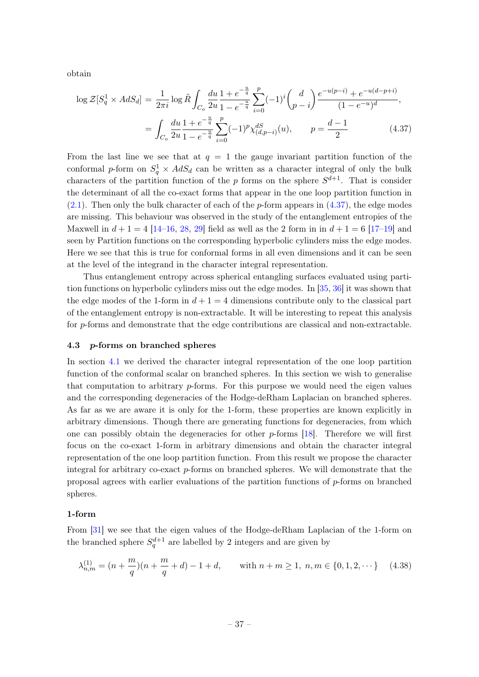obtain

<span id="page-37-1"></span>
$$
\log \mathcal{Z}[S_q^1 \times AdS_d] = \frac{1}{2\pi i} \log \tilde{R} \int_{C_o} \frac{du}{2u} \frac{1 + e^{-\frac{u}{q}}}{1 - e^{-\frac{u}{q}}} \sum_{i=0}^p (-1)^i {d \choose p-i} \frac{e^{-u(p-i)} + e^{-u(d-p+i)}}{(1 - e^{-u})^d},
$$
  
= 
$$
\int_{C_o} \frac{du}{2u} \frac{1 + e^{-\frac{u}{q}}}{1 - e^{-\frac{u}{q}}} \sum_{i=0}^p (-1)^i \chi_{(d,p-i)}^{dS}(u), \qquad p = \frac{d-1}{2}
$$
(4.37)

From the last line we see that at  $q = 1$  the gauge invariant partition function of the conformal p-form on  $S_q^1 \times AdS_d$  can be written as a character integral of only the bulk characters of the partition function of the p forms on the sphere  $S^{d+1}$ . That is consider the determinant of all the co-exact forms that appear in the one loop partition function in  $(2.1)$ . Then only the bulk character of each of the p-form appears in  $(4.37)$ , the edge modes are missing. This behaviour was observed in the study of the entanglement entropies of the Maxwell in  $d + 1 = 4$  [\[14](#page-47-0)[–16,](#page-47-10) [28,](#page-47-11) [29\]](#page-47-12) field as well as the 2 form in in  $d + 1 = 6$  [\[17–](#page-47-18)[19\]](#page-47-1) and seen by Partition functions on the corresponding hyperbolic cylinders miss the edge modes. Here we see that this is true for conformal forms in all even dimensions and it can be seen at the level of the integrand in the character integral representation.

Thus entanglement entropy across spherical entangling surfaces evaluated using partition functions on hyperbolic cylinders miss out the edge modes. In [\[35,](#page-48-1) [36\]](#page-48-2) it was shown that the edge modes of the 1-form in  $d+1=4$  dimensions contribute only to the classical part of the entanglement entropy is non-extractable. It will be interesting to repeat this analysis for p-forms and demonstrate that the edge contributions are classical and non-extractable.

#### <span id="page-37-0"></span>4.3 p-forms on branched spheres

In section [4.1](#page-33-0) we derived the character integral representation of the one loop partition function of the conformal scalar on branched spheres. In this section we wish to generalise that computation to arbitrary p-forms. For this purpose we would need the eigen values and the corresponding degeneracies of the Hodge-deRham Laplacian on branched spheres. As far as we are aware it is only for the 1-form, these properties are known explicitly in arbitrary dimensions. Though there are generating functions for degeneracies, from which one can possibly obtain the degeneracies for other  $p$ -forms [\[18\]](#page-47-13). Therefore we will first focus on the co-exact 1-form in arbitrary dimensions and obtain the character integral representation of the one loop partition function. From this result we propose the character integral for arbitrary co-exact  $p$ -forms on branched spheres. We will demonstrate that the proposal agrees with earlier evaluations of the partition functions of p-forms on branched spheres.

## 1-form

From [\[31\]](#page-47-15) we see that the eigen values of the Hodge-deRham Laplacian of the 1-form on the branched sphere  $S_q^{d+1}$  are labelled by 2 integers and are given by

$$
\lambda_{n,m}^{(1)} = (n + \frac{m}{q})(n + \frac{m}{q} + d) - 1 + d, \quad \text{with } n + m \ge 1, n, m \in \{0, 1, 2, \dots\} \tag{4.38}
$$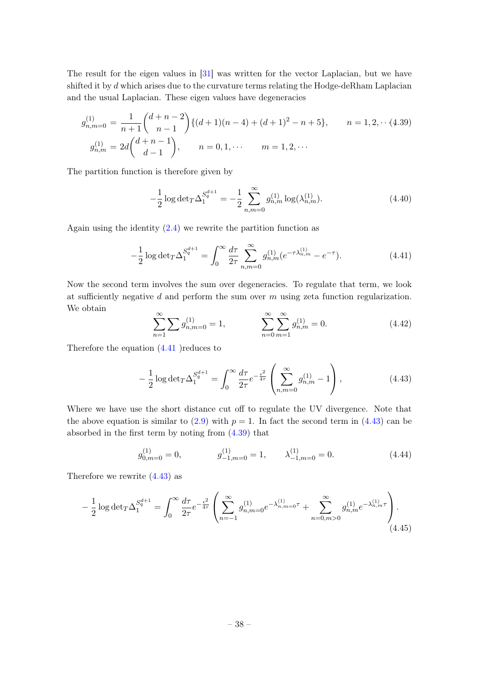The result for the eigen values in [\[31\]](#page-47-15) was written for the vector Laplacian, but we have shifted it by d which arises due to the curvature terms relating the Hodge-deRham Laplacian and the usual Laplacian. These eigen values have degeneracies

<span id="page-38-2"></span>
$$
g_{n,m=0}^{(1)} = \frac{1}{n+1} {d+n-2 \choose n-1} \{(d+1)(n-4) + (d+1)^2 - n + 5\}, \qquad n = 1, 2, \cdots (4.39)
$$
  

$$
g_{n,m}^{(1)} = 2d {d+n-1 \choose d-1}, \qquad n = 0, 1, \cdots \qquad m = 1, 2, \cdots
$$

The partition function is therefore given by

$$
-\frac{1}{2}\log\det T\Delta_1^{S_q^{d+1}} = -\frac{1}{2}\sum_{n,m=0}^{\infty} g_{n,m}^{(1)}\log(\lambda_{n,m}^{(1)}).
$$
 (4.40)

Again using the identity [\(2.4\)](#page-6-3) we rewrite the partition function as

<span id="page-38-0"></span>
$$
-\frac{1}{2}\log\det T\Delta_1^{S_q^{d+1}} = \int_0^\infty \frac{d\tau}{2\tau} \sum_{n,m=0}^\infty g_{n,m}^{(1)}(e^{-\tau\lambda_{n,m}^{(1)}} - e^{-\tau}).\tag{4.41}
$$

Now the second term involves the sum over degeneracies. To regulate that term, we look at sufficiently negative  $d$  and perform the sum over  $m$  using zeta function regularization. We obtain

$$
\sum_{n=1}^{\infty} \sum g_{n,m=0}^{(1)} = 1, \qquad \sum_{n=0}^{\infty} \sum_{m=1}^{\infty} g_{n,m}^{(1)} = 0.
$$
 (4.42)

Therefore the equation [\(4.41](#page-38-0) )reduces to

<span id="page-38-1"></span>
$$
-\frac{1}{2}\log\det T\Delta_1^{S_q^{d+1}} = \int_0^\infty \frac{d\tau}{2\tau} e^{-\frac{\epsilon^2}{4\tau}} \left(\sum_{n,m=0}^\infty g_{n,m}^{(1)} - 1\right),\tag{4.43}
$$

Where we have use the short distance cut off to regulate the UV divergence. Note that the above equation is similar to  $(2.9)$  with  $p = 1$ . In fact the second term in  $(4.43)$  can be absorbed in the first term by noting from [\(4.39\)](#page-38-2) that

$$
g_{0,m=0}^{(1)} = 0, \qquad g_{-1,m=0}^{(1)} = 1, \qquad \lambda_{-1,m=0}^{(1)} = 0. \tag{4.44}
$$

Therefore we rewrite [\(4.43\)](#page-38-1) as

$$
-\frac{1}{2}\log\det T\Delta_1^{S_q^{d+1}} = \int_0^\infty \frac{d\tau}{2\tau} e^{-\frac{\epsilon^2}{4\tau}} \left( \sum_{n=-1}^\infty g_{n,m=0}^{(1)} e^{-\lambda_{n,m=0}^{(1)}\tau} + \sum_{n=0,m>0}^\infty g_{n,m}^{(1)} e^{-\lambda_{n,m}^{(1)}\tau} \right). \tag{4.45}
$$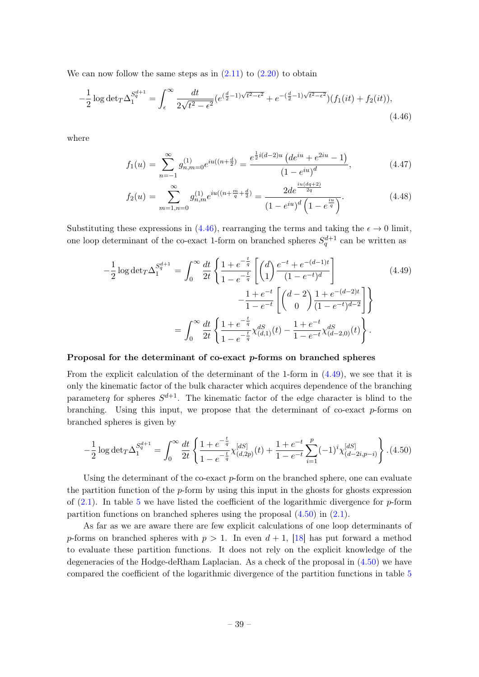We can now follow the same steps as in  $(2.11)$  to  $(2.20)$  to obtain

<span id="page-39-0"></span>
$$
-\frac{1}{2}\log\det T\Delta_1^{S_q^{d+1}} = \int_{\epsilon}^{\infty} \frac{dt}{2\sqrt{t^2 - \epsilon^2}} (e^{(\frac{d}{2}-1)\sqrt{t^2 - \epsilon^2}} + e^{-(\frac{d}{2}-1)\sqrt{t^2 - \epsilon^2}}) (f_1(it) + f_2(it)),\tag{4.46}
$$

where

$$
f_1(u) = \sum_{n=-1}^{\infty} g_{n,m=0}^{(1)} e^{iu((n+\frac{d}{2})} = \frac{e^{\frac{1}{2}i(d-2)u} \left( de^{iu} + e^{2iu} - 1 \right)}{(1 - e^{iu})^d},
$$
(4.47)

$$
f_2(u) = \sum_{m=1, n=0}^{\infty} g_{n,m}^{(1)} e^{iu((n + \frac{m}{q} + \frac{d}{2})} = \frac{2de^{\frac{iu(dq+2)}{2q}}}{(1 - e^{iu})^d \left(1 - e^{\frac{iu}{q}}\right)}.
$$
(4.48)

Substituting these expressions in [\(4.46\)](#page-39-0), rearranging the terms and taking the  $\epsilon \to 0$  limit, one loop determinant of the co-exact 1-form on branched spheres  $S_q^{d+1}$  can be written as

<span id="page-39-1"></span>
$$
-\frac{1}{2}\log\det_{T}\Delta_{1}^{S_{q}^{d+1}} = \int_{0}^{\infty} \frac{dt}{2t} \left\{ \frac{1+e^{-\frac{t}{q}}}{1-e^{-\frac{t}{q}}} \left[ \binom{d}{1} \frac{e^{-t}+e^{-(d-1)t}}{(1-e^{-t})^{d}} - \frac{1+e^{-t}}{1-e^{-t}} \left[ \binom{d-2}{0} \frac{1+e^{-(d-2)t}}{(1-e^{-t})^{d-2}} \right] \right\}
$$
\n
$$
= \int_{0}^{\infty} \frac{dt}{2t} \left\{ \frac{1+e^{-\frac{t}{q}}}{1-e^{-\frac{t}{q}}} \chi_{(d,1)}^{dS}(t) - \frac{1+e^{-t}}{1-e^{-t}} \chi_{(d-2,0)}^{dS}(t) \right\}.
$$
\n(4.49)

#### Proposal for the determinant of co-exact p-forms on branched spheres

From the explicit calculation of the determinant of the 1-form in [\(4.49\)](#page-39-1), we see that it is only the kinematic factor of the bulk character which acquires dependence of the branching parameterg for spheres  $S^{d+1}$ . The kinematic factor of the edge character is blind to the branching. Using this input, we propose that the determinant of co-exact  $p$ -forms on branched spheres is given by

<span id="page-39-2"></span>
$$
-\frac{1}{2}\log\det T\Delta_1^{S_q^{d+1}} = \int_0^\infty \frac{dt}{2t} \left\{ \frac{1+e^{-\frac{t}{q}}}{1-e^{-\frac{t}{q}}}\chi_{(d,2p)}^{[dS]}(t) + \frac{1+e^{-t}}{1-e^{-t}} \sum_{i=1}^p (-1)^i \chi_{(d-2i,p-i)}^{[dS]} \right\} . \tag{4.50}
$$

Using the determinant of the co-exact p-form on the branched sphere, one can evaluate the partition function of the  $p$ -form by using this input in the ghosts for ghosts expression of  $(2.1)$ . In table [5](#page-40-1) we have listed the coefficient of the logarithmic divergence for p-form partition functions on branched spheres using the proposal [\(4.50\)](#page-39-2) in [\(2.1\)](#page-6-6).

As far as we are aware there are few explicit calculations of one loop determinants of p-forms on branched spheres with  $p > 1$ . In even  $d + 1$ , [\[18\]](#page-47-13) has put forward a method to evaluate these partition functions. It does not rely on the explicit knowledge of the degeneracies of the Hodge-deRham Laplacian. As a check of the proposal in  $(4.50)$  we have compared the coefficient of the logarithmic divergence of the partition functions in table [5](#page-40-1)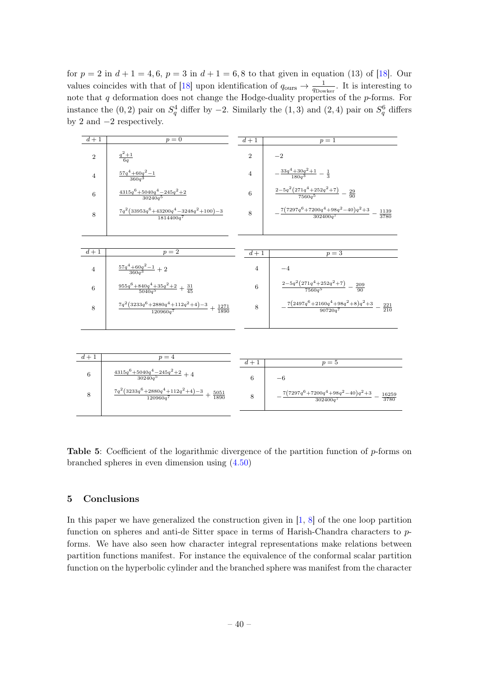for  $p = 2$  in  $d + 1 = 4, 6, p = 3$  in  $d + 1 = 6, 8$  to that given in equation (13) of [\[18\]](#page-47-13). Our values coincides with that of [\[18\]](#page-47-13) upon identification of  $q_{\text{ours}} \to \frac{1}{q_{\text{Dowker}}}.$  It is interesting to note that  $q$  deformation does not change the Hodge-duality properties of the  $p$ -forms. For instance the  $(0, 2)$  pair on  $S_q^4$  differ by  $-2$ . Similarly the  $(1, 3)$  and  $(2, 4)$  pair on  $S_q^6$  differs by 2 and −2 respectively.

<span id="page-40-1"></span>

| $\overline{d+1}$ | $p=0$                                                                                              | $\overline{d+1}$ | $p=1$                                                                                       |
|------------------|----------------------------------------------------------------------------------------------------|------------------|---------------------------------------------------------------------------------------------|
| $\overline{2}$   | $\frac{q^2+1}{6q}$                                                                                 | $\overline{2}$   | $-2$                                                                                        |
| $\overline{4}$   | $\frac{57q^4 + 60q^2 - 1}{360q^3}$                                                                 | $\overline{4}$   | $-\frac{33q^4+30q^2+1}{180q^3}-\frac{1}{3}$                                                 |
| 6                | $\frac{4315q^{6} + 5040q^{4} - 245q^{2} + 2}{30240q^{5}}$                                          | 6                | $\frac{2-5q^2(271q^4+252q^2+7)}{7560q^5}-\frac{29}{90}$                                     |
| 8                | $\frac{7q^2 \left(33953 q^6+43200 q^4-3248 q^2+100\right)-3}{1814400 q^7}$                         | 8                | $\frac{7\left(7297q^6+7200q^4+98q^2-40\right)q^2+3}{302400q^7}-\frac{1139}{3780}$           |
|                  |                                                                                                    |                  |                                                                                             |
| $\overline{d+1}$ | $\overline{p=2}$                                                                                   | $\overline{d+1}$ | $p=3$                                                                                       |
| $\overline{4}$   | $\frac{57q^4 + 60q^2 - 1}{360q^3} + 2$                                                             | 4                | $-4$                                                                                        |
| 6                | $\frac{955q^{6} + 840q^{4} + 35q^{2} + 2}{5040q^{5}} + \frac{31}{45}$                              | 6                | $\frac{2-5q^2(271q^4+252q^2+7)}{7560q^5}-\frac{209}{90}$                                    |
| 8                | $\frac{7q^2(3233q^6+2880q^4+112q^2+4)-3}{120960q^7}+\frac{1271}{1890}$                             | 8                | $\frac{7(2497q^6+2160q^4+98q^2+8)q^2+3}{90720q^7}-\frac{221}{210}$                          |
|                  |                                                                                                    |                  |                                                                                             |
|                  |                                                                                                    |                  |                                                                                             |
| $d+1$            | $p=\overline{4}$                                                                                   | $d+1$            | $p=5$                                                                                       |
| 6                | $\frac{4315q^{6} + 5040q^{4} - 245q^{2} + 2}{30240q^{5}} + 4$                                      | 6                | $-6$                                                                                        |
| 8                | $\frac{7q^2 \left(3233q^6\!+\!2880q^4\!+\!112q^2\!+\!4\right)\!-\!3}{120960q^7}+\frac{5051}{1890}$ | 8                | $\frac{7\left(7297q^6+7200q^4+98q^2-40\right)q^2+3}{302400q^7}$ $-$<br>$\frac{16259}{3780}$ |
|                  |                                                                                                    |                  |                                                                                             |

**Table 5:** Coefficient of the logarithmic divergence of the partition function of  $p$ -forms on branched spheres in even dimension using [\(4.50\)](#page-39-2)

# <span id="page-40-0"></span>5 Conclusions

In this paper we have generalized the construction given in  $[1, 8]$  $[1, 8]$  $[1, 8]$  of the one loop partition function on spheres and anti-de Sitter space in terms of Harish-Chandra characters to pforms. We have also seen how character integral representations make relations between partition functions manifest. For instance the equivalence of the conformal scalar partition function on the hyperbolic cylinder and the branched sphere was manifest from the character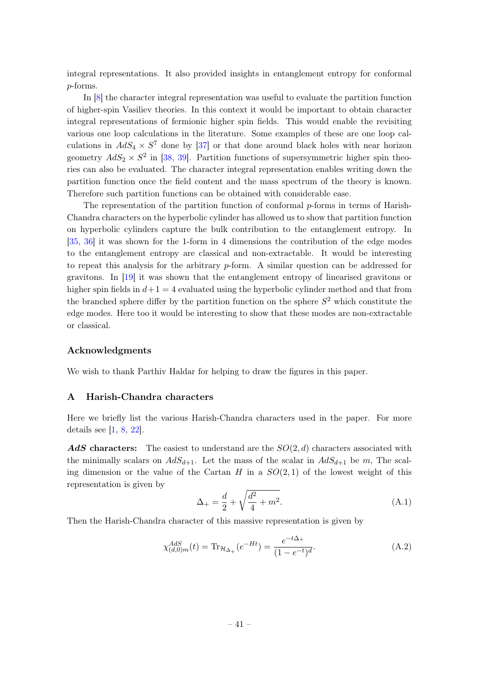integral representations. It also provided insights in entanglement entropy for conformal p-forms.

In [\[8\]](#page-46-6) the character integral representation was useful to evaluate the partition function of higher-spin Vasiliev theories. In this context it would be important to obtain character integral representations of fermionic higher spin fields. This would enable the revisiting various one loop calculations in the literature. Some examples of these are one loop calculations in  $AdS_4 \times S^7$  done by [\[37\]](#page-48-3) or that done around black holes with near horizon geometry  $AdS_2 \times S^2$  in [\[38,](#page-48-4) [39\]](#page-48-5). Partition functions of supersymmetric higher spin theories can also be evaluated. The character integral representation enables writing down the partition function once the field content and the mass spectrum of the theory is known. Therefore such partition functions can be obtained with considerable ease.

The representation of the partition function of conformal p-forms in terms of Harish-Chandra characters on the hyperbolic cylinder has allowed us to show that partition function on hyperbolic cylinders capture the bulk contribution to the entanglement entropy. In [\[35,](#page-48-1) [36\]](#page-48-2) it was shown for the 1-form in 4 dimensions the contribution of the edge modes to the entanglement entropy are classical and non-extractable. It would be interesting to repeat this analysis for the arbitrary p-form. A similar question can be addressed for gravitons. In [\[19\]](#page-47-1) it was shown that the entanglement entropy of linearised gravitons or higher spin fields in  $d+1 = 4$  evaluated using the hyperbolic cylinder method and that from the branched sphere differ by the partition function on the sphere  $S<sup>2</sup>$  which constitute the edge modes. Here too it would be interesting to show that these modes are non-extractable or classical.

#### Acknowledgments

We wish to thank Parthiv Haldar for helping to draw the figures in this paper.

#### <span id="page-41-0"></span>A Harish-Chandra characters

Here we briefly list the various Harish-Chandra characters used in the paper. For more details see  $[1, 8, 22]$  $[1, 8, 22]$  $[1, 8, 22]$  $[1, 8, 22]$  $[1, 8, 22]$ .

AdS characters: The easiest to understand are the  $SO(2, d)$  characters associated with the minimally scalars on  $AdS_{d+1}$ . Let the mass of the scalar in  $AdS_{d+1}$  be m, The scaling dimension or the value of the Cartan H in a  $SO(2,1)$  of the lowest weight of this representation is given by

$$
\Delta_{+} = \frac{d}{2} + \sqrt{\frac{d^2}{4} + m^2}.
$$
\n(A.1)

Then the Harish-Chandra character of this massive representation is given by

<span id="page-41-1"></span>
$$
\chi_{(d,0)m}^{AdS}(t) = \text{Tr}_{\mathcal{H}_{\Delta_+}}(e^{-Ht}) = \frac{e^{-t\Delta_+}}{(1 - e^{-t})^d}.
$$
\n(A.2)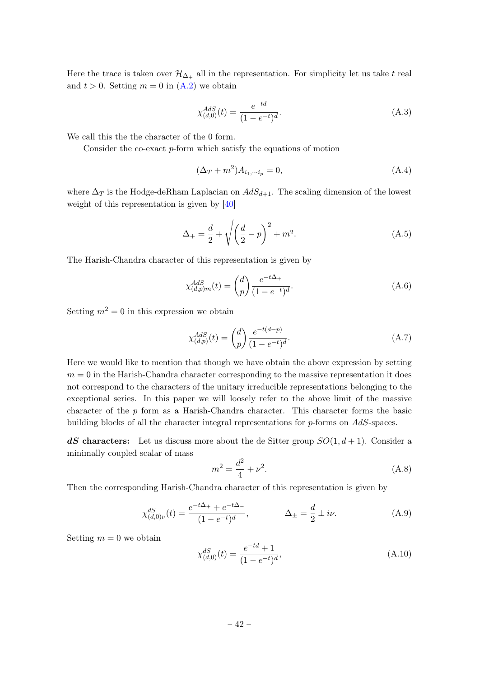Here the trace is taken over  $\mathcal{H}_{\Delta_+}$  all in the representation. For simplicity let us take t real and  $t > 0$ . Setting  $m = 0$  in  $(A.2)$  we obtain

$$
\chi_{(d,0)}^{AdS}(t) = \frac{e^{-td}}{(1 - e^{-t})^d}.
$$
\n(A.3)

We call this the the character of the 0 form.

Consider the co-exact p-form which satisfy the equations of motion

$$
(\Delta_T + m^2)A_{i_1,\cdots i_p} = 0,\t\t(A.4)
$$

where  $\Delta_T$  is the Hodge-deRham Laplacian on  $AdS_{d+1}$ . The scaling dimension of the lowest weight of this representation is given by [\[40\]](#page-48-6)

<span id="page-42-0"></span>
$$
\Delta_{+} = \frac{d}{2} + \sqrt{\left(\frac{d}{2} - p\right)^2 + m^2}.
$$
\n(A.5)

The Harish-Chandra character of this representation is given by

$$
\chi_{(d,p)m}^{AdS}(t) = \binom{d}{p} \frac{e^{-t\Delta_+}}{(1 - e^{-t})^d}.
$$
\n(A.6)

Setting  $m^2 = 0$  in this expression we obtain

$$
\chi_{(d,p)}^{AdS}(t) = \binom{d}{p} \frac{e^{-t(d-p)}}{(1 - e^{-t})^d}.
$$
\n(A.7)

Here we would like to mention that though we have obtain the above expression by setting  $m = 0$  in the Harish-Chandra character corresponding to the massive representation it does not correspond to the characters of the unitary irreducible representations belonging to the exceptional series. In this paper we will loosely refer to the above limit of the massive character of the p form as a Harish-Chandra character. This character forms the basic building blocks of all the character integral representations for  $p$ -forms on  $AdS$ -spaces.

**dS** characters: Let us discuss more about the de Sitter group  $SO(1, d+1)$ . Consider a minimally coupled scalar of mass

$$
m^2 = \frac{d^2}{4} + \nu^2.
$$
 (A.8)

Then the corresponding Harish-Chandra character of this representation is given by

$$
\chi_{(d,0)\nu}^{dS}(t) = \frac{e^{-t\Delta_+} + e^{-t\Delta_-}}{(1 - e^{-t})^d}, \qquad \Delta_{\pm} = \frac{d}{2} \pm i\nu.
$$
\n(A.9)

Setting  $m = 0$  we obtain

$$
\chi_{(d,0)}^{dS}(t) = \frac{e^{-td} + 1}{(1 - e^{-t})^d},\tag{A.10}
$$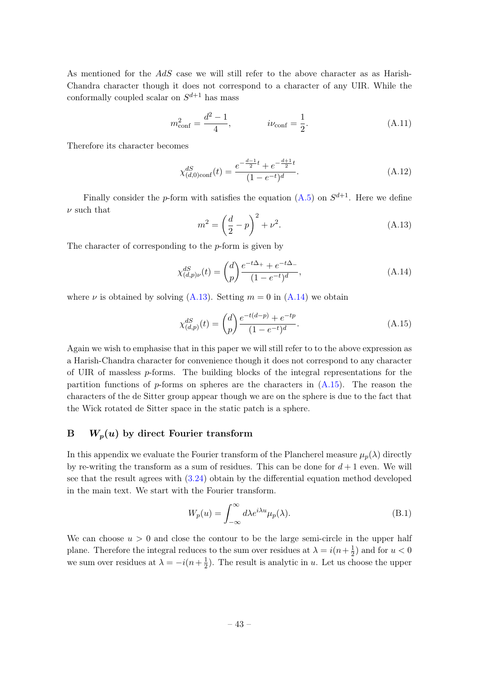As mentioned for the AdS case we will still refer to the above character as as Harish-Chandra character though it does not correspond to a character of any UIR. While the conformally coupled scalar on  $S^{d+1}$  has mass

$$
m_{\text{conf}}^2 = \frac{d^2 - 1}{4}, \qquad i\nu_{\text{conf}} = \frac{1}{2}.
$$
 (A.11)

Therefore its character becomes

$$
\chi_{(d,0)\text{conf}}^{dS}(t) = \frac{e^{-\frac{d-1}{2}t} + e^{-\frac{d+1}{2}t}}{(1 - e^{-t})^d}.
$$
\n(A.12)

Finally consider the *p*-form with satisfies the equation  $(A.5)$  on  $S^{d+1}$ . Here we define  $\nu$  such that

<span id="page-43-1"></span>
$$
m^{2} = \left(\frac{d}{2} - p\right)^{2} + \nu^{2}.
$$
 (A.13)

The character of corresponding to the  $p$ -form is given by

<span id="page-43-2"></span>
$$
\chi_{(d,p)\nu}^{dS}(t) = {d \choose p} \frac{e^{-t\Delta_+} + e^{-t\Delta_-}}{(1 - e^{-t})^d},\tag{A.14}
$$

where  $\nu$  is obtained by solving [\(A.13\)](#page-43-1). Setting  $m = 0$  in [\(A.14\)](#page-43-2) we obtain

<span id="page-43-3"></span>
$$
\chi_{(d,p)}^{dS}(t) = \binom{d}{p} \frac{e^{-t(d-p)} + e^{-tp}}{(1 - e^{-t})^d}.
$$
\n(A.15)

Again we wish to emphasise that in this paper we will still refer to to the above expression as a Harish-Chandra character for convenience though it does not correspond to any character of UIR of massless  $p$ -forms. The building blocks of the integral representations for the partition functions of  $p$ -forms on spheres are the characters in  $(A.15)$ . The reason the characters of the de Sitter group appear though we are on the sphere is due to the fact that the Wick rotated de Sitter space in the static patch is a sphere.

# <span id="page-43-0"></span> $B$   $W_p(u)$  by direct Fourier transform

In this appendix we evaluate the Fourier transform of the Plancherel measure  $\mu_p(\lambda)$  directly by re-writing the transform as a sum of residues. This can be done for  $d+1$  even. We will see that the result agrees with [\(3.24\)](#page-23-0) obtain by the differential equation method developed in the main text. We start with the Fourier transform.

$$
W_p(u) = \int_{-\infty}^{\infty} d\lambda e^{i\lambda u} \mu_p(\lambda).
$$
 (B.1)

We can choose  $u > 0$  and close the contour to be the large semi-circle in the upper half plane. Therefore the integral reduces to the sum over residues at  $\lambda = i(n + \frac{1}{2})$  $(\frac{1}{2})$  and for  $u < 0$ we sum over residues at  $\lambda = -i(n + \frac{1}{2})$  $\frac{1}{2}$ ). The result is analytic in u. Let us choose the upper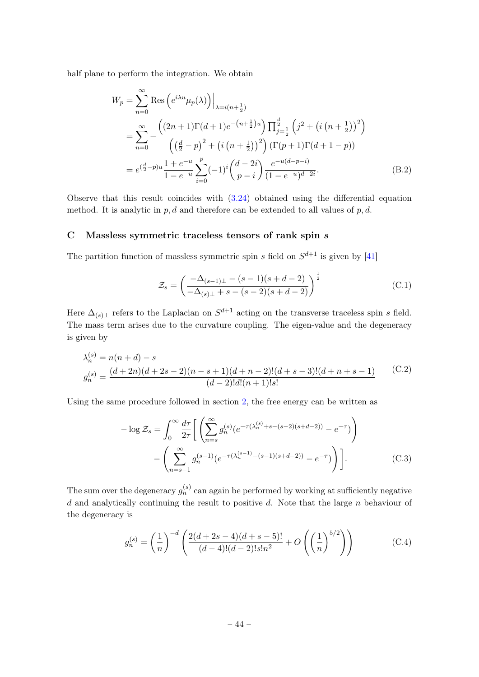half plane to perform the integration. We obtain

$$
W_p = \sum_{n=0}^{\infty} \text{Res}\left(e^{i\lambda u}\mu_p(\lambda)\right)\Big|_{\lambda=i(n+\frac{1}{2})}
$$
  
= 
$$
\sum_{n=0}^{\infty} -\frac{\left((2n+1)\Gamma(d+1)e^{-(n+\frac{1}{2})u}\right)\prod_{j=\frac{1}{2}}^{\frac{d}{2}}\left(j^2+\left(i\left(n+\frac{1}{2}\right)\right)^2\right)}{\left(\left(\frac{d}{2}-p\right)^2+\left(i\left(n+\frac{1}{2}\right)\right)^2\right)\left(\Gamma(p+1)\Gamma(d+1-p)\right)}
$$
  
= 
$$
e^{\left(\frac{d}{2}-p\right)u}\frac{1+e^{-u}}{1-e^{-u}}\sum_{i=0}^p(-1)^i\binom{d-2i}{p-i}\frac{e^{-u(d-p-i)}}{(1-e^{-u})^{d-2i}}.
$$
 (B.2)

Observe that this result coincides with  $(3.24)$  obtained using the differential equation method. It is analytic in  $p, d$  and therefore can be extended to all values of  $p, d$ .

# <span id="page-44-0"></span>C Massless symmetric traceless tensors of rank spin s

The partition function of massless symmetric spin s field on  $S^{d+1}$  is given by [\[41\]](#page-48-7)

$$
\mathcal{Z}_s = \left(\frac{-\Delta_{(s-1)\perp} - (s-1)(s+d-2)}{-\Delta_{(s)\perp} + s - (s-2)(s+d-2)}\right)^{\frac{1}{2}}
$$
(C.1)

Here  $\Delta_{(s)\perp}$  refers to the Laplacian on  $S^{d+1}$  acting on the transverse traceless spin s field. The mass term arises due to the curvature coupling. The eigen-value and the degeneracy is given by

$$
\lambda_n^{(s)} = n(n+d) - s
$$
  
\n
$$
g_n^{(s)} = \frac{(d+2n)(d+2s-2)(n-s+1)(d+n-2)!(d+s-3)!(d+n+s-1)}{(d-2)!d!(n+1)!s!}
$$
 (C.2)

Using the same procedure followed in section [2,](#page-6-0) the free energy can be written as

<span id="page-44-1"></span>
$$
-\log \mathcal{Z}_s = \int_0^\infty \frac{d\tau}{2\tau} \left[ \left( \sum_{n=s}^\infty g_n^{(s)} (e^{-\tau(\lambda_n^{(s)} + s - (s-2)(s+d-2))} - e^{-\tau}) \right) - \left( \sum_{n=s-1}^\infty g_n^{(s-1)} (e^{-\tau(\lambda_n^{(s-1)} - (s-1)(s+d-2))} - e^{-\tau}) \right) \right].
$$
 (C.3)

The sum over the degeneracy  $g_n^{(s)}$  can again be performed by working at sufficiently negative  $d$  and analytically continuing the result to positive  $d$ . Note that the large  $n$  behaviour of the degeneracy is

$$
g_n^{(s)} = \left(\frac{1}{n}\right)^{-d} \left(\frac{2(d+2s-4)(d+s-5)!}{(d-4)!(d-2)!s!n^2} + O\left(\left(\frac{1}{n}\right)^{5/2}\right)\right)
$$
(C.4)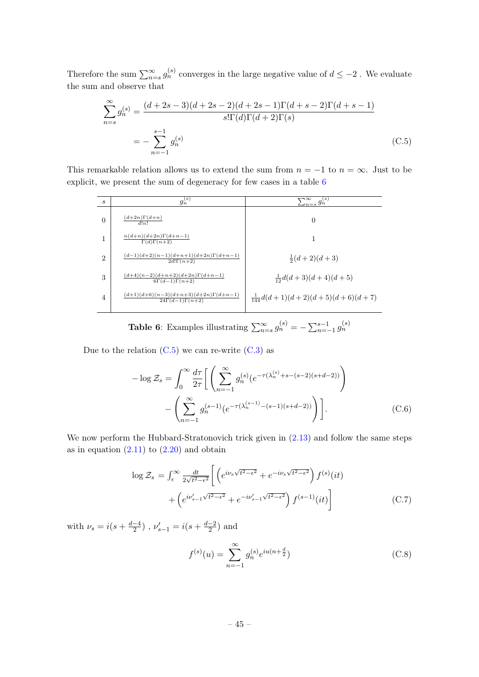Therefore the sum  $\sum_{n=s}^{\infty} g_n^{(s)}$  converges in the large negative value of  $d \leq -2$ . We evaluate the sum and observe that

<span id="page-45-1"></span>
$$
\sum_{n=s}^{\infty} g_n^{(s)} = \frac{(d+2s-3)(d+2s-2)(d+2s-1)\Gamma(d+s-2)\Gamma(d+s-1)}{s!\Gamma(d)\Gamma(d+2)\Gamma(s)}
$$
  
= 
$$
-\sum_{n=-1}^{s-1} g_n^{(s)}
$$
(C.5)

<span id="page-45-0"></span>This remarkable relation allows us to extend the sum from  $n = -1$  to  $n = \infty$ . Just to be explicit, we present the sum of degeneracy for few cases in a table [6](#page-45-0)

| S              | $g_n^{\overline{(s)}}$                                                    | $\frac{1}{2n-s}g_n^{(s)}$                 |
|----------------|---------------------------------------------------------------------------|-------------------------------------------|
| $\Omega$       | $(d+2n)\Gamma(d+n)$<br>d!n!                                               | $\theta$                                  |
|                | $\frac{n(d+n)(d+2n)\Gamma(d+n-1)}{\Gamma(d)\Gamma(n+2)}$                  | 1                                         |
| $\overline{2}$ | $(d-1)(d+2)(n-1)(d+n+1)(d+2n)\Gamma(d+n-1)$<br>$2d!\Gamma(n+2)$           | $\frac{1}{2}(d+2)(d+3)$                   |
| 3              | $(d+4)(n-2)(d+n+2)(d+2n)\Gamma(d+n-1)$<br>$6\Gamma(d-1)\Gamma(n+2)$       | $\frac{1}{12}d(d+3)(d+4)(d+5)$            |
| 4              | $(d+1)(d+6)(n-3)(d+n+3)(d+2n)\Gamma(d+n-1)$<br>$24\Gamma(d-1)\Gamma(n+2)$ | $\frac{1}{144}d(d+1)(d+2)(d+5)(d+6)(d+7)$ |
|                |                                                                           |                                           |

**Table 6**: Examples illustrating  $\sum_{n=s}^{\infty} g_n^{(s)} = -\sum_{n=-1}^{s-1} g_n^{(s)}$ 

Due to the relation  $(C.5)$  we can re-write  $(C.3)$  as

$$
-\log \mathcal{Z}_s = \int_0^\infty \frac{d\tau}{2\tau} \left[ \left( \sum_{n=-1}^\infty g_n^{(s)} (e^{-\tau(\lambda_n^{(s)} + s - (s-2)(s+d-2))} \right) - \left( \sum_{n=-1}^\infty g_n^{(s-1)} (e^{-\tau(\lambda_n^{(s-1)} - (s-1)(s+d-2))} \right) \right].
$$
 (C.6)

We now perform the Hubbard-Stratonovich trick given in  $(2.13)$  and follow the same steps as in equation  $(2.11)$  to  $(2.20)$  and obtain

<span id="page-45-3"></span>
$$
\log \mathcal{Z}_s = \int_{\epsilon}^{\infty} \frac{dt}{2\sqrt{t^2 - \epsilon^2}} \left[ \left( e^{i\nu_s \sqrt{t^2 - \epsilon^2}} + e^{-i\nu_s \sqrt{t^2 - \epsilon^2}} \right) f^{(s)}(it) + \left( e^{i\nu'_{s-1} \sqrt{t^2 - \epsilon^2}} + e^{-i\nu'_{s-1} \sqrt{t^2 - \epsilon^2}} \right) f^{(s-1)}(it) \right]
$$
(C.7)

with  $\nu_s = i(s + \frac{d-4}{2})$  $\frac{-4}{2}$ ),  $\nu'_{s-1} = i(s + \frac{d-2}{2})$  $\frac{-2}{2}$ ) and

<span id="page-45-2"></span>
$$
f^{(s)}(u) = \sum_{n=-1}^{\infty} g_n^{(s)} e^{iu(n + \frac{d}{2})}
$$
 (C.8)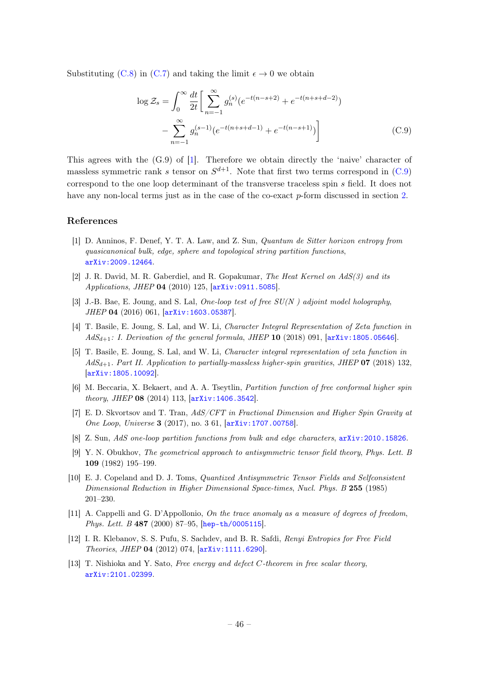Substituting [\(C.8\)](#page-45-2) in [\(C.7\)](#page-45-3) and taking the limit  $\epsilon \to 0$  we obtain

<span id="page-46-12"></span>
$$
\log \mathcal{Z}_s = \int_0^\infty \frac{dt}{2t} \left[ \sum_{n=-1}^\infty g_n^{(s)} (e^{-t(n-s+2)} + e^{-t(n+s+d-2)}) - \sum_{n=-1}^\infty g_n^{(s-1)} (e^{-t(n+s+d-1)} + e^{-t(n-s+1)}) \right]
$$
(C.9)

This agrees with the  $(G.9)$  of [\[1\]](#page-46-0). Therefore we obtain directly the 'naive' character of massless symmetric rank s tensor on  $S^{d+1}$ . Note that first two terms correspond in [\(C.9\)](#page-46-12) correspond to the one loop determinant of the transverse traceless spin s field. It does not have any non-local terms just as in the case of the co-exact p-form discussed in section [2.](#page-6-0)

#### References

- <span id="page-46-0"></span>[1] D. Anninos, F. Denef, Y. T. A. Law, and Z. Sun, Quantum de Sitter horizon entropy from quasicanonical bulk, edge, sphere and topological string partition functions, [arXiv:2009.12464](http://arxiv.org/abs/2009.12464).
- <span id="page-46-1"></span>[2] J. R. David, M. R. Gaberdiel, and R. Gopakumar, The Heat Kernel on AdS(3) and its Applications, JHEP 04 (2010) 125, [[arXiv:0911.5085](http://arxiv.org/abs/0911.5085)].
- <span id="page-46-2"></span>[3] J.-B. Bae, E. Joung, and S. Lal, One-loop test of free  $SU(N)$  adjoint model holography, JHEP 04 (2016) 061, [[arXiv:1603.05387](http://arxiv.org/abs/1603.05387)].
- [4] T. Basile, E. Joung, S. Lal, and W. Li, Character Integral Representation of Zeta function in  $AdS_{d+1}$ : I. Derivation of the general formula, JHEP 10 (2018) 091,  $[arXiv:1805.05646]$  $[arXiv:1805.05646]$  $[arXiv:1805.05646]$ .
- <span id="page-46-3"></span>[5] T. Basile, E. Joung, S. Lal, and W. Li, Character integral representation of zeta function in  $AdS_{d+1}$ . Part II. Application to partially-massless higher-spin gravities, JHEP 07 (2018) 132, [[arXiv:1805.10092](http://arxiv.org/abs/1805.10092)].
- <span id="page-46-4"></span>[6] M. Beccaria, X. Bekaert, and A. A. Tseytlin, Partition function of free conformal higher spin theory, JHEP 08 (2014) 113, [[arXiv:1406.3542](http://arxiv.org/abs/1406.3542)].
- <span id="page-46-5"></span>[7] E. D. Skvortsov and T. Tran, AdS/CFT in Fractional Dimension and Higher Spin Gravity at One Loop, Universe 3 (2017), no. 3 61, [[arXiv:1707.00758](http://arxiv.org/abs/1707.00758)].
- <span id="page-46-6"></span>[8] Z. Sun, AdS one-loop partition functions from bulk and edge characters,  $arXiv:2010.15826$ .
- <span id="page-46-7"></span>[9] Y. N. Obukhov, The geometrical approach to antisymmetric tensor field theory, Phys. Lett. B 109 (1982) 195–199.
- <span id="page-46-11"></span>[10] E. J. Copeland and D. J. Toms, Quantized Antisymmetric Tensor Fields and Selfconsistent Dimensional Reduction in Higher Dimensional Space-times, Nucl. Phys. B 255 (1985) 201–230.
- <span id="page-46-8"></span>[11] A. Cappelli and G. D'Appollonio, On the trace anomaly as a measure of degrees of freedom, Phys. Lett. B 487 (2000) 87–95, [[hep-th/0005115](http://arxiv.org/abs/hep-th/0005115)].
- <span id="page-46-9"></span>[12] I. R. Klebanov, S. S. Pufu, S. Sachdev, and B. R. Safdi, Renyi Entropies for Free Field Theories, JHEP 04 (2012) 074, [[arXiv:1111.6290](http://arxiv.org/abs/1111.6290)].
- <span id="page-46-10"></span>[13] T. Nishioka and Y. Sato, Free energy and defect C-theorem in free scalar theory, [arXiv:2101.02399](http://arxiv.org/abs/2101.02399).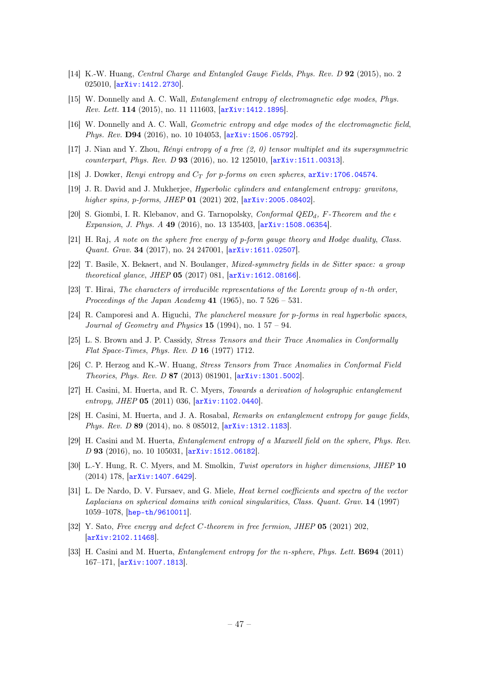- <span id="page-47-0"></span>[14] K.-W. Huang, Central Charge and Entangled Gauge Fields, Phys. Rev. D 92 (2015), no. 2 025010, [[arXiv:1412.2730](http://arxiv.org/abs/1412.2730)].
- [15] W. Donnelly and A. C. Wall, Entanglement entropy of electromagnetic edge modes, Phys. Rev. Lett. 114 (2015), no. 11 111603, [[arXiv:1412.1895](http://arxiv.org/abs/1412.1895)].
- <span id="page-47-10"></span>[16] W. Donnelly and A. C. Wall, Geometric entropy and edge modes of the electromagnetic field, Phys. Rev. D94 (2016), no. 10 104053,  $arXiv:1506.05792$ .
- <span id="page-47-18"></span>[17] J. Nian and Y. Zhou, Rényi entropy of a free (2, 0) tensor multiplet and its supersymmetric counterpart, Phys. Rev. D 93 (2016), no. 12 125010, [[arXiv:1511.00313](http://arxiv.org/abs/1511.00313)].
- <span id="page-47-13"></span>[18] J. Dowker, *Renyi entropy and*  $C_T$  *for p-forms on even spheres*,  $arXiv:1706.04574$ .
- <span id="page-47-1"></span>[19] J. R. David and J. Mukherjee, Hyperbolic cylinders and entanglement entropy: gravitons, higher spins, p-forms, JHEP 01 (2021) 202,  $[$ [arXiv:2005.08402](http://arxiv.org/abs/2005.08402)].
- <span id="page-47-2"></span>[20] S. Giombi, I. R. Klebanov, and G. Tarnopolsky, *Conformal QED<sub>d</sub>*, F-Theorem and the  $\epsilon$ Expansion, J. Phys. A 49 (2016), no. 13 135403, [[arXiv:1508.06354](http://arxiv.org/abs/1508.06354)].
- <span id="page-47-3"></span>[21] H. Raj, A note on the sphere free energy of p-form gauge theory and Hodge duality, Class. Quant. Grav. 34 (2017), no. 24 247001, [[arXiv:1611.02507](http://arxiv.org/abs/1611.02507)].
- <span id="page-47-4"></span>[22] T. Basile, X. Bekaert, and N. Boulanger, Mixed-symmetry fields in de Sitter space: a group theoretical glance, JHEP 05 (2017) 081, [[arXiv:1612.08166](http://arxiv.org/abs/1612.08166)].
- <span id="page-47-5"></span>[23] T. Hirai, The characters of irreducible representations of the Lorentz group of n-th order, Proceedings of the Japan Academy 41 (1965), no.  $7\,526 - 531$ .
- <span id="page-47-6"></span>[24] R. Camporesi and A. Higuchi, The plancherel measure for p-forms in real hyperbolic spaces, Journal of Geometry and Physics  $15$  (1994), no. 1 57 – 94.
- <span id="page-47-7"></span>[25] L. S. Brown and J. P. Cassidy, Stress Tensors and their Trace Anomalies in Conformally Flat Space-Times, Phys. Rev. D 16 (1977) 1712.
- <span id="page-47-8"></span>[26] C. P. Herzog and K.-W. Huang, Stress Tensors from Trace Anomalies in Conformal Field Theories, Phys. Rev. D 87 (2013) 081901, [[arXiv:1301.5002](http://arxiv.org/abs/1301.5002)].
- <span id="page-47-9"></span>[27] H. Casini, M. Huerta, and R. C. Myers, Towards a derivation of holographic entanglement entropy, JHEP 05 (2011) 036, [[arXiv:1102.0440](http://arxiv.org/abs/1102.0440)].
- <span id="page-47-11"></span>[28] H. Casini, M. Huerta, and J. A. Rosabal, Remarks on entanglement entropy for gauge fields, Phys. Rev. D 89 (2014), no. 8 085012, [[arXiv:1312.1183](http://arxiv.org/abs/1312.1183)].
- <span id="page-47-12"></span>[29] H. Casini and M. Huerta, *Entanglement entropy of a Maxwell field on the sphere, Phys. Rev.* D 93 (2016), no. 10 105031, [[arXiv:1512.06182](http://arxiv.org/abs/1512.06182)].
- <span id="page-47-14"></span>[30] L.-Y. Hung, R. C. Myers, and M. Smolkin, Twist operators in higher dimensions, JHEP 10 (2014) 178, [[arXiv:1407.6429](http://arxiv.org/abs/1407.6429)].
- <span id="page-47-15"></span>[31] L. De Nardo, D. V. Fursaev, and G. Miele, *Heat kernel coefficients and spectra of the vector* Laplacians on spherical domains with conical singularities, Class. Quant. Grav. 14 (1997) 1059–1078, [[hep-th/9610011](http://arxiv.org/abs/hep-th/9610011)].
- <span id="page-47-17"></span>[32] Y. Sato, Free energy and defect C-theorem in free fermion, JHEP 05 (2021) 202, [[arXiv:2102.11468](http://arxiv.org/abs/2102.11468)].
- <span id="page-47-16"></span>[33] H. Casini and M. Huerta, *Entanglement entropy for the n-sphere, Phys. Lett.* **B694** (2011) 167–171, [[arXiv:1007.1813](http://arxiv.org/abs/1007.1813)].